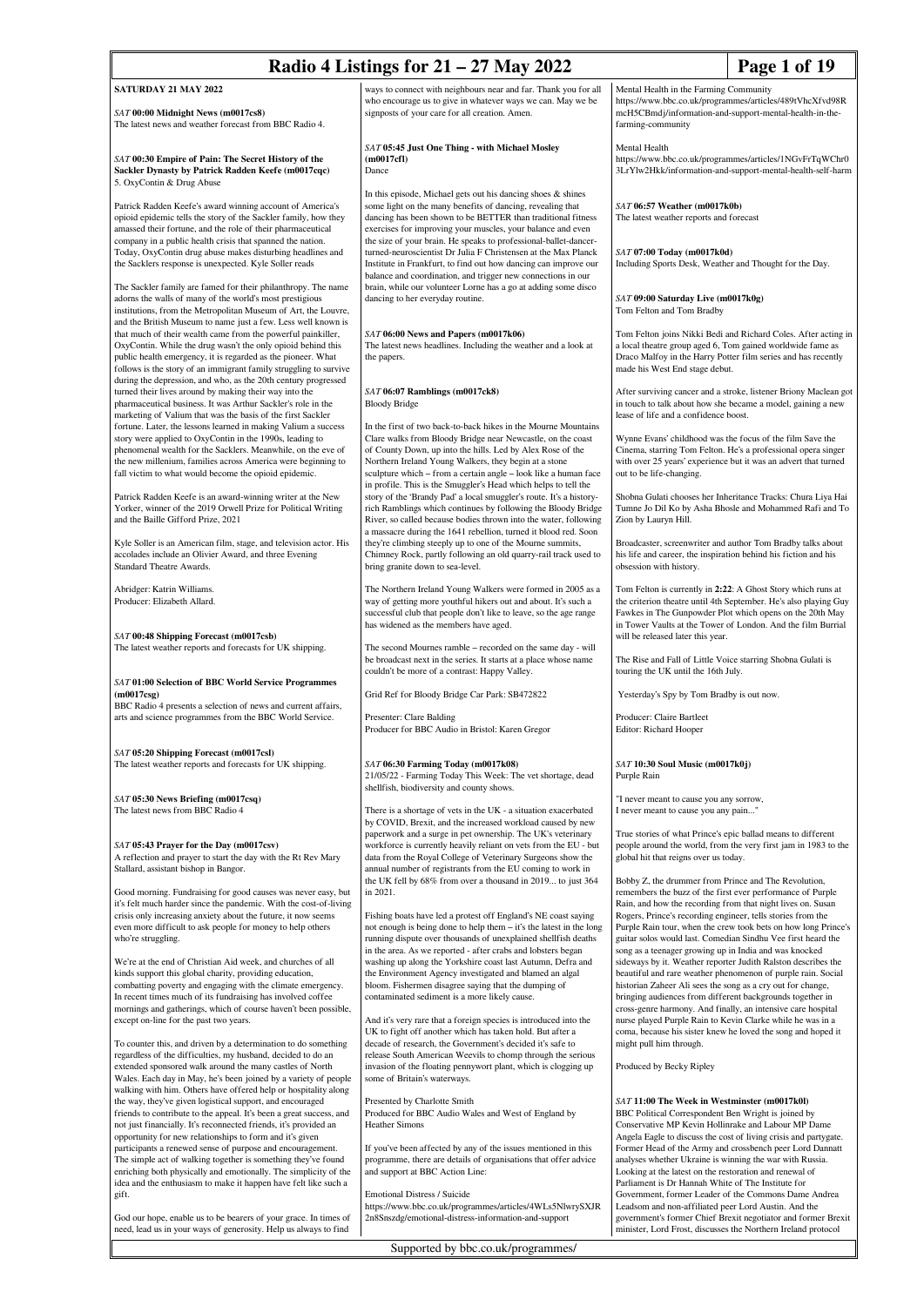# **Radio 4 Listings for 21 – 27 May 2022** Page 1 of 19

# **SATURDAY 21 MAY 2022**

#### *SAT* **00:00 Midnight News (m0017cs8)**

The latest news and weather forecast from BBC Radio 4.

#### *SAT* **00:30 Empire of Pain: The Secret History of the Sackler Dynasty by Patrick Radden Keefe (m0017cqc)** 5. OxyContin & Drug Abuse

Patrick Radden Keefe's award winning account of America's opioid epidemic tells the story of the Sackler family, how they amassed their fortune, and the role of their pharmaceutical company in a public health crisis that spanned the nation. Today, OxyContin drug abuse makes disturbing headlines and the Sacklers response is unexpected. Kyle Soller reads

The Sackler family are famed for their philanthropy. The name adorns the walls of many of the world's most prestigious institutions, from the Metropolitan Museum of Art, the Louvre, and the British Museum to name just a few. Less well known is that much of their wealth came from the powerful painkiller, OxyContin. While the drug wasn't the only opioid behind this public health emergency, it is regarded as the pioneer. What follows is the story of an immigrant family struggling to survive during the depression, and who, as the 20th century progressed turned their lives around by making their way into the pharmaceutical business. It was Arthur Sackler's role in the marketing of Valium that was the basis of the first Sackler fortune. Later, the lessons learned in making Valium a success story were applied to OxyContin in the 1990s, leading to phenomenal wealth for the Sacklers. Meanwhile, on the eve of the new millenium, families across America were beginning to fall victim to what would become the opioid epidemic.

Patrick Radden Keefe is an award-winning writer at the New Yorker, winner of the 2019 Orwell Prize for Political Writing and the Baille Gifford Prize, 2021

Kyle Soller is an American film, stage, and television actor. His accolades include an Olivier Award, and three Evening Standard Theatre Awards.

Abridger: Katrin Williams. Producer: Elizabeth Allard.

### *SAT* **00:48 Shipping Forecast (m0017csb)** The latest weather reports and forecasts for UK shipping.

# *SAT* **01:00 Selection of BBC World Service Programmes (m0017csg)**

BBC Radio 4 presents a selection of news and current affairs, arts and science programmes from the BBC World Service.

## *SAT* **05:20 Shipping Forecast (m0017csl)**

The latest weather reports and forecasts for UK shipping.

*SAT* **05:30 News Briefing (m0017csq)** The latest news from BBC Radio 4

*SAT* **05:43 Prayer for the Day (m0017csv)**

A reflection and prayer to start the day with the Rt Rev Mary Stallard, assistant bishop in Bangor.

Good morning. Fundraising for good causes was never easy, but it's felt much harder since the pandemic. With the cost-of-living crisis only increasing anxiety about the future, it now seems even more difficult to ask people for money to help others who're struggling.

We're at the end of Christian Aid week, and churches of all kinds support this global charity, providing education, combatting poverty and engaging with the climate emergency. In recent times much of its fundraising has involved coffee mornings and gatherings, which of course haven't been possible, except on-line for the past two years.

To counter this, and driven by a determination to do something regardless of the difficulties, my husband, decided to do an extended sponsored walk around the many castles of North Wales. Each day in May, he's been joined by a variety of people walking with him. Others have offered help or hospitality along the way, they've given logistical support, and encouraged friends to contribute to the appeal. It's been a great success, and not just financially. It's reconnected friends, it's provided an opportunity for new relationships to form and it's given participants a renewed sense of purpose and encouragement. The simple act of walking together is something they've found enriching both physically and emotionally. The simplicity of the idea and the enthusiasm to make it happen have felt like such a gift.

God our hope, enable us to be bearers of your grace. In times of need, lead us in your ways of generosity. Help us always to find

ways to connect with neighbours near and far. Thank you for all who encourage us to give in whatever ways we can. May we be signposts of your care for all creation. Amen

#### *SAT* **05:45 Just One Thing - with Michael Mosley (m0017cfl)** Dance

In this episode, Michael gets out his dancing shoes & shines some light on the many benefits of dancing, revealing that dancing has been shown to be BETTER than traditional fitness exercises for improving your muscles, your balance and even the size of your brain. He speaks to professional-ballet-dancerturned-neuroscientist Dr Julia F Christensen at the Max Planck Institute in Frankfurt, to find out how dancing can improve our balance and coordination, and trigger new connections in our brain, while our volunteer Lorne has a go at adding some disco dancing to her everyday routine.

# *SAT* **06:00 News and Papers (m0017k06)**

The latest news headlines. Including the weather and a look at the papers.

#### *SAT* **06:07 Ramblings (m0017ck8)** Bloody Bridge

In the first of two back-to-back hikes in the Mourne Mountains Clare walks from Bloody Bridge near Newcastle, on the coast of County Down, up into the hills. Led by Alex Rose of the Northern Ireland Young Walkers, they begin at a stone sculpture which – from a certain angle – look like a human face in profile. This is the Smuggler's Head which helps to tell the story of the 'Brandy Pad' a local smuggler's route. It's a historyrich Ramblings which continues by following the Bloody Bridge River, so called because bodies thrown into the water, following a massacre during the 1641 rebellion, turned it blood red. Soon they're climbing steeply up to one of the Mourne summits, Chimney Rock, partly following an old quarry-rail track used to bring granite down to sea-level.

The Northern Ireland Young Walkers were formed in 2005 as a way of getting more youthful hikers out and about. It's such a successful club that people don't like to leave, so the age range has widened as the members have aged.

The second Mournes ramble – recorded on the same day - will be broadcast next in the series. It starts at a place whose name couldn't be more of a contrast: Happy Valley.

Grid Ref for Bloody Bridge Car Park: SB472822

Presenter: Clare Balding Producer for BBC Audio in Bristol: Karen Gregor

### *SAT* **06:30 Farming Today (m0017k08)**

21/05/22 - Farming Today This Week: The vet shortage, dead shellfish, biodiversity and county shows.

There is a shortage of vets in the UK - a situation exacerbated by COVID, Brexit, and the increased workload caused by new paperwork and a surge in pet ownership. The UK's veterinary workforce is currently heavily reliant on vets from the EU - but data from the Royal College of Veterinary Surgeons show the annual number of registrants from the EU coming to work in the UK fell by 68% from over a thousand in 2019... to just 364 in 2021.

Fishing boats have led a protest off England's NE coast saying not enough is being done to help them – it's the latest in the long running dispute over thousands of unexplained shellfish deaths in the area. As we reported - after crabs and lobsters began washing up along the Yorkshire coast last Autumn, Defra and the Environment Agency investigated and blamed an algal bloom. Fishermen disagree saying that the dumping of contaminated sediment is a more likely cause.

And it's very rare that a foreign species is introduced into the UK to fight off another which has taken hold. But after a decade of research, the Government's decided it's safe to release South American Weevils to chomp through the serious invasion of the floating pennywort plant, which is clogging up some of Britain's waterways.

Presented by Charlotte Smith

Produced for BBC Audio Wales and West of England by Heather Simons

If you've been affected by any of the issues mentioned in this programme, there are details of organisations that offer advice and support at BBC Action Line:

Emotional Distress / Suicide https://www.bbc.co.uk/programmes/articles/4WLs5NlwrySXJR 2n8Snszdg/emotional-distress-information-and-support

Supported by bbc.co.uk/programmes/

Mental Health in the Farming Community https://www.bbc.co.uk/programmes/articles/489tVhcXfvd98R mcH5CBmdj/information-and-support-mental-health-in-the farming-community

Mental Health

https://www.bbc.co.uk/programmes/articles/1NGvFrTqWChr0 3LrYlw2Hkk/information-and-support-mental-health-self-harm

*SAT* **06:57 Weather (m0017k0b)** The latest weather reports and forecast

*SAT* **07:00 Today (m0017k0d)**

Including Sports Desk, Weather and Thought for the Day.

*SAT* **09:00 Saturday Live (m0017k0g)** Tom Felton and Tom Bradby

Tom Felton joins Nikki Bedi and Richard Coles. After acting in a local theatre group aged 6, Tom gained worldwide fame as Draco Malfoy in the Harry Potter film series and has recently made his West End stage debut.

After surviving cancer and a stroke, listener Briony Maclean got in touch to talk about how she became a model, gaining a new lease of life and a confidence boost.

Wynne Evans' childhood was the focus of the film Save the Cinema, starring Tom Felton. He's a professional opera singer with over 25 years' experience but it was an advert that turned out to be life-changing.

Shobna Gulati chooses her Inheritance Tracks: Chura Liya Hai Tumne Jo Dil Ko by Asha Bhosle and Mohammed Rafi and To Zion by Lauryn Hill.

Broadcaster, screenwriter and author Tom Bradby talks about his life and career, the inspiration behind his fiction and his obsession with history.

Tom Felton is currently in **2:22**: A Ghost Story which runs at the criterion theatre until 4th September. He's also playing Guy Fawkes in The Gunpowder Plot which opens on the 20th May in Tower Vaults at the Tower of London. And the film Burrial will be released later this year.

The Rise and Fall of Little Voice starring Shobna Gulati is touring the UK until the 16th July.

Yesterday's Spy by Tom Bradby is out now.

Producer: Claire Bartleet Editor: Richard Hooper

*SAT* **10:30 Soul Music (m0017k0j)** Purple Rain

"I never meant to cause you any sorrow, I never meant to cause you any pain...

True stories of what Prince's epic ballad means to different people around the world, from the very first jam in 1983 to the global hit that reigns over us today.

Bobby Z, the drummer from Prince and The Revolution, remembers the buzz of the first ever performance of Purple Rain, and how the recording from that night lives on. Susan Rogers, Prince's recording engineer, tells stories from the Purple Rain tour, when the crew took bets on how long Prince's guitar solos would last. Comedian Sindhu Vee first heard the song as a teenager growing up in India and was knocked sideways by it. Weather reporter Judith Ralston describes the beautiful and rare weather phenomenon of purple rain. Social historian Zaheer Ali sees the song as a cry out for change, bringing audiences from different backgrounds together in cross-genre harmony. And finally, an intensive care hospital nurse played Purple Rain to Kevin Clarke while he was in a coma, because his sister knew he loved the song and hoped it might pull him through.

Produced by Becky Ripley

*SAT* **11:00 The Week in Westminster (m0017k0l)**

BBC Political Correspondent Ben Wright is joined by Conservative MP Kevin Hollinrake and Labour MP Dame Angela Eagle to discuss the cost of living crisis and partygate. Former Head of the Army and crossbench peer Lord Da analyses whether Ukraine is winning the war with Russia. Looking at the latest on the restoration and renewal of Parliament is Dr Hannah White of The Institute for Government, former Leader of the Commons Dame Andrea Leadsom and non-affiliated peer Lord Austin. And the government's former Chief Brexit negotiator and former Brexit minister, Lord Frost, discusses the Northern Ireland protocol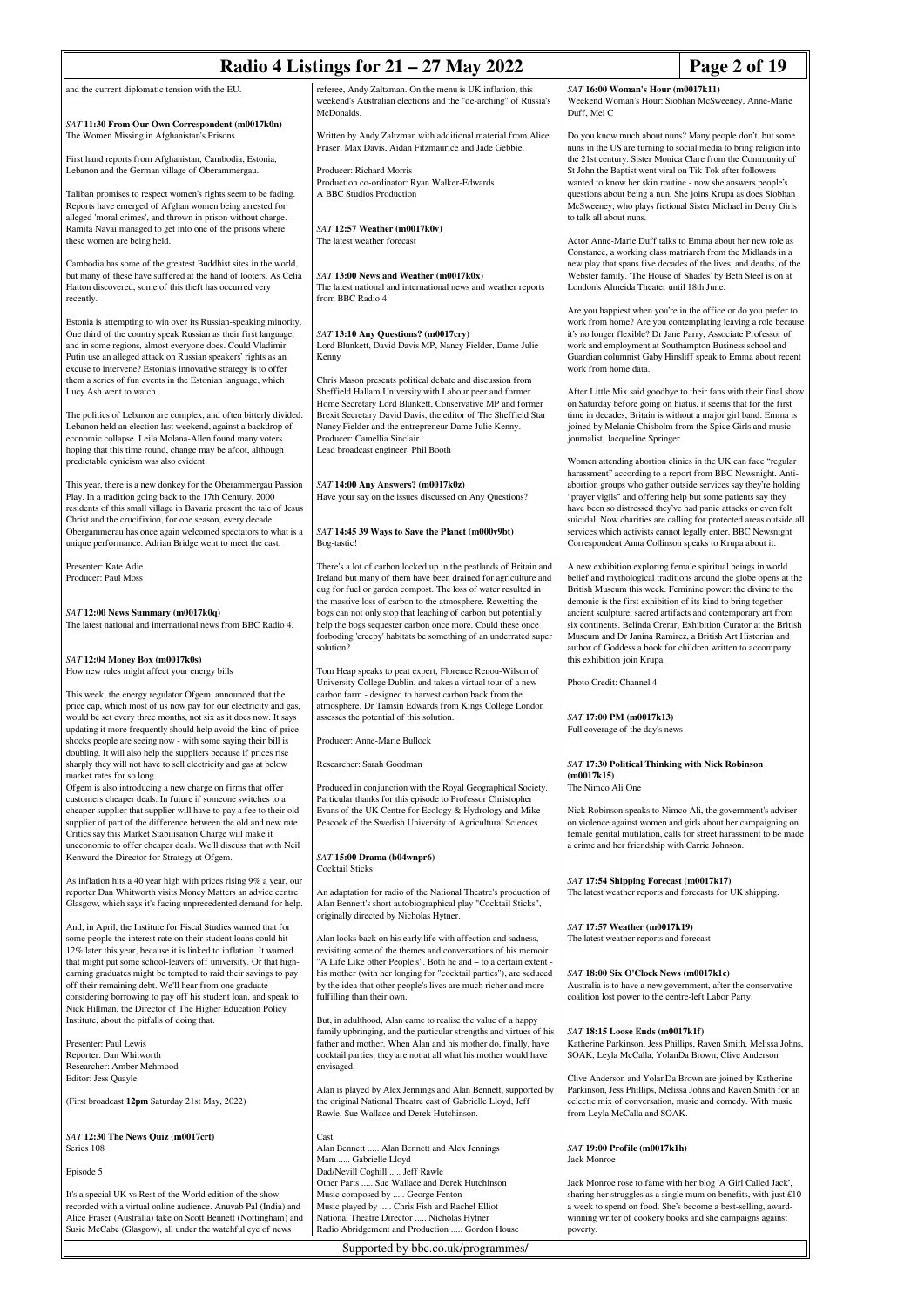| Radio 4 Listings for $21 - 27$ May 2022                                                                                                                                                                                                                                                                                             | Page 2 of 19                                                                                                                                                                                                                                                                |                                                                                                                                                                                                                                                                                                                                                   |                                                                                                                                                                                                  |
|-------------------------------------------------------------------------------------------------------------------------------------------------------------------------------------------------------------------------------------------------------------------------------------------------------------------------------------|-----------------------------------------------------------------------------------------------------------------------------------------------------------------------------------------------------------------------------------------------------------------------------|---------------------------------------------------------------------------------------------------------------------------------------------------------------------------------------------------------------------------------------------------------------------------------------------------------------------------------------------------|--------------------------------------------------------------------------------------------------------------------------------------------------------------------------------------------------|
| and the current diplomatic tension with the EU.                                                                                                                                                                                                                                                                                     | referee, Andy Zaltzman. On the menu is UK inflation, this<br>weekend's Australian elections and the "de-arching" of Russia's<br>McDonalds.                                                                                                                                  | SAT 16:00 Woman's Hour (m0017k11)<br>Weekend Woman's Hour: Siobhan McSweeney, Anne-Marie<br>Duff, Mel C                                                                                                                                                                                                                                           |                                                                                                                                                                                                  |
| SAT 11:30 From Our Own Correspondent (m0017k0n)<br>The Women Missing in Afghanistan's Prisons<br>First hand reports from Afghanistan, Cambodia, Estonia,                                                                                                                                                                            | Written by Andy Zaltzman with additional material from Alice<br>Fraser, Max Davis, Aidan Fitzmaurice and Jade Gebbie.                                                                                                                                                       | Do you know much about nuns? Many people don't, but some<br>nuns in the US are turning to social media to bring religion into                                                                                                                                                                                                                     |                                                                                                                                                                                                  |
| Lebanon and the German village of Oberammergau.<br>Taliban promises to respect women's rights seem to be fading.<br>Reports have emerged of Afghan women being arrested for                                                                                                                                                         | Producer: Richard Morris<br>Production co-ordinator: Ryan Walker-Edwards<br>A BBC Studios Production                                                                                                                                                                        | the 21st century. Sister Monica Clare from the Community of<br>St John the Baptist went viral on Tik Tok after followers<br>wanted to know her skin routine - now she answers people's<br>questions about being a nun. She joins Krupa as does Siobhan<br>McSweeney, who plays fictional Sister Michael in Derry Girls                            |                                                                                                                                                                                                  |
| alleged 'moral crimes', and thrown in prison without charge.<br>Ramita Navai managed to get into one of the prisons where<br>these women are being held.                                                                                                                                                                            | $SAT 12:57$ Weather (m0017k0v)<br>The latest weather forecast                                                                                                                                                                                                               | to talk all about nuns.<br>Actor Anne-Marie Duff talks to Emma about her new role as                                                                                                                                                                                                                                                              |                                                                                                                                                                                                  |
| Cambodia has some of the greatest Buddhist sites in the world,<br>but many of these have suffered at the hand of looters. As Celia<br>Hatton discovered, some of this theft has occurred very<br>recently.                                                                                                                          | $SAT 13:00$ News and Weather (m0017k0x)<br>The latest national and international news and weather reports<br>from BBC Radio 4                                                                                                                                               | Constance, a working class matriarch from the Midlands in a<br>new play that spans five decades of the lives, and deaths, of the<br>Webster family. 'The House of Shades' by Beth Steel is on at<br>London's Almeida Theater until 18th June.                                                                                                     |                                                                                                                                                                                                  |
| Estonia is attempting to win over its Russian-speaking minority.<br>One third of the country speak Russian as their first language,<br>and in some regions, almost everyone does. Could Vladimir<br>Putin use an alleged attack on Russian speakers' rights as an<br>excuse to intervene? Estonia's innovative strategy is to offer | SAT 13:10 Any Questions? (m0017cry)<br>Lord Blunkett, David Davis MP, Nancy Fielder, Dame Julie<br>Kenny                                                                                                                                                                    | Are you happiest when you're in the office or do you prefer to<br>work from home? Are you contemplating leaving a role because<br>it's no longer flexible? Dr Jane Parry, Associate Professor of<br>work and employment at Southampton Business school and<br>Guardian columnist Gaby Hinsliff speak to Emma about recent<br>work from home data. |                                                                                                                                                                                                  |
| them a series of fun events in the Estonian language, which<br>Lucy Ash went to watch.<br>The politics of Lebanon are complex, and often bitterly divided.                                                                                                                                                                          | Chris Mason presents political debate and discussion from<br>Sheffield Hallam University with Labour peer and former<br>Home Secretary Lord Blunkett, Conservative MP and former<br>Brexit Secretary David Davis, the editor of The Sheffield Star                          | on Saturday before going on hiatus, it seems that for the first                                                                                                                                                                                                                                                                                   | After Little Mix said goodbye to their fans with their final show<br>time in decades, Britain is without a major girl band. Emma is                                                              |
| Lebanon held an election last weekend, against a backdrop of<br>economic collapse. Leila Molana-Allen found many voters<br>hoping that this time round, change may be afoot, although                                                                                                                                               | Nancy Fielder and the entrepreneur Dame Julie Kenny.<br>Producer: Camellia Sinclair<br>Lead broadcast engineer: Phil Booth                                                                                                                                                  | joined by Melanie Chisholm from the Spice Girls and music<br>journalist, Jacqueline Springer.                                                                                                                                                                                                                                                     |                                                                                                                                                                                                  |
| predictable cynicism was also evident.<br>This year, there is a new donkey for the Oberammergau Passion<br>Play. In a tradition going back to the 17th Century, 2000<br>residents of this small village in Bavaria present the tale of Jesus<br>Christ and the crucifixion, for one season, every decade.                           | SAT 14:00 Any Answers? (m0017k0z)<br>Have your say on the issues discussed on Any Questions?                                                                                                                                                                                | "prayer vigils" and offering help but some patients say they<br>have been so distressed they've had panic attacks or even felt                                                                                                                                                                                                                    | Women attending abortion clinics in the UK can face "regular<br>harassment" according to a report from BBC Newsnight. Anti-<br>abortion groups who gather outside services say they're holding   |
| Obergammerau has once again welcomed spectators to what is a<br>unique performance. Adrian Bridge went to meet the cast.                                                                                                                                                                                                            | SAT 14:45 39 Ways to Save the Planet (m000v9bt)<br>Bog-tastic!                                                                                                                                                                                                              | suicidal. Now charities are calling for protected areas outside all<br>services which activists cannot legally enter. BBC Newsnight<br>Correspondent Anna Collinson speaks to Krupa about it.                                                                                                                                                     |                                                                                                                                                                                                  |
| Presenter: Kate Adie<br>Producer: Paul Moss                                                                                                                                                                                                                                                                                         | There's a lot of carbon locked up in the peatlands of Britain and<br>Ireland but many of them have been drained for agriculture and<br>dug for fuel or garden compost. The loss of water resulted in                                                                        | A new exhibition exploring female spiritual beings in world                                                                                                                                                                                                                                                                                       | belief and mythological traditions around the globe opens at the<br>British Museum this week. Feminine power: the divine to the                                                                  |
| SAT 12:00 News Summary (m0017k0q)<br>The latest national and international news from BBC Radio 4.                                                                                                                                                                                                                                   | the massive loss of carbon to the atmosphere. Rewetting the<br>bogs can not only stop that leaching of carbon but potentially<br>help the bogs sequester carbon once more. Could these once<br>forboding 'creepy' habitats be something of an underrated super<br>solution? | demonic is the first exhibition of its kind to bring together<br>ancient sculpture, sacred artifacts and contemporary art from<br>Museum and Dr Janina Ramirez, a British Art Historian and<br>author of Goddess a book for children written to accompany                                                                                         | six continents. Belinda Crerar, Exhibition Curator at the British                                                                                                                                |
| SAT 12:04 Money Box (m0017k0s)<br>How new rules might affect your energy bills                                                                                                                                                                                                                                                      | Tom Heap speaks to peat expert, Florence Renou-Wilson of<br>University College Dublin, and takes a virtual tour of a new                                                                                                                                                    | this exhibition join Krupa.<br>Photo Credit: Channel 4                                                                                                                                                                                                                                                                                            |                                                                                                                                                                                                  |
| This week, the energy regulator Ofgem, announced that the<br>price cap, which most of us now pay for our electricity and gas,<br>would be set every three months, not six as it does now. It says<br>updating it more frequently should help avoid the kind of price                                                                | carbon farm - designed to harvest carbon back from the<br>atmosphere. Dr Tamsin Edwards from Kings College London<br>assesses the potential of this solution.                                                                                                               | SAT 17:00 PM (m0017k13)<br>Full coverage of the day's news                                                                                                                                                                                                                                                                                        |                                                                                                                                                                                                  |
| shocks people are seeing now - with some saying their bill is<br>doubling. It will also help the suppliers because if prices rise<br>sharply they will not have to sell electricity and gas at below                                                                                                                                | Producer: Anne-Marie Bullock<br>Researcher: Sarah Goodman                                                                                                                                                                                                                   | SAT 17:30 Political Thinking with Nick Robinson                                                                                                                                                                                                                                                                                                   |                                                                                                                                                                                                  |
| market rates for so long.<br>Ofgem is also introducing a new charge on firms that offer<br>customers cheaper deals. In future if someone switches to a                                                                                                                                                                              | Produced in conjunction with the Royal Geographical Society.<br>Particular thanks for this episode to Professor Christopher                                                                                                                                                 | (m0017k15)<br>The Nimco Ali One                                                                                                                                                                                                                                                                                                                   |                                                                                                                                                                                                  |
| cheaper supplier that supplier will have to pay a fee to their old<br>supplier of part of the difference between the old and new rate.<br>Critics say this Market Stabilisation Charge will make it<br>uneconomic to offer cheaper deals. We'll discuss that with Neil                                                              | Evans of the UK Centre for Ecology & Hydrology and Mike<br>Peacock of the Swedish University of Agricultural Sciences.                                                                                                                                                      | a crime and her friendship with Carrie Johnson.                                                                                                                                                                                                                                                                                                   | Nick Robinson speaks to Nimco Ali, the government's adviser<br>on violence against women and girls about her campaigning on<br>female genital mutilation, calls for street harassment to be made |
| Kenward the Director for Strategy at Ofgem.<br>As inflation hits a 40 year high with prices rising 9% a year, our                                                                                                                                                                                                                   | SAT 15:00 Drama (b04wnpr6)<br><b>Cocktail Sticks</b>                                                                                                                                                                                                                        | SAT 17:54 Shipping Forecast (m0017k17)                                                                                                                                                                                                                                                                                                            |                                                                                                                                                                                                  |
| reporter Dan Whitworth visits Money Matters an advice centre<br>Glasgow, which says it's facing unprecedented demand for help.                                                                                                                                                                                                      | An adaptation for radio of the National Theatre's production of<br>Alan Bennett's short autobiographical play "Cocktail Sticks",<br>originally directed by Nicholas Hytner.                                                                                                 | The latest weather reports and forecasts for UK shipping.                                                                                                                                                                                                                                                                                         |                                                                                                                                                                                                  |
| And, in April, the Institute for Fiscal Studies warned that for<br>some people the interest rate on their student loans could hit<br>12% later this year, because it is linked to inflation. It warned<br>that might put some school-leavers off university. Or that high-                                                          | Alan looks back on his early life with affection and sadness,<br>revisiting some of the themes and conversations of his memoir<br>"A Life Like other People's". Both he and - to a certain extent -                                                                         | SAT 17:57 Weather (m0017k19)<br>The latest weather reports and forecast                                                                                                                                                                                                                                                                           |                                                                                                                                                                                                  |
| earning graduates might be tempted to raid their savings to pay<br>off their remaining debt. We'll hear from one graduate<br>considering borrowing to pay off his student loan, and speak to<br>Nick Hillman, the Director of The Higher Education Policy                                                                           | his mother (with her longing for "cocktail parties"), are seduced<br>by the idea that other people's lives are much richer and more<br>fulfilling than their own.                                                                                                           | SAT 18:00 Six O'Clock News (m0017k1c)<br>Australia is to have a new government, after the conservative<br>coalition lost power to the centre-left Labor Party.                                                                                                                                                                                    |                                                                                                                                                                                                  |
| Institute, about the pitfalls of doing that.<br>Presenter: Paul Lewis<br>Reporter: Dan Whitworth                                                                                                                                                                                                                                    | But, in adulthood, Alan came to realise the value of a happy<br>family upbringing, and the particular strengths and virtues of his<br>father and mother. When Alan and his mother do, finally, have<br>cocktail parties, they are not at all what his mother would have     | SAT 18:15 Loose Ends (m0017k1f)<br>SOAK, Leyla McCalla, YolanDa Brown, Clive Anderson                                                                                                                                                                                                                                                             | Katherine Parkinson, Jess Phillips, Raven Smith, Melissa Johns,                                                                                                                                  |
| Researcher: Amber Mehmood<br>Editor: Jess Quayle<br>(First broadcast 12pm Saturday 21st May, 2022)                                                                                                                                                                                                                                  | envisaged.<br>Alan is played by Alex Jennings and Alan Bennett, supported by<br>the original National Theatre cast of Gabrielle Lloyd, Jeff                                                                                                                                 | Clive Anderson and YolanDa Brown are joined by Katherine<br>eclectic mix of conversation, music and comedy. With music                                                                                                                                                                                                                            | Parkinson, Jess Phillips, Melissa Johns and Raven Smith for an                                                                                                                                   |
| SAT 12:30 The News Quiz (m0017crt)                                                                                                                                                                                                                                                                                                  | Rawle, Sue Wallace and Derek Hutchinson.<br>Cast                                                                                                                                                                                                                            | from Leyla McCalla and SOAK.                                                                                                                                                                                                                                                                                                                      |                                                                                                                                                                                                  |
| Series 108<br>Episode 5                                                                                                                                                                                                                                                                                                             | Alan Bennett  Alan Bennett and Alex Jennings<br>Mam  Gabrielle Lloyd<br>Dad/Nevill Coghill  Jeff Rawle                                                                                                                                                                      | SAT 19:00 Profile (m0017k1h)<br>Jack Monroe                                                                                                                                                                                                                                                                                                       |                                                                                                                                                                                                  |
| It's a special UK vs Rest of the World edition of the show<br>recorded with a virtual online audience. Anuvab Pal (India) and<br>Alice Fraser (Australia) take on Scott Bennett (Nottingham) and                                                                                                                                    | Other Parts  Sue Wallace and Derek Hutchinson<br>Music composed by  George Fenton<br>Music played by  Chris Fish and Rachel Elliot<br>National Theatre Director  Nicholas Hytner                                                                                            | Jack Monroe rose to fame with her blog 'A Girl Called Jack',<br>sharing her struggles as a single mum on benefits, with just £10<br>a week to spend on food. She's become a best-selling, award-<br>winning writer of cookery books and she campaigns against                                                                                     |                                                                                                                                                                                                  |
| Susie McCabe (Glasgow), all under the watchful eye of news                                                                                                                                                                                                                                                                          | Radio Abridgement and Production  Gordon House                                                                                                                                                                                                                              | poverty.                                                                                                                                                                                                                                                                                                                                          |                                                                                                                                                                                                  |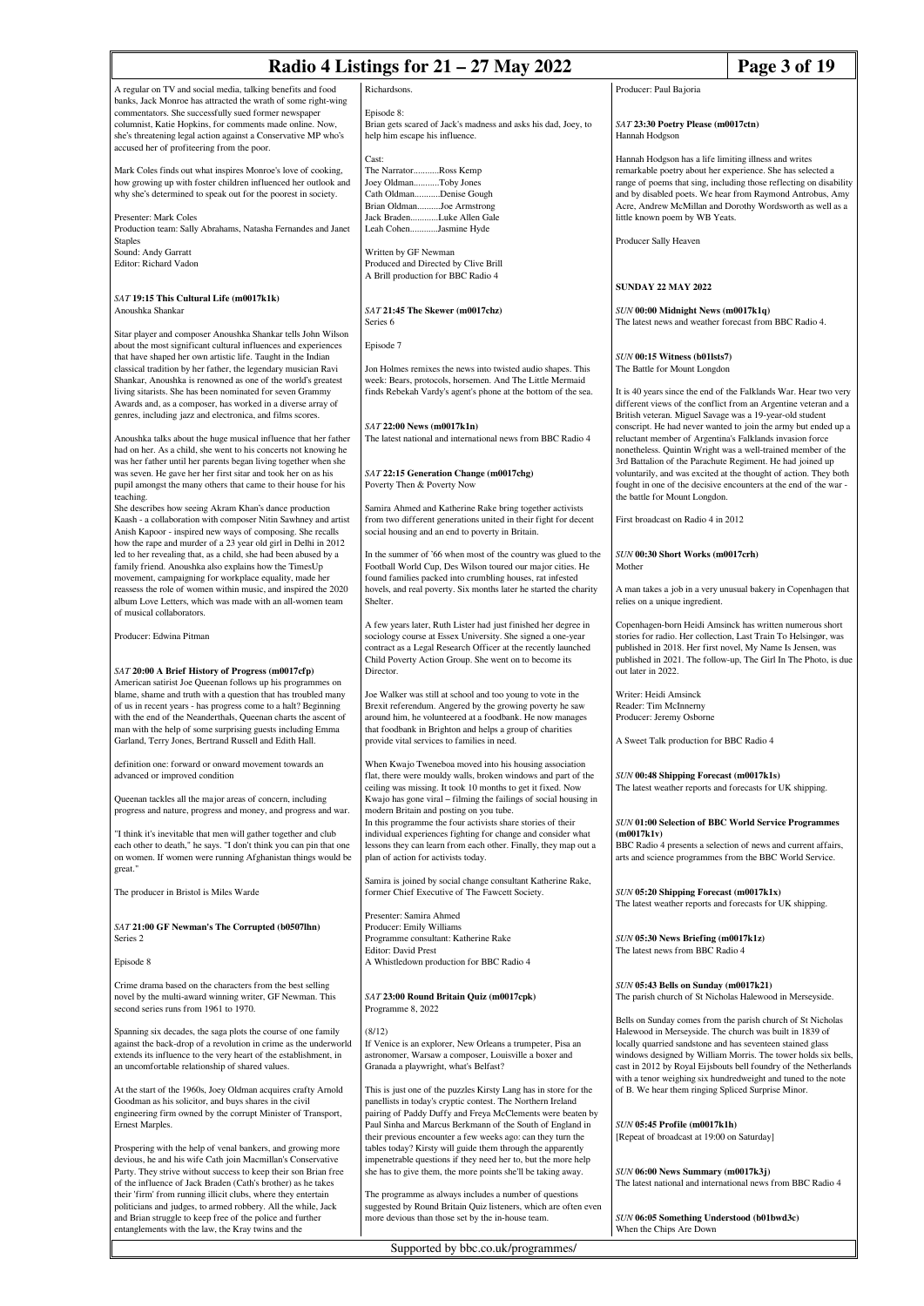# **Radio 4 Listings for 21 – 27 May 2022** Page 3 of 19

A regular on TV and social media, talking benefits and food banks, Jack Monroe has attracted the wrath of some right-wing commentators. She successfully sued former newspaper columnist, Katie Hopkins, for comments made online. Now, she's threatening legal action against a Conservative MP who's accused her of profiteering from the poor.

Mark Coles finds out what inspires Monroe's love of cooking, how growing up with foster children influenced her outlook and why she's determined to speak out for the poorest in society.

Presenter: Mark Coles Production team: Sally Abrahams, Natasha Fernandes and Janet **Staples** Sound: Andy Garratt

Editor: Richard Vadon

*SAT* **19:15 This Cultural Life (m0017k1k)** Anoushka Shankar

Sitar player and composer Anoushka Shankar tells John Wilson about the most significant cultural influences and experiences that have shaped her own artistic life. Taught in the Indian classical tradition by her father, the legendary musician Ravi Shankar, Anoushka is renowned as one of the world's greatest living sitarists. She has been nominated for seven Grammy Awards and, as a composer, has worked in a diverse array of genres, including jazz and electronica, and films scores.

Anoushka talks about the huge musical influence that her father had on her. As a child, she went to his concerts not knowing he was her father until her parents began living together when she was seven. He gave her her first sitar and took her on as his pupil amongst the many others that came to their house for his teaching.

She describes how seeing Akram Khan's dance production Kaash - a collaboration with composer Nitin Sawhney and artist Anish Kapoor - inspired new ways of composing. She recalls how the rape and murder of a 23 year old girl in Delhi in 2012 led to her revealing that, as a child, she had been abused by a family friend. Anoushka also explains how the TimesUp movement, campaigning for workplace equality, made her reassess the role of women within music, and inspired the 2020 album Love Letters, which was made with an all-women team of musical collaborators.

Producer: Edwina Pitman

# *SAT* **20:00 A Brief History of Progress (m0017cfp)**

American satirist Joe Queenan follows up his programmes on blame, shame and truth with a question that has troubled many of us in recent years - has progress come to a halt? Beginning with the end of the Neanderthals, Queenan charts the ascent of man with the help of some surprising guests including Emma Garland, Terry Jones, Bertrand Russell and Edith Hall.

definition one: forward or onward movement towards an advanced or improved condition

Queenan tackles all the major areas of concern, including progress and nature, progress and money, and progress and war.

"I think it's inevitable that men will gather together and club each other to death," he says. "I don't think you can pin that one on women. If women were running Afghanistan things would be great."

The producer in Bristol is Miles Warde

*SAT* **21:00 GF Newman's The Corrupted (b0507lhn)** Series 2

Episode 8

Crime drama based on the characters from the best selling novel by the multi-award winning writer, GF Newman. This second series runs from 1961 to 1970.

Spanning six decades, the saga plots the course of one family against the back-drop of a revolution in crime as the underworld extends its influence to the very heart of the establishment, in an uncomfortable relationship of shared values.

At the start of the 1960s, Joey Oldman acquires crafty Arnold Goodman as his solicitor, and buys shares in the civil engineering firm owned by the corrupt Minister of Transport, Ernest Marples.

Prospering with the help of venal bankers, and growing more devious, he and his wife Cath join Macmillan's Conservative Party. They strive without success to keep their son Brian free of the influence of Jack Braden (Cath's brother) as he takes their 'firm' from running illicit clubs, where they entertain politicians and judges, to armed robbery. All the while, Jack and Brian struggle to keep free of the police and further entanglements with the law, the Kray twins and the

Richardsons.

## Episode 8:

Brian gets scared of Jack's madness and asks his dad, Joey, to help him escape his influence.

Cast:

| The NarratorRoss Kemp      |  |
|----------------------------|--|
| Joey OldmanToby Jones      |  |
| Cath OldmanDenise Gough    |  |
| Brian OldmanJoe Armstrong  |  |
| Jack BradenLuke Allen Gale |  |
| Leah CohenJasmine Hyde     |  |
|                            |  |

Written by GF Newman Produced and Directed by Clive Brill A Brill production for BBC Radio 4

*SAT* **21:45 The Skewer (m0017chz)** Series 6

Episode 7

Jon Holmes remixes the news into twisted audio shapes. This week: Bears, protocols, horsemen. And The Little Mermaid finds Rebekah Vardy's agent's phone at the bottom of the sea.

*SAT* **22:00 News (m0017k1n)**

The latest national and international news from BBC Radio 4

*SAT* **22:15 Generation Change (m0017chg)** Poverty Then & Poverty Now

Samira Ahmed and Katherine Rake bring together activists from two different generations united in their fight for decent social housing and an end to poverty in Britain.

In the summer of '66 when most of the country was glued to the Football World Cup, Des Wilson toured our major cities. He found families packed into crumbling houses, rat infested hovels, and real poverty. Six months later he started the charity Shelter.

A few years later, Ruth Lister had just finished her degree in sociology course at Essex University. She signed a one-year contract as a Legal Research Officer at the recently launched Child Poverty Action Group. She went on to become its **Director** 

Joe Walker was still at school and too young to vote in the Brexit referendum. Angered by the growing poverty he saw around him, he volunteered at a foodbank. He now manages that foodbank in Brighton and helps a group of charities provide vital services to families in need.

When Kwajo Tweneboa moved into his housing association flat, there were mouldy walls, broken windows and part of the ceiling was missing. It took 10 months to get it fixed. Now Kwajo has gone viral – filming the failings of social housing in modern Britain and posting on you tube. In this programme the four activists share stories of their individual experiences fighting for change and consider what lessons they can learn from each other. Finally, they map out a plan of action for activists today.

Samira is joined by social change consultant Katherine Rake, former Chief Executive of The Fawcett Society.

Presenter: Samira Ahmed Producer: Emily Williams Programme consultant: Katherine Rake Editor: David Prest A Whistledown production for BBC Radio 4

#### *SAT* **23:00 Round Britain Quiz (m0017cpk)** Programme 8, 2022

(8/12) If Venice is an explorer, New Orleans a trumpeter, Pisa an astronomer, Warsaw a composer, Louisville a boxer and Granada a playwright, what's Belfast?

This is just one of the puzzles Kirsty Lang has in store for the panellists in today's cryptic contest. The Northern Ireland pairing of Paddy Duffy and Freya McClements were beaten by Paul Sinha and Marcus Berkmann of the South of England in their previous encounter a few weeks ago: can they turn the tables today? Kirsty will guide them through the apparently impenetrable questions if they need her to, but the more help she has to give them, the more points she'll be taking away.

The programme as always includes a number of questions suggested by Round Britain Quiz listeners, which are often even more devious than those set by the in-house team.

Supported by bbc.co.uk/programmes/

Producer: Paul Bajoria

*SAT* **23:30 Poetry Please (m0017ctn)** Hannah Hodgson

Hannah Hodgson has a life limiting illness and writes remarkable poetry about her experience. She has selected a range of poems that sing, including those reflecting on disability and by disabled poets. We hear from Raymond Antrobus, Amy Acre, Andrew McMillan and Dorothy Wordsworth as well as a little known poem by WB Yeats.

Producer Sally Heaven

## **SUNDAY 22 MAY 2022**

*SUN* **00:00 Midnight News (m0017k1q)** The latest news and weather forecast from BBC Radio 4.

*SUN* **00:15 Witness (b01lsts7)** The Battle for Mount Longdon

It is 40 years since the end of the Falklands War. Hear two very different views of the conflict from an Argentine veteran and a British veteran. Miguel Savage was a 19-year-old student conscript. He had never wanted to join the army but ended up a reluctant member of Argentina's Falklands invasion force nonetheless. Quintin Wright was a well-trained member of the 3rd Battalion of the Parachute Regiment. He had joined up voluntarily, and was excited at the thought of action. They both fought in one of the decisive encounters at the end of the war the battle for Mount Longdon.

First broadcast on Radio 4 in 2012

*SUN* **00:30 Short Works (m0017crh)** Mother

A man takes a job in a very unusual bakery in Copenhagen that relies on a unique ingredient.

Copenhagen-born Heidi Amsinck has written numerous short stories for radio. Her collection, Last Train To Helsingør, was published in 2018. Her first novel, My Name Is Jensen, was published in 2021. The follow-up, The Girl In The Photo, is due out later in 2022.

Writer: Heidi Amsinck Reader: Tim McInnerny Producer: Jeremy Osborne

A Sweet Talk production for BBC Radio 4

*SUN* **00:48 Shipping Forecast (m0017k1s)** The latest weather reports and forecasts for UK shipping.

*SUN* **01:00 Selection of BBC World Service Programmes (m0017k1v)**

BBC Radio 4 presents a selection of news and current affairs, arts and science programmes from the BBC World Service.

*SUN* **05:20 Shipping Forecast (m0017k1x)** The latest weather reports and forecasts for UK shipping.

*SUN* **05:30 News Briefing (m0017k1z)** The latest news from BBC Radio 4

*SUN* **05:43 Bells on Sunday (m0017k21)** The parish church of St Nicholas Halewood in Merseyside.

Bells on Sunday comes from the parish church of St Nicholas Halewood in Merseyside. The church was built in 1839 of locally quarried sandstone and has seventeen stained glass windows designed by William Morris. The tower holds six bells, cast in 2012 by Royal Eijsbouts bell foundry of the Netherlands with a tenor weighing six hundredweight and tuned to the note of B. We hear them ringing Spliced Surprise Minor.

*SUN* **05:45 Profile (m0017k1h)** [Repeat of broadcast at 19:00 on Saturday]

*SUN* **06:00 News Summary (m0017k3j)**

The latest national and international news from BBC Radio 4

*SUN* **06:05 Something Understood (b01bwd3c)** When the Chips Are Down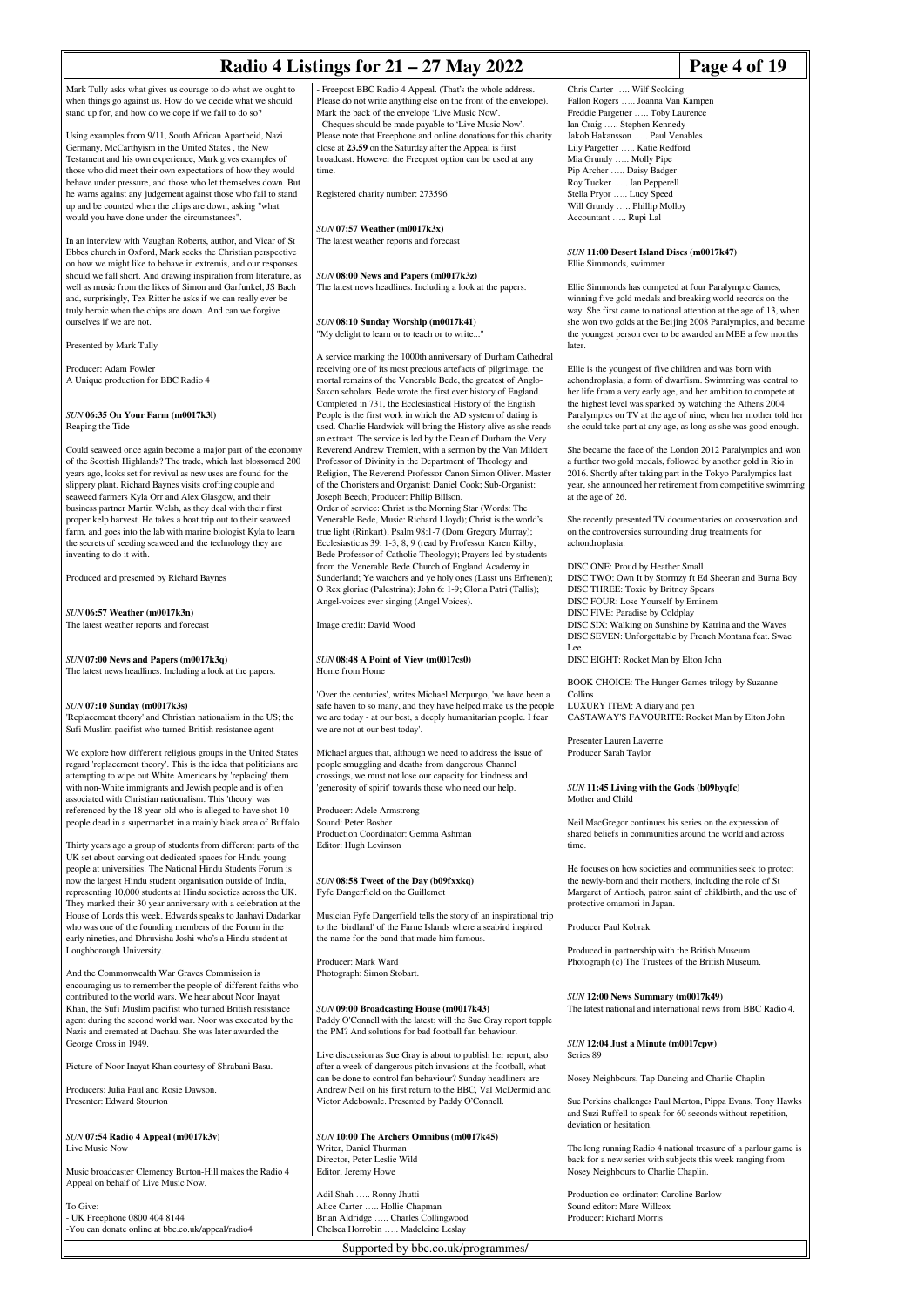| Chris Carter  Wilf Scolding<br>- Freepost BBC Radio 4 Appeal. (That's the whole address.<br>Mark Tully asks what gives us courage to do what we ought to<br>Please do not write anything else on the front of the envelope).<br>Fallon Rogers  Joanna Van Kampen<br>when things go against us. How do we decide what we should<br>Mark the back of the envelope 'Live Music Now'.<br>Freddie Pargetter  Toby Laurence<br>stand up for, and how do we cope if we fail to do so?<br>- Cheques should be made payable to 'Live Music Now'.<br>Ian Craig  Stephen Kennedy<br>Please note that Freephone and online donations for this charity<br>Jakob Hakansson  Paul Venables<br>Using examples from 9/11, South African Apartheid, Nazi<br>Lily Pargetter  Katie Redford<br>close at 23.59 on the Saturday after the Appeal is first<br>Germany, McCarthyism in the United States, the New<br>broadcast. However the Freepost option can be used at any<br>Mia Grundy  Molly Pipe<br>Testament and his own experience, Mark gives examples of<br>Pip Archer  Daisy Badger<br>those who did meet their own expectations of how they would<br>time.<br>Roy Tucker  Ian Pepperell<br>behave under pressure, and those who let themselves down. But<br>Stella Pryor  Lucy Speed<br>he warns against any judgement against those who fail to stand<br>Registered charity number: 273596<br>Will Grundy  Phillip Molloy<br>up and be counted when the chips are down, asking "what<br>Accountant  Rupi Lal<br>would you have done under the circumstances".                                                                                                                                                                                                                                                                                      |
|-------------------------------------------------------------------------------------------------------------------------------------------------------------------------------------------------------------------------------------------------------------------------------------------------------------------------------------------------------------------------------------------------------------------------------------------------------------------------------------------------------------------------------------------------------------------------------------------------------------------------------------------------------------------------------------------------------------------------------------------------------------------------------------------------------------------------------------------------------------------------------------------------------------------------------------------------------------------------------------------------------------------------------------------------------------------------------------------------------------------------------------------------------------------------------------------------------------------------------------------------------------------------------------------------------------------------------------------------------------------------------------------------------------------------------------------------------------------------------------------------------------------------------------------------------------------------------------------------------------------------------------------------------------------------------------------------------------------------------------------------------------------------------------------------------------------------------------------|
| SUN 07:57 Weather (m0017k3x)<br>In an interview with Vaughan Roberts, author, and Vicar of St<br>The latest weather reports and forecast<br>SUN 11:00 Desert Island Discs (m0017k47)<br>Ebbes church in Oxford, Mark seeks the Christian perspective<br>on how we might like to behave in extremis, and our responses<br>Ellie Simmonds, swimmer<br>SUN 08:00 News and Papers (m0017k3z)<br>should we fall short. And drawing inspiration from literature, as<br>well as music from the likes of Simon and Garfunkel, JS Bach<br>The latest news headlines. Including a look at the papers.<br>Ellie Simmonds has competed at four Paralympic Games,<br>winning five gold medals and breaking world records on the<br>and, surprisingly, Tex Ritter he asks if we can really ever be<br>way. She first came to national attention at the age of 13, when<br>truly heroic when the chips are down. And can we forgive                                                                                                                                                                                                                                                                                                                                                                                                                                                                                                                                                                                                                                                                                                                                                                                                                                                                                                                      |
| ourselves if we are not.<br>SUN 08:10 Sunday Worship (m0017k41)<br>she won two golds at the Beijing 2008 Paralympics, and became<br>"My delight to learn or to teach or to write"<br>the youngest person ever to be awarded an MBE a few months<br>later.<br>Presented by Mark Tully<br>A service marking the 1000th anniversary of Durham Cathedral<br>receiving one of its most precious artefacts of pilgrimage, the<br>Producer: Adam Fowler<br>Ellie is the youngest of five children and was born with                                                                                                                                                                                                                                                                                                                                                                                                                                                                                                                                                                                                                                                                                                                                                                                                                                                                                                                                                                                                                                                                                                                                                                                                                                                                                                                              |
| mortal remains of the Venerable Bede, the greatest of Anglo-<br>achondroplasia, a form of dwarfism. Swimming was central to<br>A Unique production for BBC Radio 4<br>Saxon scholars. Bede wrote the first ever history of England.<br>her life from a very early age, and her ambition to compete at<br>Completed in 731, the Ecclesiastical History of the English<br>the highest level was sparked by watching the Athens 2004<br>Paralympics on TV at the age of nine, when her mother told her<br>SUN 06:35 On Your Farm (m0017k3l)<br>People is the first work in which the AD system of dating is<br>used. Charlie Hardwick will bring the History alive as she reads<br>she could take part at any age, as long as she was good enough.<br>Reaping the Tide                                                                                                                                                                                                                                                                                                                                                                                                                                                                                                                                                                                                                                                                                                                                                                                                                                                                                                                                                                                                                                                                       |
| an extract. The service is led by the Dean of Durham the Very<br>Could seaweed once again become a major part of the economy<br>Reverend Andrew Tremlett, with a sermon by the Van Mildert<br>She became the face of the London 2012 Paralympics and won<br>a further two gold medals, followed by another gold in Rio in<br>of the Scottish Highlands? The trade, which last blossomed 200<br>Professor of Divinity in the Department of Theology and<br>2016. Shortly after taking part in the Tokyo Paralympics last<br>years ago, looks set for revival as new uses are found for the<br>Religion, The Reverend Professor Canon Simon Oliver. Master<br>year, she announced her retirement from competitive swimming<br>slippery plant. Richard Baynes visits crofting couple and<br>of the Choristers and Organist: Daniel Cook; Sub-Organist:<br>Joseph Beech; Producer: Philip Billson.<br>seaweed farmers Kyla Orr and Alex Glasgow, and their<br>at the age of 26.<br>business partner Martin Welsh, as they deal with their first<br>Order of service: Christ is the Morning Star (Words: The<br>proper kelp harvest. He takes a boat trip out to their seaweed<br>Venerable Bede, Music: Richard Lloyd); Christ is the world's<br>She recently presented TV documentaries on conservation and<br>farm, and goes into the lab with marine biologist Kyla to learn<br>true light (Rinkart); Psalm 98:1-7 (Dom Gregory Murray);<br>on the controversies surrounding drug treatments for<br>the secrets of seeding seaweed and the technology they are<br>achondroplasia.<br>Ecclesiasticus 39: 1-3, 8, 9 (read by Professor Karen Kilby,<br>inventing to do it with.<br>Bede Professor of Catholic Theology); Prayers led by students<br>from the Venerable Bede Church of England Academy in<br>DISC ONE: Proud by Heather Small |
| Sunderland; Ye watchers and ye holy ones (Lasst uns Erfreuen);<br>DISC TWO: Own It by Stormzy ft Ed Sheeran and Burna Boy<br>Produced and presented by Richard Baynes<br>O Rex gloriae (Palestrina); John 6: 1-9; Gloria Patri (Tallis);<br>DISC THREE: Toxic by Britney Spears<br>Angel-voices ever singing (Angel Voices).<br>DISC FOUR: Lose Yourself by Eminem<br>SUN 06:57 Weather (m0017k3n)<br>DISC FIVE: Paradise by Coldplay                                                                                                                                                                                                                                                                                                                                                                                                                                                                                                                                                                                                                                                                                                                                                                                                                                                                                                                                                                                                                                                                                                                                                                                                                                                                                                                                                                                                     |
| DISC SIX: Walking on Sunshine by Katrina and the Waves<br>The latest weather reports and forecast<br>Image credit: David Wood<br>DISC SEVEN: Unforgettable by French Montana feat. Swae<br>Lee<br>SUN 08:48 A Point of View (m0017cs0)<br>$SUN$ 07:00 News and Papers (m0017k3q)<br>DISC EIGHT: Rocket Man by Elton John<br>Home from Home<br>The latest news headlines. Including a look at the papers.<br>BOOK CHOICE: The Hunger Games trilogy by Suzanne                                                                                                                                                                                                                                                                                                                                                                                                                                                                                                                                                                                                                                                                                                                                                                                                                                                                                                                                                                                                                                                                                                                                                                                                                                                                                                                                                                              |
| 'Over the centuries', writes Michael Morpurgo, 'we have been a<br>Collins<br>safe haven to so many, and they have helped make us the people<br>SUN 07:10 Sunday (m0017k3s)<br>LUXURY ITEM: A diary and pen<br>we are today - at our best, a deeply humanitarian people. I fear<br>CASTAWAY'S FAVOURITE: Rocket Man by Elton John<br>'Replacement theory' and Christian nationalism in the US; the<br>Sufi Muslim pacifist who turned British resistance agent<br>we are not at our best today'.<br>Presenter Lauren Laverne                                                                                                                                                                                                                                                                                                                                                                                                                                                                                                                                                                                                                                                                                                                                                                                                                                                                                                                                                                                                                                                                                                                                                                                                                                                                                                               |
| We explore how different religious groups in the United States<br>Michael argues that, although we need to address the issue of<br>Producer Sarah Taylor<br>regard 'replacement theory'. This is the idea that politicians are<br>people smuggling and deaths from dangerous Channel<br>attempting to wipe out White Americans by 'replacing' them<br>crossings, we must not lose our capacity for kindness and<br>with non-White immigrants and Jewish people and is often<br>'generosity of spirit' towards those who need our help.<br>SUN 11:45 Living with the Gods (b09byqfc)<br>associated with Christian nationalism. This 'theory' was<br>Mother and Child<br>referenced by the 18-year-old who is alleged to have shot 10<br>Producer: Adele Armstrong                                                                                                                                                                                                                                                                                                                                                                                                                                                                                                                                                                                                                                                                                                                                                                                                                                                                                                                                                                                                                                                                          |
| people dead in a supermarket in a mainly black area of Buffalo.<br>Sound: Peter Bosher<br>Neil MacGregor continues his series on the expression of<br>Production Coordinator: Gemma Ashman<br>shared beliefs in communities around the world and across<br>Thirty years ago a group of students from different parts of the<br>Editor: Hugh Levinson<br>time.<br>UK set about carving out dedicated spaces for Hindu young<br>people at universities. The National Hindu Students Forum is<br>He focuses on how societies and communities seek to protect<br>SUN 08:58 Tweet of the Day (b09fxxkq)<br>the newly-born and their mothers, including the role of St<br>now the largest Hindu student organisation outside of India,                                                                                                                                                                                                                                                                                                                                                                                                                                                                                                                                                                                                                                                                                                                                                                                                                                                                                                                                                                                                                                                                                                          |
| representing 10,000 students at Hindu societies across the UK.<br>Fyfe Dangerfield on the Guillemot<br>Margaret of Antioch, patron saint of childbirth, and the use of<br>They marked their 30 year anniversary with a celebration at the<br>protective omamori in Japan.<br>House of Lords this week. Edwards speaks to Janhavi Dadarkar<br>Musician Fyfe Dangerfield tells the story of an inspirational trip<br>to the 'birdland' of the Farne Islands where a seabird inspired<br>who was one of the founding members of the Forum in the<br>Producer Paul Kobrak<br>early nineties, and Dhruvisha Joshi who's a Hindu student at<br>the name for the band that made him famous.<br>Loughborough University.<br>Produced in partnership with the British Museum                                                                                                                                                                                                                                                                                                                                                                                                                                                                                                                                                                                                                                                                                                                                                                                                                                                                                                                                                                                                                                                                       |
| Producer: Mark Ward<br>Photograph (c) The Trustees of the British Museum.<br>Photograph: Simon Stobart.<br>And the Commonwealth War Graves Commission is<br>encouraging us to remember the people of different faiths who<br>contributed to the world wars. We hear about Noor Inayat<br>SUN 12:00 News Summary (m0017k49)<br>Khan, the Sufi Muslim pacifist who turned British resistance<br>The latest national and international news from BBC Radio 4.<br>SUN 09:00 Broadcasting House (m0017k43)<br>Paddy O'Connell with the latest; will the Sue Gray report topple<br>agent during the second world war. Noor was executed by the<br>Nazis and cremated at Dachau. She was later awarded the<br>the PM? And solutions for bad football fan behaviour.                                                                                                                                                                                                                                                                                                                                                                                                                                                                                                                                                                                                                                                                                                                                                                                                                                                                                                                                                                                                                                                                              |
| George Cross in 1949.<br>SUN 12:04 Just a Minute (m0017cpw)<br>Live discussion as Sue Gray is about to publish her report, also<br>Series 89<br>after a week of dangerous pitch invasions at the football, what<br>Picture of Noor Inayat Khan courtesy of Shrabani Basu.                                                                                                                                                                                                                                                                                                                                                                                                                                                                                                                                                                                                                                                                                                                                                                                                                                                                                                                                                                                                                                                                                                                                                                                                                                                                                                                                                                                                                                                                                                                                                                 |
| can be done to control fan behaviour? Sunday headliners are<br>Nosey Neighbours, Tap Dancing and Charlie Chaplin<br>Andrew Neil on his first return to the BBC, Val McDermid and<br>Producers: Julia Paul and Rosie Dawson.<br>Presenter: Edward Stourton<br>Victor Adebowale. Presented by Paddy O'Connell.<br>Sue Perkins challenges Paul Merton, Pippa Evans, Tony Hawks<br>and Suzi Ruffell to speak for 60 seconds without repetition,<br>deviation or hesitation.                                                                                                                                                                                                                                                                                                                                                                                                                                                                                                                                                                                                                                                                                                                                                                                                                                                                                                                                                                                                                                                                                                                                                                                                                                                                                                                                                                   |
| SUN 10:00 The Archers Omnibus (m0017k45)<br>SUN 07:54 Radio 4 Appeal (m0017k3v)<br>Writer, Daniel Thurman<br>The long running Radio 4 national treasure of a parlour game is<br>Live Music Now<br>back for a new series with subjects this week ranging from<br>Director, Peter Leslie Wild<br>Nosey Neighbours to Charlie Chaplin.<br>Music broadcaster Clemency Burton-Hill makes the Radio 4<br>Editor, Jeremy Howe                                                                                                                                                                                                                                                                                                                                                                                                                                                                                                                                                                                                                                                                                                                                                                                                                                                                                                                                                                                                                                                                                                                                                                                                                                                                                                                                                                                                                    |
| Appeal on behalf of Live Music Now.<br>Adil Shah  Ronny Jhutti<br>Production co-ordinator: Caroline Barlow<br>Alice Carter  Hollie Chapman<br>Sound editor: Marc Willcox<br>To Give:<br>Brian Aldridge  Charles Collingwood<br>- UK Freephone 0800 404 8144<br>Producer: Richard Morris<br>Chelsea Horrobin  Madeleine Leslay<br>-You can donate online at bbc.co.uk/appeal/radio4<br>Supported by bbc.co.uk/programmes/                                                                                                                                                                                                                                                                                                                                                                                                                                                                                                                                                                                                                                                                                                                                                                                                                                                                                                                                                                                                                                                                                                                                                                                                                                                                                                                                                                                                                  |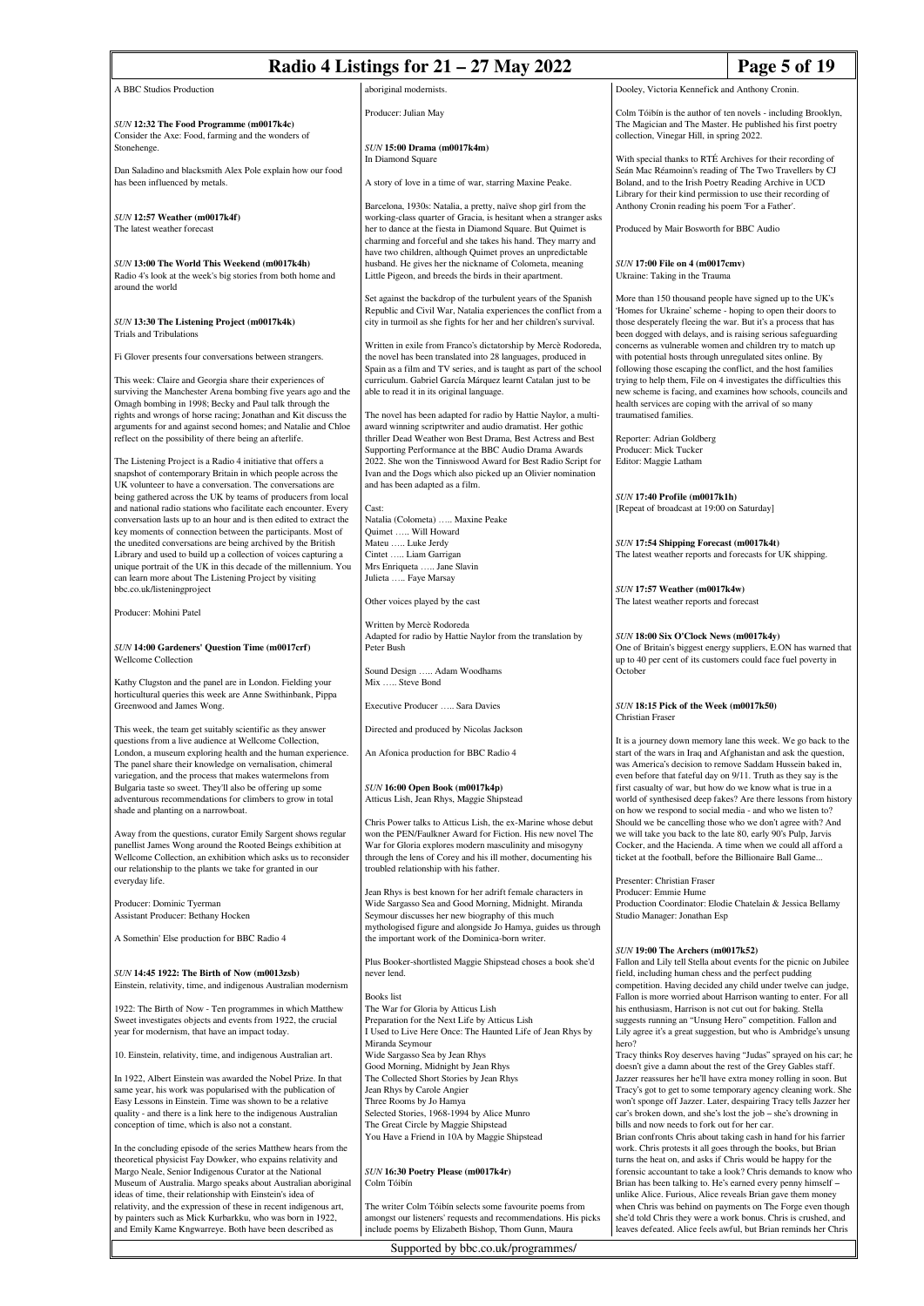# **Radio 4 Listings for 21 – 27 May 2022** Page 5 of 19

A BBC Studios Production

*SUN* **12:32 The Food Programme (m0017k4c)** Consider the Axe: Food, farming and the wonders of Stonehenge.

Dan Saladino and blacksmith Alex Pole explain how our food has been influenced by metals.

*SUN* **12:57 Weather (m0017k4f)** The latest weather forecast

# *SUN* **13:00 The World This Weekend (m0017k4h)**

Radio 4's look at the week's big stories from both home and around the world

*SUN* **13:30 The Listening Project (m0017k4k)** Trials and Tribulations

Glover presents four conversations between strangers.

This week: Claire and Georgia share their experiences of surviving the Manchester Arena bombing five years ago and the Omagh bombing in 1998; Becky and Paul talk through the rights and wrongs of horse racing; Jonathan and Kit discuss the arguments for and against second homes; and Natalie and Chloe reflect on the possibility of there being an afterlife.

The Listening Project is a Radio 4 initiative that offers a snapshot of contemporary Britain in which people across the UK volunteer to have a conversation. The conversations are being gathered across the UK by teams of producers from local and national radio stations who facilitate each encounter. Every conversation lasts up to an hour and is then edited to extract the key moments of connection between the participants. Most of the unedited conversations are being archived by the British Library and used to build up a collection of voices capturing a unique portrait of the UK in this decade of the millennium. You can learn more about The Listening Project by visiting bbc.co.uk/listeningproject

Producer: Mohini Patel

#### *SUN* **14:00 Gardeners' Question Time (m0017crf)** Wellcome Collection

Kathy Clugston and the panel are in London. Fielding your horticultural queries this week are Anne Swithinbank, Pippa Greenwood and James Wong.

This week, the team get suitably scientific as they answer questions from a live audience at Wellcome Collection, London, a museum exploring health and the human experience. The panel share their knowledge on vernalisation, chimeral variegation, and the process that makes watermelons from Bulgaria taste so sweet. They'll also be offering up some adventurous recommendations for climbers to grow in total shade and planting on a narrowboat.

Away from the questions, curator Emily Sargent shows regular panellist James Wong around the Rooted Beings exhibition at Wellcome Collection, an exhibition which asks us to reconsider our relationship to the plants we take for granted in our everyday life.

Producer: Dominic Tyerman Assistant Producer: Bethany Hocken

A Somethin' Else production for BBC Radio 4

*SUN* **14:45 1922: The Birth of Now (m0013zsb)** Einstein, relativity, time, and indigenous Australian modernism

1922: The Birth of Now - Ten programmes in which Matthew Sweet investigates objects and events from 1922, the crucial year for modernism, that have an impact today.

10. Einstein, relativity, time, and indigenous Australian art.

In 1922, Albert Einstein was awarded the Nobel Prize. In that same year, his work was popularised with the publication of Easy Lessons in Einstein. Time was shown to be a relative quality - and there is a link here to the indigenous Australian conception of time, which is also not a constant.

In the concluding episode of the series Matthew hears from the theoretical physicist Fay Dowker, who expains relativity and Margo Neale, Senior Indigenous Curator at the National Museum of Australia. Margo speaks about Australian aboriginal ideas of time, their relationship with Einstein's idea of relativity, and the expression of these in recent indigenous art, by painters such as Mick Kurbarkku, who was born in 1922, and Emily Kame Kngwarreye. Both have been described as

aboriginal modernists.

Producer: Julian May

*SUN* **15:00 Drama (m0017k4m)** In Diamond Square

A story of love in a time of war, starring Maxine Peake.

Barcelona, 1930s: Natalia, a pretty, naïve shop girl from the working-class quarter of Gracia, is hesitant when a stranger asks her to dance at the fiesta in Diamond Square. But Quimet is charming and forceful and she takes his hand. They marry and have two children, although Quimet proves an unpredictable husband. He gives her the nickname of Colometa, meaning Little Pigeon, and breeds the birds in their apartment.

Set against the backdrop of the turbulent years of the Spanish Republic and Civil War, Natalia experiences the conflict from a city in turmoil as she fights for her and her children's survival.

Written in exile from Franco's dictatorship by Mercè Rodoreda, the novel has been translated into 28 languages, produced in Spain as a film and TV series, and is taught as part of the school curriculum. Gabriel García Márquez learnt Catalan just to be able to read it in its original language.

The novel has been adapted for radio by Hattie Naylor, a multiaward winning scriptwriter and audio dramatist. Her gothic thriller Dead Weather won Best Drama, Best Actress and Best Supporting Performance at the BBC Audio Drama Awards 2022. She won the Tinniswood Award for Best Radio Script for Ivan and the Dogs which also picked up an Olivier nomination and has been adapted as a film.

Natalia (Colometa) ….. Maxine Peake Quimet ….. Will Howard Mateu ….. Luke Jerdy Cintet ….. Liam Garrigan Mrs Enriqueta ….. Jane Slavin Julieta ….. Faye Marsay

Other voices played by the cast

Cast:

Written by Mercè Rodoreda Adapted for radio by Hattie Naylor from the translation by Peter Bush

Sound Design ….. Adam Woodhams Mix ….. Steve Bond

Executive Producer ….. Sara Davies

Directed and produced by Nicolas Jackson

An Afonica production for BBC Radio 4

#### *SUN* **16:00 Open Book (m0017k4p)** Atticus Lish, Jean Rhys, Maggie Shipstead

Chris Power talks to Atticus Lish, the ex-Marine whose debut won the PEN/Faulkner Award for Fiction. His new novel The War for Gloria explores modern masculinity and misogyny through the lens of Corey and his ill mother, documenting his troubled relationship with his father.

Jean Rhys is best known for her adrift female characters in Wide Sargasso Sea and Good Morning, Midnight. Miranda Seymour discusses her new biography of this much mythologised figure and alongside Jo Hamya, guides us through the important work of the Dominica-born writer.

Plus Booker-shortlisted Maggie Shipstead choses a book she'd never lend.

**Books** list The War for Gloria by Atticus Lish Preparation for the Next Life by Atticus Lish I Used to Live Here Once: The Haunted Life of Jean Rhys by Miranda Seymour Wide Sargasso Sea by Jean Rhys Good Morning, Midnight by Jean Rhys The Collected Short Stories by Jean Rhys Jean Rhys by Carole Angier Three Rooms by Jo Hamya Selected Stories, 1968-1994 by Alice Munro The Great Circle by Maggie Shipstead You Have a Friend in 10A by Maggie Shipstead

*SUN* **16:30 Poetry Please (m0017k4r)** Colm Tóibín

The writer Colm Tóibín selects some favourite poems from ngst our listeners' requests and recommendations. His picks include poems by Elizabeth Bishop, Thom Gunn, Maura

Supported by bbc.co.uk/programmes/

Dooley, Victoria Kennefick and Anthony Cronin.

Colm Tóibín is the author of ten novels - including Brooklyn, The Magician and The Master. He published his first poetry collection, Vinegar Hill, in spring 2022.

With special thanks to RTÉ Archives for their recording of Seán Mac Réamoinn's reading of The Two Travellers by CJ Boland, and to the Irish Poetry Reading Archive in UCD Library for their kind permission to use their recording of Anthony Cronin reading his poem 'For a Father'.

Produced by Mair Bosworth for BBC Audio

*SUN* **17:00 File on 4 (m0017cmv)** Ukraine: Taking in the Trauma

More than 150 thousand people have signed up to the UK's 'Homes for Ukraine' scheme - hoping to open their doors to those desperately fleeing the war. But it's a process that has been dogged with delays, and is raising serious safeguarding concerns as vulnerable women and children try to match up with potential hosts through unregulated sites online. By following those escaping the conflict, and the host familie trying to help them, File on 4 investigates the difficulties this new scheme is facing, and examines how schools, councils and health services are coping with the arrival of so many traumatised families.

Reporter: Adrian Goldberg Producer: Mick Tucker Editor: Maggie Latham

*SUN* **17:40 Profile (m0017k1h)** [Repeat of broadcast at 19:00 on Saturday]

*SUN* **17:54 Shipping Forecast (m0017k4t)** The latest weather reports and forecasts for UK shipping.

*SUN* **17:57 Weather (m0017k4w)** The latest weather reports and forecast

## *SUN* **18:00 Six O'Clock News (m0017k4y)**

One of Britain's biggest energy suppliers, E.ON has warned that up to 40 per cent of its customers could face fuel poverty in **October** 

*SUN* **18:15 Pick of the Week (m0017k50)** Christian Fraser

It is a journey down memory lane this week. We go back to the start of the wars in Iraq and Afghanistan and ask the question, was America's decision to remove Saddam Hussein baked in, even before that fateful day on 9/11. Truth as they say is the first casualty of war, but how do we know what is true in a world of synthesised deep fakes? Are there lessons from histor on how we respond to social media - and who we listen to? Should we be cancelling those who we don't agree with? And we will take you back to the late 80, early 90's Pulp, Jarvis Cocker, and the Hacienda. A time when we could all afford a ticket at the football, before the Billionaire Ball Game...

Presenter: Christian Fraser Producer: Emmie Hume Production Coordinator: Elodie Chatelain & Jessica Bellamy Studio Manager: Jonathan Esp

#### *SUN* **19:00 The Archers (m0017k52)**

Fallon and Lily tell Stella about events for the picnic on Jubilee field, including human chess and the perfect pudding competition. Having decided any child under twelve can judge, Fallon is more worried about Harrison wanting to enter. For all his enthusiasm, Harrison is not cut out for baking. Stella suggests running an "Unsung Hero" competition. Fallon and Lily agree it's a great suggestion, but who is Ambridge's un hero?

Tracy thinks Roy deserves having "Judas" sprayed on his car; he doesn't give a damn about the rest of the Grey Gables staff. Jazzer reassures her he'll have extra money rolling in soon. But Tracy's got to get to some temporary agency cleaning work. She won't sponge off Jazzer. Later, despairing Tracy tells Jazzer her car's broken down, and she's lost the job – she's drowning in bills and now needs to fork out for her car.

Brian confronts Chris about taking cash in hand for his farrier work. Chris protests it all goes through the books, but Brian turns the heat on, and asks if Chris would be happy for the forensic accountant to take a look? Chris demands to know who Brian has been talking to. He's earned every penny himself – unlike Alice. Furious, Alice reveals Brian gave them money when Chris was behind on payments on The Forge even though she'd told Chris they were a work bonus. Chris is crushed, and leaves defeated. Alice feels awful, but Brian reminds her Chris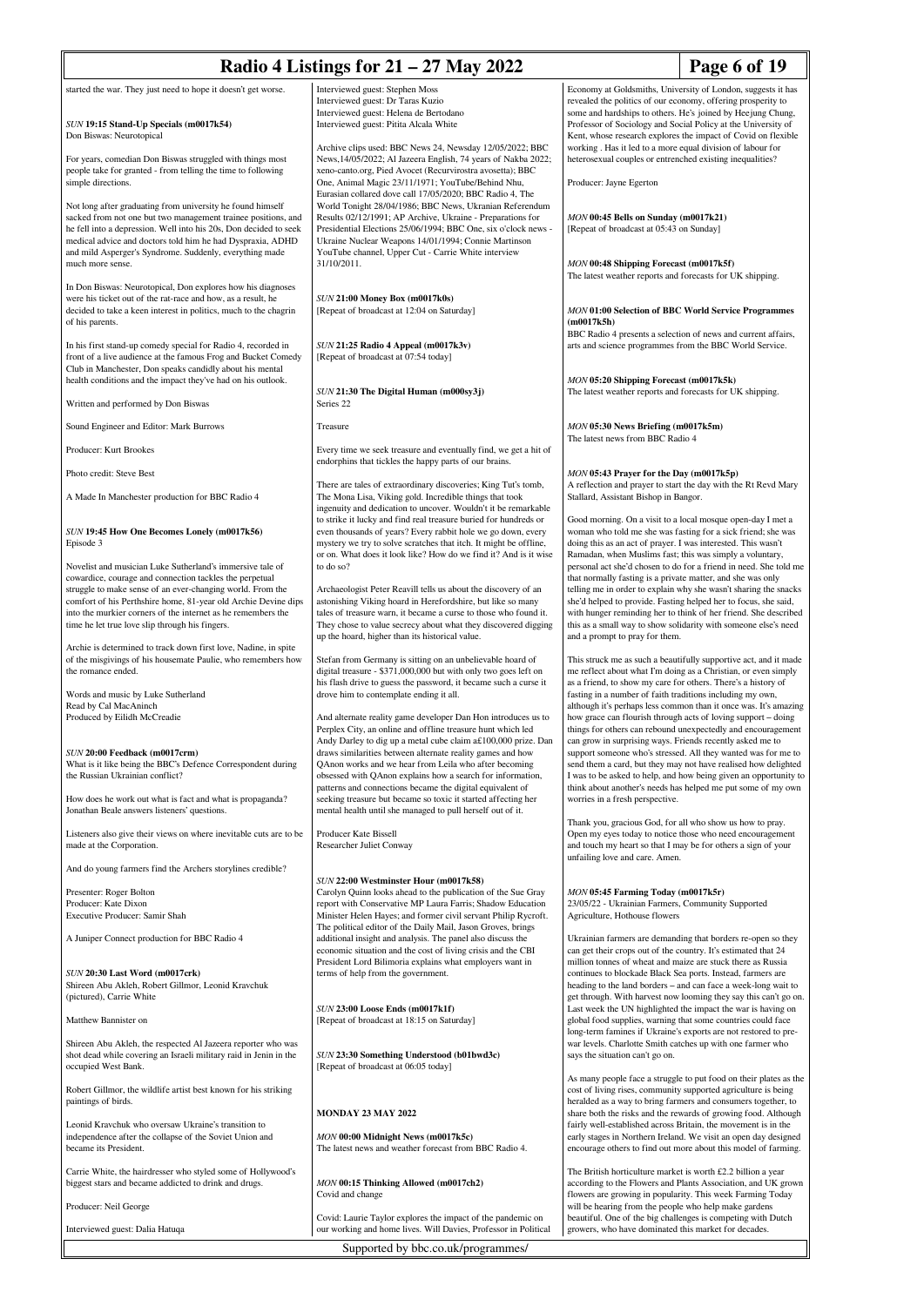| Radio 4 Listings for $21 - 27$ May 2022<br>Page 6 of 19                                                                                                                                                                                                                                                                                                                 |                                                                                                                                                                                                                                                                                                                                                                                                                                                 |                                                                                                                                                                                                                                                                                                                                                                                                                                                 |  |  |
|-------------------------------------------------------------------------------------------------------------------------------------------------------------------------------------------------------------------------------------------------------------------------------------------------------------------------------------------------------------------------|-------------------------------------------------------------------------------------------------------------------------------------------------------------------------------------------------------------------------------------------------------------------------------------------------------------------------------------------------------------------------------------------------------------------------------------------------|-------------------------------------------------------------------------------------------------------------------------------------------------------------------------------------------------------------------------------------------------------------------------------------------------------------------------------------------------------------------------------------------------------------------------------------------------|--|--|
| started the war. They just need to hope it doesn't get worse.                                                                                                                                                                                                                                                                                                           | Interviewed guest: Stephen Moss<br>Interviewed guest: Dr Taras Kuzio<br>Interviewed guest: Helena de Bertodano                                                                                                                                                                                                                                                                                                                                  | Economy at Goldsmiths, University of London, suggests it has<br>revealed the politics of our economy, offering prosperity to<br>some and hardships to others. He's joined by Heejung Chung,                                                                                                                                                                                                                                                     |  |  |
| SUN 19:15 Stand-Up Specials (m0017k54)<br>Don Biswas: Neurotopical                                                                                                                                                                                                                                                                                                      | Interviewed guest: Pitita Alcala White<br>Archive clips used: BBC News 24, Newsday 12/05/2022; BBC                                                                                                                                                                                                                                                                                                                                              | Professor of Sociology and Social Policy at the University of<br>Kent, whose research explores the impact of Covid on flexible<br>working. Has it led to a more equal division of labour for                                                                                                                                                                                                                                                    |  |  |
| For years, comedian Don Biswas struggled with things most<br>people take for granted - from telling the time to following<br>simple directions.                                                                                                                                                                                                                         | News, 14/05/2022; Al Jazeera English, 74 years of Nakba 2022;<br>xeno-canto.org, Pied Avocet (Recurvirostra avosetta); BBC<br>One, Animal Magic 23/11/1971; YouTube/Behind Nhu,                                                                                                                                                                                                                                                                 | heterosexual couples or entrenched existing inequalities?<br>Producer: Jayne Egerton                                                                                                                                                                                                                                                                                                                                                            |  |  |
| Not long after graduating from university he found himself<br>sacked from not one but two management trainee positions, and<br>he fell into a depression. Well into his 20s, Don decided to seek<br>medical advice and doctors told him he had Dyspraxia, ADHD<br>and mild Asperger's Syndrome. Suddenly, everything made                                               | Eurasian collared dove call 17/05/2020; BBC Radio 4, The<br>World Tonight 28/04/1986; BBC News, Ukranian Referendum<br>Results 02/12/1991; AP Archive, Ukraine - Preparations for<br>Presidential Elections 25/06/1994; BBC One, six o'clock news -<br>Ukraine Nuclear Weapons 14/01/1994; Connie Martinson<br>YouTube channel, Upper Cut - Carrie White interview                                                                              | MON 00:45 Bells on Sunday (m0017k21)<br>[Repeat of broadcast at 05:43 on Sunday]                                                                                                                                                                                                                                                                                                                                                                |  |  |
| much more sense.<br>In Don Biswas: Neurotopical, Don explores how his diagnoses                                                                                                                                                                                                                                                                                         | 31/10/2011.                                                                                                                                                                                                                                                                                                                                                                                                                                     | MON 00:48 Shipping Forecast (m0017k5f)<br>The latest weather reports and forecasts for UK shipping.                                                                                                                                                                                                                                                                                                                                             |  |  |
| were his ticket out of the rat-race and how, as a result, he<br>decided to take a keen interest in politics, much to the chagrin<br>of his parents.                                                                                                                                                                                                                     | SUN 21:00 Money Box (m0017k0s)<br>[Repeat of broadcast at 12:04 on Saturday]                                                                                                                                                                                                                                                                                                                                                                    | <b>MON 01:00 Selection of BBC World Service Programmes</b><br>(m0017k5h)                                                                                                                                                                                                                                                                                                                                                                        |  |  |
| In his first stand-up comedy special for Radio 4, recorded in<br>front of a live audience at the famous Frog and Bucket Comedy<br>Club in Manchester, Don speaks candidly about his mental<br>health conditions and the impact they've had on his outlook.                                                                                                              | SUN 21:25 Radio 4 Appeal (m0017k3v)<br>[Repeat of broadcast at 07:54 today]                                                                                                                                                                                                                                                                                                                                                                     | BBC Radio 4 presents a selection of news and current affairs,<br>arts and science programmes from the BBC World Service.<br>MON 05:20 Shipping Forecast (m0017k5k)                                                                                                                                                                                                                                                                              |  |  |
| Written and performed by Don Biswas                                                                                                                                                                                                                                                                                                                                     | SUN 21:30 The Digital Human (m000sy3j)<br>Series <sub>22</sub>                                                                                                                                                                                                                                                                                                                                                                                  | The latest weather reports and forecasts for UK shipping.                                                                                                                                                                                                                                                                                                                                                                                       |  |  |
| Sound Engineer and Editor: Mark Burrows                                                                                                                                                                                                                                                                                                                                 | Treasure                                                                                                                                                                                                                                                                                                                                                                                                                                        | MON 05:30 News Briefing (m0017k5m)<br>The latest news from BBC Radio 4                                                                                                                                                                                                                                                                                                                                                                          |  |  |
| Producer: Kurt Brookes                                                                                                                                                                                                                                                                                                                                                  | Every time we seek treasure and eventually find, we get a hit of<br>endorphins that tickles the happy parts of our brains.                                                                                                                                                                                                                                                                                                                      |                                                                                                                                                                                                                                                                                                                                                                                                                                                 |  |  |
| Photo credit: Steve Best<br>A Made In Manchester production for BBC Radio 4                                                                                                                                                                                                                                                                                             | There are tales of extraordinary discoveries; King Tut's tomb,<br>The Mona Lisa, Viking gold. Incredible things that took                                                                                                                                                                                                                                                                                                                       | MON 05:43 Prayer for the Day (m0017k5p)<br>A reflection and prayer to start the day with the Rt Revd Mary<br>Stallard, Assistant Bishop in Bangor.                                                                                                                                                                                                                                                                                              |  |  |
| SUN 19:45 How One Becomes Lonely (m0017k56)<br>Episode 3                                                                                                                                                                                                                                                                                                                | ingenuity and dedication to uncover. Wouldn't it be remarkable<br>to strike it lucky and find real treasure buried for hundreds or<br>even thousands of years? Every rabbit hole we go down, every<br>mystery we try to solve scratches that itch. It might be offline,<br>or on. What does it look like? How do we find it? And is it wise                                                                                                     | Good morning. On a visit to a local mosque open-day I met a<br>woman who told me she was fasting for a sick friend; she was<br>doing this as an act of prayer. I was interested. This wasn't<br>Ramadan, when Muslims fast; this was simply a voluntary,                                                                                                                                                                                        |  |  |
| Novelist and musician Luke Sutherland's immersive tale of<br>cowardice, courage and connection tackles the perpetual<br>struggle to make sense of an ever-changing world. From the<br>comfort of his Perthshire home, 81-year old Archie Devine dips<br>into the murkier corners of the internet as he remembers the<br>time he let true love slip through his fingers. | to do so?<br>Archaeologist Peter Reavill tells us about the discovery of an<br>astonishing Viking hoard in Herefordshire, but like so many<br>tales of treasure warn, it became a curse to those who found it.<br>They chose to value secrecy about what they discovered digging<br>up the hoard, higher than its historical value.                                                                                                             | personal act she'd chosen to do for a friend in need. She told me<br>that normally fasting is a private matter, and she was only<br>telling me in order to explain why she wasn't sharing the snacks<br>she'd helped to provide. Fasting helped her to focus, she said,<br>with hunger reminding her to think of her friend. She described<br>this as a small way to show solidarity with someone else's need<br>and a prompt to pray for them. |  |  |
| Archie is determined to track down first love, Nadine, in spite<br>of the misgivings of his housemate Paulie, who remembers how<br>the romance ended.                                                                                                                                                                                                                   | Stefan from Germany is sitting on an unbelievable hoard of<br>digital treasure - \$371,000,000 but with only two goes left on<br>his flash drive to guess the password, it became such a curse it                                                                                                                                                                                                                                               | This struck me as such a beautifully supportive act, and it made<br>me reflect about what I'm doing as a Christian, or even simply<br>as a friend, to show my care for others. There's a history of                                                                                                                                                                                                                                             |  |  |
| Words and music by Luke Sutherland<br>Read by Cal MacAninch<br>Produced by Eilidh McCreadie                                                                                                                                                                                                                                                                             | drove him to contemplate ending it all.<br>And alternate reality game developer Dan Hon introduces us to                                                                                                                                                                                                                                                                                                                                        | fasting in a number of faith traditions including my own,<br>although it's perhaps less common than it once was. It's amazing<br>how grace can flourish through acts of loving support – doing                                                                                                                                                                                                                                                  |  |  |
| SUN 20:00 Feedback (m0017crm)<br>What is it like being the BBC's Defence Correspondent during<br>the Russian Ukrainian conflict?<br>How does he work out what is fact and what is propaganda?                                                                                                                                                                           | Perplex City, an online and offline treasure hunt which led<br>Andy Darley to dig up a metal cube claim a£100,000 prize. Dan<br>draws similarities between alternate reality games and how<br>QAnon works and we hear from Leila who after becoming<br>obsessed with QAnon explains how a search for information,<br>patterns and connections became the digital equivalent of<br>seeking treasure but became so toxic it started affecting her | things for others can rebound unexpectedly and encouragement<br>can grow in surprising ways. Friends recently asked me to<br>support someone who's stressed. All they wanted was for me to<br>send them a card, but they may not have realised how delighted<br>I was to be asked to help, and how being given an opportunity to<br>think about another's needs has helped me put some of my own                                                |  |  |
| Jonathan Beale answers listeners' questions.<br>Listeners also give their views on where inevitable cuts are to be                                                                                                                                                                                                                                                      | mental health until she managed to pull herself out of it.<br>Producer Kate Bissell                                                                                                                                                                                                                                                                                                                                                             | worries in a fresh perspective.<br>Thank you, gracious God, for all who show us how to pray.<br>Open my eyes today to notice those who need encouragement                                                                                                                                                                                                                                                                                       |  |  |
| made at the Corporation.                                                                                                                                                                                                                                                                                                                                                | Researcher Juliet Conway                                                                                                                                                                                                                                                                                                                                                                                                                        | and touch my heart so that I may be for others a sign of your<br>unfailing love and care. Amen.                                                                                                                                                                                                                                                                                                                                                 |  |  |
| And do young farmers find the Archers storylines credible?                                                                                                                                                                                                                                                                                                              | SUN 22:00 Westminster Hour (m0017k58)                                                                                                                                                                                                                                                                                                                                                                                                           |                                                                                                                                                                                                                                                                                                                                                                                                                                                 |  |  |
| Presenter: Roger Bolton<br>Producer: Kate Dixon<br>Executive Producer: Samir Shah                                                                                                                                                                                                                                                                                       | Carolyn Quinn looks ahead to the publication of the Sue Gray<br>report with Conservative MP Laura Farris; Shadow Education<br>Minister Helen Hayes; and former civil servant Philip Rycroft.<br>The political editor of the Daily Mail, Jason Groves, brings                                                                                                                                                                                    | MON 05:45 Farming Today (m0017k5r)<br>23/05/22 - Ukrainian Farmers, Community Supported<br>Agriculture, Hothouse flowers                                                                                                                                                                                                                                                                                                                        |  |  |
| A Juniper Connect production for BBC Radio 4                                                                                                                                                                                                                                                                                                                            | additional insight and analysis. The panel also discuss the<br>economic situation and the cost of living crisis and the CBI                                                                                                                                                                                                                                                                                                                     | Ukrainian farmers are demanding that borders re-open so they<br>can get their crops out of the country. It's estimated that 24                                                                                                                                                                                                                                                                                                                  |  |  |
| SUN 20:30 Last Word (m0017crk)<br>Shireen Abu Akleh, Robert Gillmor, Leonid Kravchuk<br>(pictured), Carrie White                                                                                                                                                                                                                                                        | President Lord Bilimoria explains what employers want in<br>terms of help from the government.                                                                                                                                                                                                                                                                                                                                                  | million tonnes of wheat and maize are stuck there as Russia<br>continues to blockade Black Sea ports. Instead, farmers are<br>heading to the land borders – and can face a week-long wait to<br>get through. With harvest now looming they say this can't go on.                                                                                                                                                                                |  |  |
| Matthew Bannister on                                                                                                                                                                                                                                                                                                                                                    | SUN 23:00 Loose Ends (m0017k1f)<br>[Repeat of broadcast at 18:15 on Saturday]                                                                                                                                                                                                                                                                                                                                                                   | Last week the UN highlighted the impact the war is having on<br>global food supplies, warning that some countries could face<br>long-term famines if Ukraine's exports are not restored to pre-                                                                                                                                                                                                                                                 |  |  |
| Shireen Abu Akleh, the respected Al Jazeera reporter who was<br>shot dead while covering an Israeli military raid in Jenin in the<br>occupied West Bank.                                                                                                                                                                                                                | SUN 23:30 Something Understood (b01bwd3c)<br>[Repeat of broadcast at 06:05 today]                                                                                                                                                                                                                                                                                                                                                               | war levels. Charlotte Smith catches up with one farmer who<br>says the situation can't go on.                                                                                                                                                                                                                                                                                                                                                   |  |  |
| Robert Gillmor, the wildlife artist best known for his striking<br>paintings of birds.                                                                                                                                                                                                                                                                                  |                                                                                                                                                                                                                                                                                                                                                                                                                                                 | As many people face a struggle to put food on their plates as the<br>cost of living rises, community supported agriculture is being<br>heralded as a way to bring farmers and consumers together, to                                                                                                                                                                                                                                            |  |  |
| Leonid Kravchuk who oversaw Ukraine's transition to<br>independence after the collapse of the Soviet Union and<br>became its President.                                                                                                                                                                                                                                 | <b>MONDAY 23 MAY 2022</b><br>MON 00:00 Midnight News (m0017k5c)<br>The latest news and weather forecast from BBC Radio 4.                                                                                                                                                                                                                                                                                                                       | share both the risks and the rewards of growing food. Although<br>fairly well-established across Britain, the movement is in the<br>early stages in Northern Ireland. We visit an open day designed<br>encourage others to find out more about this model of farming.                                                                                                                                                                           |  |  |
| Carrie White, the hairdresser who styled some of Hollywood's<br>biggest stars and became addicted to drink and drugs.                                                                                                                                                                                                                                                   | MON 00:15 Thinking Allowed (m0017ch2)<br>Covid and change                                                                                                                                                                                                                                                                                                                                                                                       | The British horticulture market is worth £2.2 billion a year<br>according to the Flowers and Plants Association, and UK grown<br>flowers are growing in popularity. This week Farming Today                                                                                                                                                                                                                                                     |  |  |
| Producer: Neil George                                                                                                                                                                                                                                                                                                                                                   | Covid: Laurie Taylor explores the impact of the pandemic on                                                                                                                                                                                                                                                                                                                                                                                     | will be hearing from the people who help make gardens<br>beautiful. One of the big challenges is competing with Dutch                                                                                                                                                                                                                                                                                                                           |  |  |
| Interviewed guest: Dalia Hatuqa                                                                                                                                                                                                                                                                                                                                         | our working and home lives. Will Davies, Professor in Political<br>Supported by bbc.co.uk/programmes/                                                                                                                                                                                                                                                                                                                                           | growers, who have dominated this market for decades.                                                                                                                                                                                                                                                                                                                                                                                            |  |  |
|                                                                                                                                                                                                                                                                                                                                                                         |                                                                                                                                                                                                                                                                                                                                                                                                                                                 |                                                                                                                                                                                                                                                                                                                                                                                                                                                 |  |  |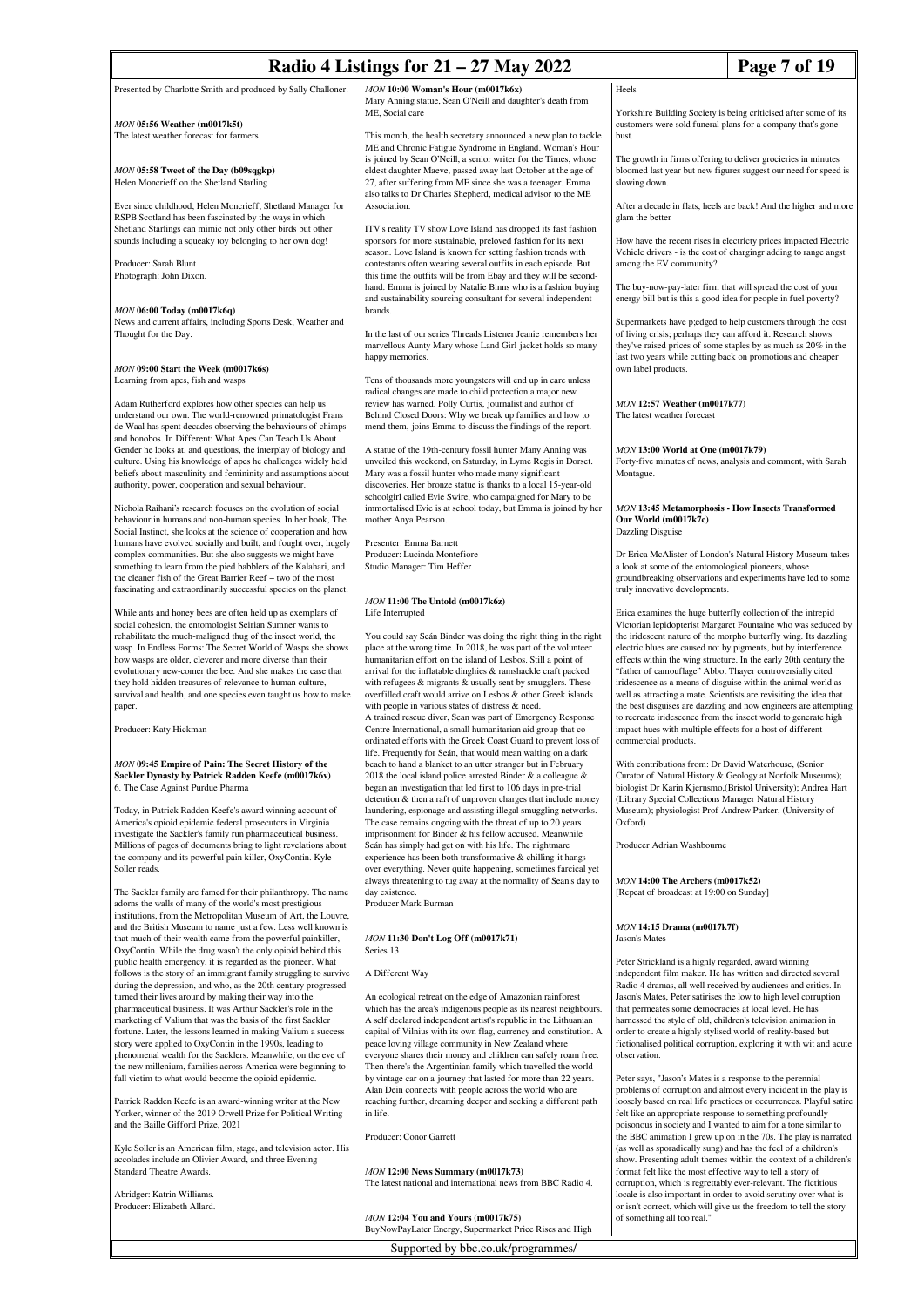# **Radio 4 Listings for 21 – 27 May 2022** Page 7 of 19

Presented by Charlotte Smith and produced by Sally Challoner.

# *MON* **05:56 Weather (m0017k5t)**

The latest weather forecast for farmers.

#### *MON* **05:58 Tweet of the Day (b09sqgkp)** Helen Moncrieff on the Shetland Starling

Ever since childhood, Helen Moncrieff, Shetland Manager for RSPB Scotland has been fascinated by the ways in which Shetland Starlings can mimic not only other birds but other sounds including a squeaky toy belonging to her own dog!

Producer: Sarah Blunt Photograph: John Dixon.

#### *MON* **06:00 Today (m0017k6q)**

News and current affairs, including Sports Desk, Weather and Thought for the Day.

#### *MON* **09:00 Start the Week (m0017k6s)** Learning from apes, fish and wasps

Adam Rutherford explores how other species can help us understand our own. The world-renowned primatologist Frans de Waal has spent decades observing the behaviours of chimps and bonobos. In Different: What Apes Can Teach Us About Gender he looks at, and questions, the interplay of biology and culture. Using his knowledge of apes he challenges widely held beliefs about masculinity and femininity and assumptions about authority, power, cooperation and sexual behaviour.

Nichola Raihani's research focuses on the evolution of social behaviour in humans and non-human species. In her book, The Social Instinct, she looks at the science of cooperation and how humans have evolved socially and built, and fought over, hugely complex communities. But she also suggests we might have something to learn from the pied babblers of the Kalahari, and the cleaner fish of the Great Barrier Reef – two of the most fascinating and extraordinarily successful species on the planet.

While ants and honey bees are often held up as exemplars of social cohesion, the entomologist Seirian Sumner wants to rehabilitate the much-maligned thug of the insect world, the wasp. In Endless Forms: The Secret World of Wasps she shows how wasps are older, cleverer and more diverse than their evolutionary new-comer the bee. And she makes the case that they hold hidden treasures of relevance to human culture, survival and health, and one species even taught us how to make paper.

Producer: Katy Hickman

*MON* **09:45 Empire of Pain: The Secret History of the Sackler Dynasty by Patrick Radden Keefe (m0017k6v)** 6. The Case Against Purdue Pharma

Today, in Patrick Radden Keefe's award winning account of America's opioid epidemic federal prosecutors in Virginia investigate the Sackler's family run pharmaceutical business. Millions of pages of documents bring to light revelations about the company and its powerful pain killer, OxyContin. Kyle Soller reads.

The Sackler family are famed for their philanthropy. The name adorns the walls of many of the world's most prestigious institutions, from the Metropolitan Museum of Art, the Louvre, and the British Museum to name just a few. Less well known is that much of their wealth came from the powerful painkiller, OxyContin. While the drug wasn't the only opioid behind this public health emergency, it is regarded as the pioneer. What follows is the story of an immigrant family struggling to survive during the depression, and who, as the 20th century progressed turned their lives around by making their way into the pharmaceutical business. It was Arthur Sackler's role in the marketing of Valium that was the basis of the first Sackler fortune. Later, the lessons learned in making Valium a success story were applied to OxyContin in the 1990s, leading to phenomenal wealth for the Sacklers. Meanwhile, on the eve of the new millenium, families across America were begin fall victim to what would become the opioid epidemic.

Patrick Radden Keefe is an award-winning writer at the New Yorker, winner of the 2019 Orwell Prize for Political Writing and the Baille Gifford Prize, 2021

Kyle Soller is an American film, stage, and television actor. His accolades include an Olivier Award, and three Evening Standard Theatre Awards.

Abridger: Katrin Williams. Producer: Elizabeth Allard. *MON* **10:00 Woman's Hour (m0017k6x)** Mary Anning statue, Sean O'Neill and daughter's death from ME, Social c

This month, the health secretary announced a new plan to tackle ME and Chronic Fatigue Syndrome in England. Woman's Hour is joined by Sean O'Neill, a senior writer for the Times, whose eldest daughter Maeve, passed away last October at the age of 27, after suffering from ME since she was a teenager. Emma also talks to Dr Charles Shepherd, medical advisor to the ME Association.

ITV's reality TV show Love Island has dropped its fast fashion sponsors for more sustainable, preloved fashion for its next season. Love Island is known for setting fashion trends with contestants often wearing several outfits in each episode. But this time the outfits will be from Ebay and they will be secondhand. Emma is joined by Natalie Binns who is a fashion buying and sustainability sourcing consultant for several independent brands.

In the last of our series Threads Listener Jeanie remembers her marvellous Aunty Mary whose Land Girl jacket holds so many happy memories

Tens of thousands more youngsters will end up in care unless radical changes are made to child protection a major new review has warned. Polly Curtis, journalist and author of Behind Closed Doors: Why we break up families and how to mend them, joins Emma to discuss the findings of the report.

A statue of the 19th-century fossil hunter Many Anning was unveiled this weekend, on Saturday, in Lyme Regis in Dorset. Mary was a fossil hunter who made many significant discoveries. Her bronze statue is thanks to a local 15-year-old schoolgirl called Evie Swire, who campaigned for Mary to be immortalised Evie is at school today, but Emma is joined by her mother Anya Pearson.

Presenter: Emma Barnett Producer: Lucinda Montefiore Studio Manager: Tim Heffer

### *MON* **11:00 The Untold (m0017k6z)** Life Interrupted

You could say Seán Binder was doing the right thing in the right place at the wrong time. In 2018, he was part of the volunteer humanitarian effort on the island of Lesbos. Still a point of arrival for the inflatable dinghies & ramshackle craft packed with refugees  $\&$  migrants  $\&$  usually sent by smugglers. These overfilled craft would arrive on Lesbos & other Greek islands with people in various states of distress & need. A trained rescue diver, Sean was part of Emergency Response Centre International, a small humanitarian aid group that coordinated efforts with the Greek Coast Guard to prevent loss of life. Frequently for Seán, that would mean waiting on a dark beach to hand a blanket to an utter stranger but in February 2018 the local island police arrested Binder & a colleague & began an investigation that led first to 106 days in pre-trial detention & then a raft of unproven charges that include money laundering, espionage and assisting illegal smuggling networks. The case remains ongoing with the threat of up to 20 years imprisonment for Binder  $\&$  his fellow accused. Meanwhile Seán has simply had get on with his life. The nightmare experience has been both transformative & chilling-it hangs over everything. Never quite happening, sometimes farcical yet always threatening to tug away at the normality of Sean's day to day existence. Producer Mark Burman

#### *MON* **11:30 Don't Log Off (m0017k71)** Series 13

## A Different Way

An ecological retreat on the edge of Amazonian rainforest which has the area's indigenous people as its nearest neighbours. A self declared independent artist's republic in the Lithuanian capital of Vilnius with its own flag, currency and constitution. A peace loving village community in New Zealand where everyone shares their money and children can safely roam free. Then there's the Argentinian family which travelled the world by vintage car on a journey that lasted for more than 22 years. Alan Dein connects with people across the world who are reaching further, dreaming deeper and seeking a different path in life.

Producer: Conor Garrett

*MON* **12:00 News Summary (m0017k73)** The latest national and international news from BBC Radio 4.

*MON* **12:04 You and Yours (m0017k75)** BuyNowPayLater Energy, Supermarket Price Rises and High

Supported by bbc.co.uk/programmes/

# Heels

Yorkshire Building Society is being criticised after some of its customers were sold funeral plans for a company that's gone bust.

The growth in firms offering to deliver grocieries in minutes bloomed last year but new figures suggest our need for speed is slowing down.

After a decade in flats, heels are back! And the higher and more glam the better

How have the recent rises in electricty prices impacted Electric Vehicle drivers - is the cost of chargingr adding to range angst among the EV community?.

The buy-now-pay-later firm that will spread the cost of your energy bill but is this a good idea for people in fuel poverty?

Supermarkets have p;edged to help customers through the cost of living crisis; perhaps they can afford it. Research shows they've raised prices of some staples by as much as 20% in the last two years while cutting back on promotions and cheaper own label products.

*MON* **12:57 Weather (m0017k77)** The latest weather forecast

*MON* **13:00 World at One (m0017k79)**

Forty-five minutes of news, analysis and comment, with Sarah Montague.

*MON* **13:45 Metamorphosis - How Insects Transformed Our World (m0017k7c)** Dazzling Disguise

Dr Erica McAlister of London's Natural History Museum takes a look at some of the entomological pioneers, whose groundbreaking observations and experiments have led to some truly innovative developments.

Erica examines the huge butterfly collection of the intrepid Victorian lepidopterist Margaret Fountaine who was seduced by the iridescent nature of the morpho butterfly wing. Its dazzling electric blues are caused not by pigments, but by interference effects within the wing structure. In the early 20th century the "father of camouflage" Abbot Thayer controversially cited iridescence as a means of disguise within the animal world as well as attracting a mate. Scientists are revisiting the idea that the best disguises are dazzling and now engineers are attempting to recreate iridescence from the insect world to generate high impact hues with multiple effects for a host of different commercial products.

With contributions from: Dr David Waterhouse, (Senior Curator of Natural History & Geology at Norfolk Museums); biologist Dr Karin Kjernsmo,(Bristol University); Andrea Hart (Library Special Collections Manager Natural History Museum); physiologist Prof Andrew Parker, (University of Oxford)

Producer Adrian Washbourne

*MON* **14:00 The Archers (m0017k52)** [Repeat of broadcast at 19:00 on Sunday]

*MON* **14:15 Drama (m0017k7f)** Jason's Mates

Peter Strickland is a highly regarded, award winning independent film maker. He has written and directed several Radio 4 dramas, all well received by audiences and critics. In Jason's Mates, Peter satirises the low to high level corruption that permeates some democracies at local level. He has harnessed the style of old, children's television animation in order to create a highly stylised world of reality-based but fictionalised political corruption, exploring it with wit and acute observation.

Peter says, "Jason's Mates is a response to the perennial problems of corruption and almost every incident in the play is loosely based on real life practices or occurrences. Playful satire felt like an appropriate response to something profoundly poisonous in society and I wanted to aim for a tone similar to the BBC animation I grew up on in the 70s. The play is narrat (as well as sporadically sung) and has the feel of a children's show. Presenting adult themes within the context of a children's format felt like the most effective way to tell a story of corruption, which is regrettably ever-relevant. The fictitious locale is also important in order to avoid scrutiny over what is or isn't correct, which will give us the freedom to tell the story of something all too real."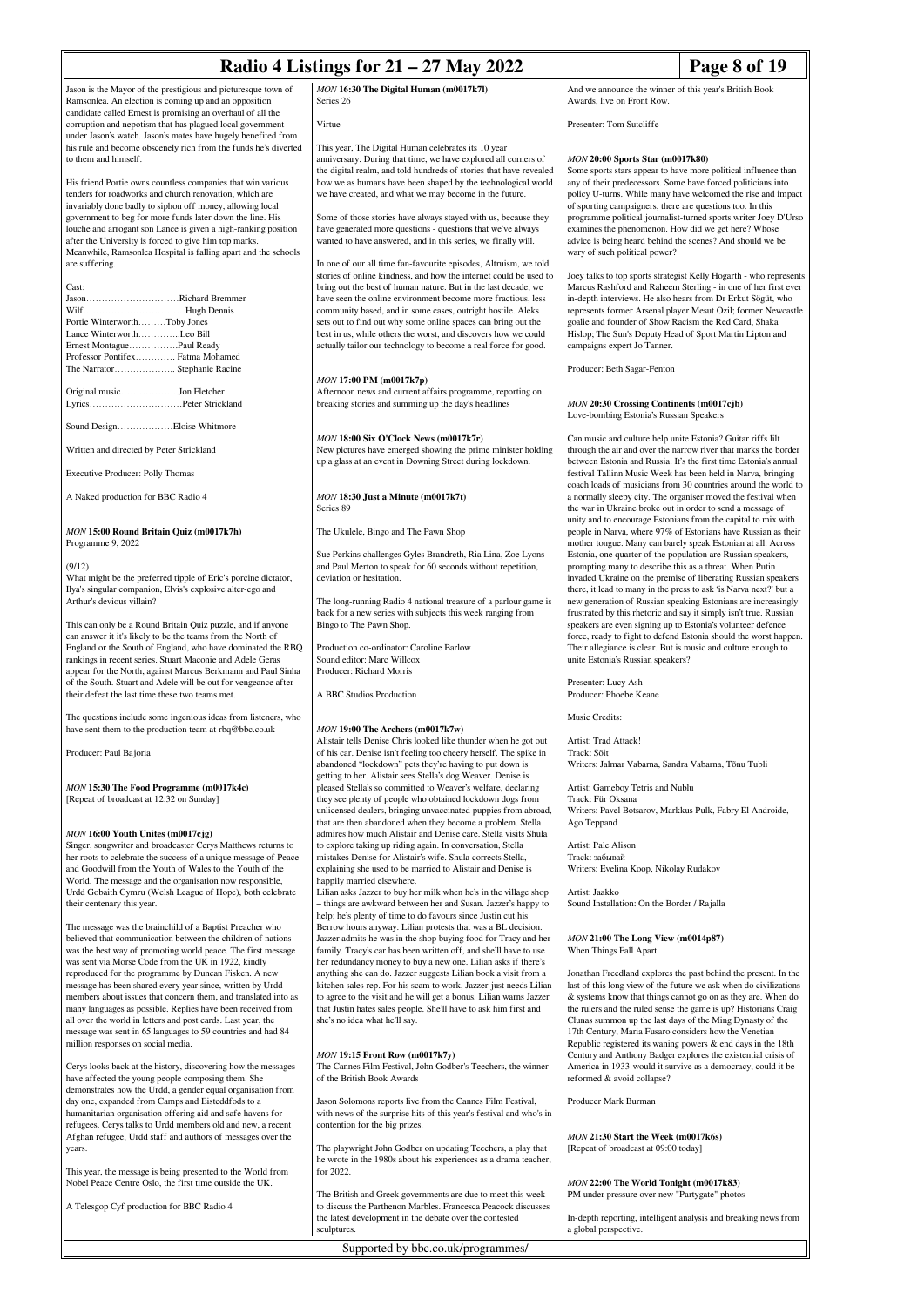# **Radio 4 Listings for 21 – 27 May 2022** Page 8 of 19

Jason is the Mayor of the prestigious and picturesque town of Ramsonlea. An election is coming up and an opposition candidate called Ernest is promising an overhaul of all the corruption and nepotism that has plagued local government under Jason's watch. Jason's mates have hugely benefited from his rule and become obscenely rich from the funds he's diverted to them and himself.

His friend Portie owns countless companies that win various tenders for roadworks and church renovation, which are invariably done badly to siphon off money, allowing local government to beg for more funds later down the line. His louche and arrogant son Lance is given a high-ranking position after the University is forced to give him top marks. Meanwhile, Ramsonlea Hospital is falling apart and the schools are suffering.

| Cast:                            |
|----------------------------------|
| JasonRichard Bremmer             |
|                                  |
| Portie WinterworthToby Jones     |
| Lance WinterworthLeo Bill        |
| Ernest MontaguePaul Ready        |
| Professor Pontifex Fatma Mohamed |
|                                  |
|                                  |
| Original musicJon Fletcher       |
|                                  |
|                                  |

Sound Design………………Eloise Whitmore

Written and directed by Peter Strickland

Executive Producer: Polly Thomas

A Naked production for BBC Radio 4

*MON* **15:00 Round Britain Quiz (m0017k7h)** Programme 9, 2022

#### $(9/12)$

What might be the preferred tipple of Eric's porcine dictator, Ilya's singular companion, Elvis's explosive alter-ego and Arthur's devious villain?

This can only be a Round Britain Quiz puzzle, and if anyone can answer it it's likely to be the teams from the North of England or the South of England, who have dominated the RBQ rankings in recent series. Stuart Maconie and Adele Geras appear for the North, against Marcus Berkmann and Paul Sinha of the South. Stuart and Adele will be out for vengeance after their defeat the last time these two teams met.

The questions include some ingenious ideas from listeners, who have sent them to the production team at rbq@bbc.co.uk

Producer: Paul Bajoria

*MON* **15:30 The Food Programme (m0017k4c)** [Repeat of broadcast at 12:32 on Sunday]

### *MON* **16:00 Youth Unites (m0017cjg)**

Singer, songwriter and broadcaster Cerys Matthews returns to her roots to celebrate the success of a unique message of Peace and Goodwill from the Youth of Wales to the Youth of the World. The message and the organisation now responsible. Urdd Gobaith Cymru (Welsh League of Hope), both celebrate their centenary this year.

The message was the brainchild of a Baptist Preacher who believed that communication between the children of nations was the best way of promoting world peace. The first message was sent via Morse Code from the UK in 1922, kindly reproduced for the programme by Duncan Fisken. A new message has been shared every year since, written by Urdd members about issues that concern them, and translated into as many languages as possible. Replies have been received from all over the world in letters and post cards. Last year, the message was sent in 65 languages to 59 countries and had 84 million responses on social media.

Cerys looks back at the history, discovering how the messages have affected the young people composing them. She demonstrates how the Urdd, a gender equal organisation from day one, expanded from Camps and Eisteddfods to a humanitarian organisation offering aid and safe havens for refugees. Cerys talks to Urdd members old and new, a recent Afghan refugee, Urdd staff and authors of messages over the years.

This year, the message is being presented to the World from Nobel Peace Centre Oslo, the first time outside the UK.

A Telesgop Cyf production for BBC Radio 4

*MON* **16:30 The Digital Human (m0017k7l)** Series 26

Virtue

This year, The Digital Human celebrates its 10 year anniversary. During that time, we have explored all corners of the digital realm, and told hundreds of stories that have revealed how we as humans have been shaped by the technological world we have created, and what we may become in the future.

Some of those stories have always stayed with us, because they have generated more questions - questions that we've always wanted to have answered, and in this series, we finally will.

In one of our all time fan-favourite episodes, Altruism, we told stories of online kindness, and how the internet could be used to bring out the best of human nature. But in the last decade, we have seen the online environment become more fractious, less community based, and in some cases, outright hostile. Aleks sets out to find out why some online spaces can bring out the best in us, while others the worst, and discovers how we could actually tailor our technology to become a real force for good.

## *MON* **17:00 PM (m0017k7p)**

Afternoon news and current affairs programme, reporting on breaking stories and summing up the day's headlines

#### *MON* **18:00 Six O'Clock News (m0017k7r)**

New pictures have emerged showing the prime minister holding up a glass at an event in Downing Street during lockdown.

*MON* **18:30 Just a Minute (m0017k7t)** Series 89

The Ukulele, Bingo and The Pawn Shop

Sue Perkins challenges Gyles Brandreth, Ria Lina, Zoe Lyons and Paul Merton to speak for 60 seconds without repetition, deviation or hesitation.

The long-running Radio 4 national treasure of a parlour game is back for a new series with subjects this week ranging from Bingo to The Pawn Shop.

Production co-ordinator: Caroline Barlow Sound editor: Marc Willcox Producer: Richard Morris

A BBC Studios Production

### *MON* **19:00 The Archers (m0017k7w)**

Alistair tells Denise Chris looked like thunder when he got out of his car. Denise isn't feeling too cheery herself. The spike in abandoned "lockdown" pets they're having to put down is getting to her. Alistair sees Stella's dog Weaver. Denise is pleased Stella's so committed to Weaver's welfare, declaring they see plenty of people who obtained lockdown dogs from unlicensed dealers, bringing unvaccinated puppies from abroad, that are then abandoned when they become a problem. Stella admires how much Alistair and Denise care. Stella visits Shula to explore taking up riding again. In conversation, Stella mistakes Denise for Alistair's wife. Shula corrects Stella, explaining she used to be married to Alistair and Denise is happily married elsewhere. Lilian asks Jazzer to buy her milk when he's in the village shop

– things are awkward between her and Susan. Jazzer's happy to help; he's plenty of time to do favours since Justin cut his Berrow hours anyway. Lilian protests that was a BL decision. Jazzer admits he was in the shop buying food for Tracy and her family. Tracy's car has been written off, and she'll have to use her redundancy money to buy a new one. Lilian asks if there's anything she can do. Jazzer suggests Lilian book a visit from a kitchen sales rep. For his scam to work, Jazzer just needs Lilian to agree to the visit and he will get a bonus. Lilian warns Jazzer that Justin hates sales people. She'll have to ask him first and she's no idea what he'll say.

### *MON* **19:15 Front Row (m0017k7y)**

The Cannes Film Festival, John Godber's Teechers, the winner of the British Book Awards

Jason Solomons reports live from the Cannes Film Festival, with news of the surprise hits of this year's festival and who's in contention for the big prizes.

The playwright John Godber on updating Teechers, a play that he wrote in the 1980s about his experiences as a drama teacher, for 2022.

The British and Greek governments are due to meet this week to discuss the Parthenon Marbles. Francesca Peacock discu the latest development in the debate over the contested sculptures.

And we announce the winner of this year's British Book Awards, live on Front Row.

Presenter: Tom Sutcliffe

## *MON* **20:00 Sports Star (m0017k80)**

Some sports stars appear to have more political influence than any of their predecessors. Some have forced politicians into policy U-turns. While many have welcomed the rise and impact of sporting campaigners, there are questions too. In this programme political journalist-turned sports writer Joey D'Urso examines the phenomenon. How did we get here? Whose advice is being heard behind the scenes? And should we be wary of such political power?

Joey talks to top sports strategist Kelly Hogarth - who represents Marcus Rashford and Raheem Sterling - in one of her first ever in-depth interviews. He also hears from Dr Erkut Sögüt, who represents former Arsenal player Mesut Özil; former Newcastle goalie and founder of Show Racism the Red Card, Shaka Hislop; The Sun's Deputy Head of Sport Martin Lipton and campaigns expert Jo Tanner.

Producer: Beth Sagar-Fenton

*MON* **20:30 Crossing Continents (m0017cjb)** Love-bombing Estonia's Russian Speakers

Can music and culture help unite Estonia? Guitar riffs lilt through the air and over the narrow river that marks the border between Estonia and Russia. It's the first time Estonia's annual festival Tallinn Music Week has been held in Narva, bringing coach loads of musicians from 30 countries around the world to a normally sleepy city. The organiser moved the festival when the war in Ukraine broke out in order to send a message of unity and to encourage Estonians from the capital to mix with people in Narva, where 97% of Estonians have Russian as their mother tongue. Many can barely speak Estonian at all. Across Estonia, one quarter of the population are Russian speakers, prompting many to describe this as a threat. When Putin invaded Ukraine on the premise of liberating Russian speakers there, it lead to many in the press to ask 'is Narva next?' but a new generation of Russian speaking Estonians are increasingly frustrated by this rhetoric and say it simply isn't true. Russian speakers are even signing up to Estonia's volunteer defence force, ready to fight to defend Estonia should the worst happen. Their allegiance is clear. But is music and culture enough to unite Estonia's Russian speakers?

Presenter: Lucy Ash Producer: Phoebe Keane

Music Credits:

Artist: Trad Attack! Track: Sõit Writers: Jalmar Vabarna, Sandra Vabarna, Tõnu Tubli

Artist: Gameboy Tetris and Nublu Track: Für Oksar Writers: Pavel Botsarov, Markkus Pulk, Fabry El Androide, Ago Teppand

Artist: Pale Alison Track: забывай Writers: Evelina Koop, Nikolay Rudakov

Artist: Jaakko Sound Installation: On the Border / Rajalla

*MON* **21:00 The Long View (m0014p87)** When Things Fall Apart

Jonathan Freedland explores the past behind the present. In the last of this long view of the future we ask when do civilizations & systems know that things cannot go on as they are. When do the rulers and the ruled sense the game is up? Historians Craig Clunas summon up the last days of the Ming Dynasty of the 17th Century, Maria Fusaro considers how the Venetian Republic registered its waning powers & end days in the 18th Century and Anthony Badger explores the existential crisis of America in 1933-would it survive as a democracy, could it be reformed & avoid collapse?

Producer Mark Burman

*MON* **21:30 Start the Week (m0017k6s)** [Repeat of broadcast at 09:00 today]

*MON* **22:00 The World Tonight (m0017k83)** PM under pressure over new "Partygate" photos

In-depth reporting, intelligent analysis and breaking news from a global perspective.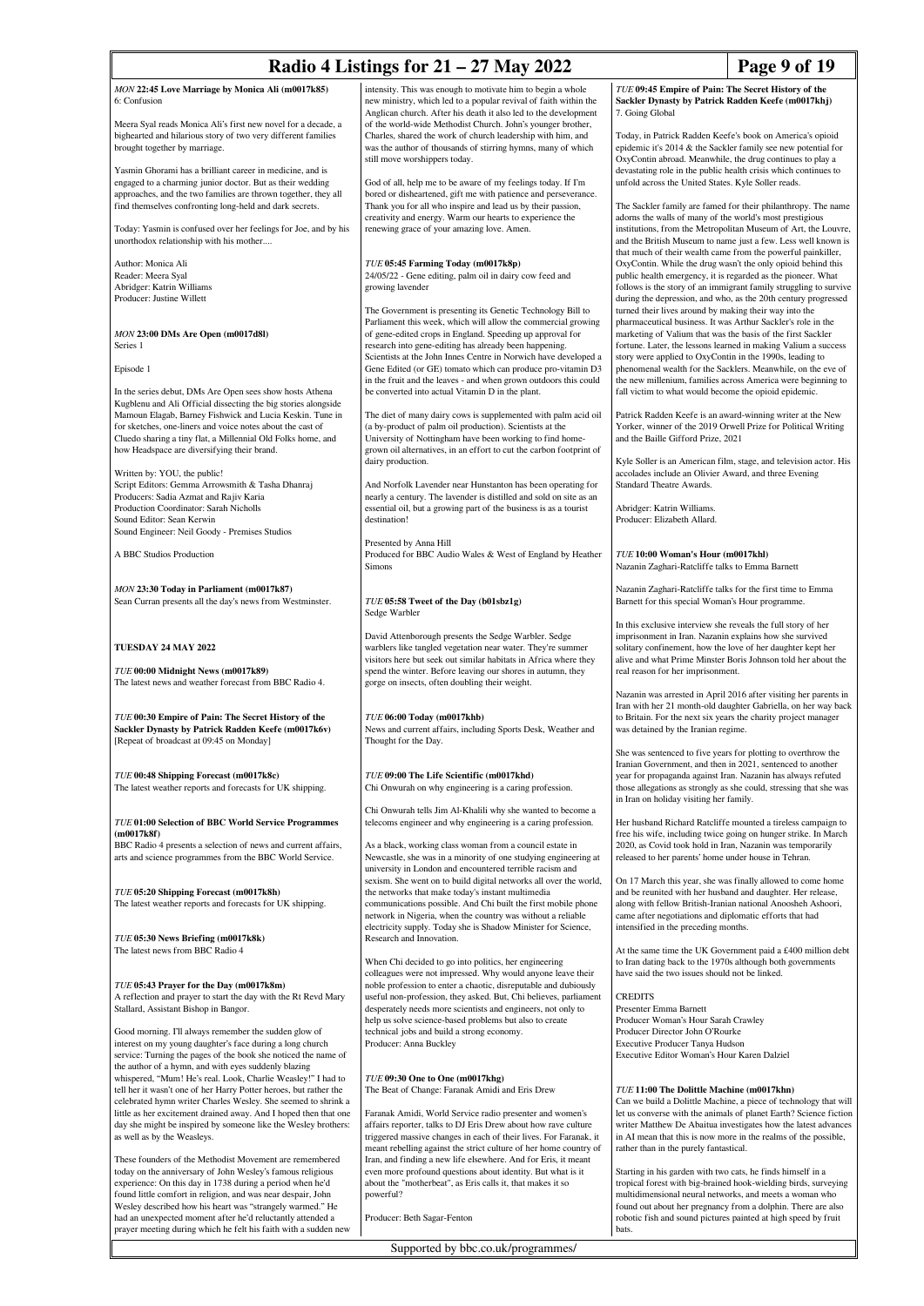| Radio 4 Listings for $21 - 27$ May 2022                                                                                                                                                                                                                                                                                                                                 | Page 9 of 19                                                                                                                                                                                                                                                                                   |                                                                                                                                                                                                                                                                                                                         |  |  |
|-------------------------------------------------------------------------------------------------------------------------------------------------------------------------------------------------------------------------------------------------------------------------------------------------------------------------------------------------------------------------|------------------------------------------------------------------------------------------------------------------------------------------------------------------------------------------------------------------------------------------------------------------------------------------------|-------------------------------------------------------------------------------------------------------------------------------------------------------------------------------------------------------------------------------------------------------------------------------------------------------------------------|--|--|
| MON 22:45 Love Marriage by Monica Ali (m0017k85)<br>6: Confusion                                                                                                                                                                                                                                                                                                        | intensity. This was enough to motivate him to begin a whole<br>new ministry, which led to a popular revival of faith within the                                                                                                                                                                | TUE 09:45 Empire of Pain: The Secret History of the<br>Sackler Dynasty by Patrick Radden Keefe (m0017khj)                                                                                                                                                                                                               |  |  |
| Meera Syal reads Monica Ali's first new novel for a decade, a<br>bighearted and hilarious story of two very different families<br>brought together by marriage.                                                                                                                                                                                                         | Anglican church. After his death it also led to the development<br>of the world-wide Methodist Church. John's younger brother,<br>Charles, shared the work of church leadership with him, and<br>was the author of thousands of stirring hymns, many of which<br>still move worshippers today. | 7. Going Global<br>Today, in Patrick Radden Keefe's book on America's opioid<br>epidemic it's 2014 & the Sackler family see new potential for<br>OxyContin abroad. Meanwhile, the drug continues to play a                                                                                                              |  |  |
| Yasmin Ghorami has a brilliant career in medicine, and is<br>engaged to a charming junior doctor. But as their wedding<br>approaches, and the two families are thrown together, they all<br>find themselves confronting long-held and dark secrets.                                                                                                                     | God of all, help me to be aware of my feelings today. If I'm<br>bored or disheartened, gift me with patience and perseverance.<br>Thank you for all who inspire and lead us by their passion,                                                                                                  | devastating role in the public health crisis which continues to<br>unfold across the United States. Kyle Soller reads.<br>The Sackler family are famed for their philanthropy. The name                                                                                                                                 |  |  |
| Today: Yasmin is confused over her feelings for Joe, and by his<br>unorthodox relationship with his mother                                                                                                                                                                                                                                                              | creativity and energy. Warm our hearts to experience the<br>renewing grace of your amazing love. Amen.                                                                                                                                                                                         | adorns the walls of many of the world's most prestigious<br>institutions, from the Metropolitan Museum of Art, the Louvre,<br>and the British Museum to name just a few. Less well known is<br>that much of their wealth came from the powerful painkiller,                                                             |  |  |
| Author: Monica Ali<br>Reader: Meera Syal<br>Abridger: Katrin Williams<br>Producer: Justine Willett                                                                                                                                                                                                                                                                      | TUE 05:45 Farming Today (m0017k8p)<br>24/05/22 - Gene editing, palm oil in dairy cow feed and<br>growing lavender                                                                                                                                                                              | OxyContin. While the drug wasn't the only opioid behind this<br>public health emergency, it is regarded as the pioneer. What<br>follows is the story of an immigrant family struggling to survive<br>during the depression, and who, as the 20th century progressed                                                     |  |  |
| <b>MON 23:00 DMs Are Open (m0017d8l)</b><br>Series 1                                                                                                                                                                                                                                                                                                                    | The Government is presenting its Genetic Technology Bill to<br>Parliament this week, which will allow the commercial growing<br>of gene-edited crops in England. Speeding up approval for<br>research into gene-editing has already been happening.                                            | turned their lives around by making their way into the<br>pharmaceutical business. It was Arthur Sackler's role in the<br>marketing of Valium that was the basis of the first Sackler<br>fortune. Later, the lessons learned in making Valium a success                                                                 |  |  |
| Episode 1<br>In the series debut, DMs Are Open sees show hosts Athena                                                                                                                                                                                                                                                                                                   | Scientists at the John Innes Centre in Norwich have developed a<br>Gene Edited (or GE) tomato which can produce pro-vitamin D3<br>in the fruit and the leaves - and when grown outdoors this could<br>be converted into actual Vitamin D in the plant.                                         | story were applied to OxyContin in the 1990s, leading to<br>phenomenal wealth for the Sacklers. Meanwhile, on the eve of<br>the new millenium, families across America were beginning to<br>fall victim to what would become the opioid epidemic.                                                                       |  |  |
| Kugblenu and Ali Official dissecting the big stories alongside<br>Mamoun Elagab, Barney Fishwick and Lucia Keskin. Tune in<br>for sketches, one-liners and voice notes about the cast of<br>Cluedo sharing a tiny flat, a Millennial Old Folks home, and                                                                                                                | The diet of many dairy cows is supplemented with palm acid oil<br>(a by-product of palm oil production). Scientists at the<br>University of Nottingham have been working to find home-                                                                                                         | Patrick Radden Keefe is an award-winning writer at the New<br>Yorker, winner of the 2019 Orwell Prize for Political Writing<br>and the Baille Gifford Prize, 2021                                                                                                                                                       |  |  |
| how Headspace are diversifying their brand.<br>Written by: YOU, the public!<br>Script Editors: Gemma Arrowsmith & Tasha Dhanraj                                                                                                                                                                                                                                         | grown oil alternatives, in an effort to cut the carbon footprint of<br>dairy production.<br>And Norfolk Lavender near Hunstanton has been operating for                                                                                                                                        | Kyle Soller is an American film, stage, and television actor. His<br>accolades include an Olivier Award, and three Evening<br>Standard Theatre Awards.                                                                                                                                                                  |  |  |
| Producers: Sadia Azmat and Rajiv Karia<br>Production Coordinator: Sarah Nicholls<br>Sound Editor: Sean Kerwin<br>Sound Engineer: Neil Goody - Premises Studios                                                                                                                                                                                                          | nearly a century. The lavender is distilled and sold on site as an<br>essential oil, but a growing part of the business is as a tourist<br>destination!                                                                                                                                        | Abridger: Katrin Williams.<br>Producer: Elizabeth Allard.                                                                                                                                                                                                                                                               |  |  |
| A BBC Studios Production                                                                                                                                                                                                                                                                                                                                                | Presented by Anna Hill<br>Produced for BBC Audio Wales & West of England by Heather<br><b>Simons</b>                                                                                                                                                                                           | TUE 10:00 Woman's Hour (m0017khl)<br>Nazanin Zaghari-Ratcliffe talks to Emma Barnett                                                                                                                                                                                                                                    |  |  |
| MON 23:30 Today in Parliament (m0017k87)<br>Sean Curran presents all the day's news from Westminster.                                                                                                                                                                                                                                                                   | TUE 05:58 Tweet of the Day (b01sbz1g)<br>Sedge Warbler                                                                                                                                                                                                                                         | Nazanin Zaghari-Ratcliffe talks for the first time to Emma<br>Barnett for this special Woman's Hour programme.<br>In this exclusive interview she reveals the full story of her                                                                                                                                         |  |  |
| TUESDAY 24 MAY 2022<br>TUE 00:00 Midnight News (m0017k89)                                                                                                                                                                                                                                                                                                               | David Attenborough presents the Sedge Warbler. Sedge<br>warblers like tangled vegetation near water. They're summer<br>visitors here but seek out similar habitats in Africa where they<br>spend the winter. Before leaving our shores in autumn, they                                         | imprisonment in Iran. Nazanin explains how she survived<br>solitary confinement, how the love of her daughter kept her<br>alive and what Prime Minster Boris Johnson told her about the<br>real reason for her imprisonment.                                                                                            |  |  |
| The latest news and weather forecast from BBC Radio 4.                                                                                                                                                                                                                                                                                                                  | gorge on insects, often doubling their weight.                                                                                                                                                                                                                                                 | Nazanin was arrested in April 2016 after visiting her parents in<br>Iran with her 21 month-old daughter Gabriella, on her way back                                                                                                                                                                                      |  |  |
| TUE 00:30 Empire of Pain: The Secret History of the<br>Sackler Dynasty by Patrick Radden Keefe (m0017k6v)<br>[Repeat of broadcast at 09:45 on Monday]                                                                                                                                                                                                                   | TUE 06:00 Today (m0017khb)<br>News and current affairs, including Sports Desk, Weather and<br>Thought for the Day.                                                                                                                                                                             | to Britain. For the next six years the charity project manager<br>was detained by the Iranian regime.<br>She was sentenced to five years for plotting to overthrow the                                                                                                                                                  |  |  |
| TUE 00:48 Shipping Forecast (m0017k8c)<br>The latest weather reports and forecasts for UK shipping.                                                                                                                                                                                                                                                                     | TUE 09:00 The Life Scientific (m0017khd)<br>Chi Onwurah on why engineering is a caring profession.                                                                                                                                                                                             | Iranian Government, and then in 2021, sentenced to another<br>year for propaganda against Iran. Nazanin has always refuted<br>those allegations as strongly as she could, stressing that she was<br>in Iran on holiday visiting her family.                                                                             |  |  |
| <b>TUE 01:00 Selection of BBC World Service Programmes</b><br>(m0017k8f)<br>BBC Radio 4 presents a selection of news and current affairs,                                                                                                                                                                                                                               | Chi Onwurah tells Jim Al-Khalili why she wanted to become a<br>telecoms engineer and why engineering is a caring profession.<br>As a black, working class woman from a council estate in                                                                                                       | Her husband Richard Ratcliffe mounted a tireless campaign to<br>free his wife, including twice going on hunger strike. In March<br>2020, as Covid took hold in Iran, Nazanin was temporarily                                                                                                                            |  |  |
| arts and science programmes from the BBC World Service.<br>TUE 05:20 Shipping Forecast (m0017k8h)                                                                                                                                                                                                                                                                       | Newcastle, she was in a minority of one studying engineering at<br>university in London and encountered terrible racism and<br>sexism. She went on to build digital networks all over the world,<br>the networks that make today's instant multimedia                                          | released to her parents' home under house in Tehran.<br>On 17 March this year, she was finally allowed to come home<br>and be reunited with her husband and daughter. Her release,                                                                                                                                      |  |  |
| The latest weather reports and forecasts for UK shipping.<br>TUE 05:30 News Briefing (m0017k8k)                                                                                                                                                                                                                                                                         | communications possible. And Chi built the first mobile phone<br>network in Nigeria, when the country was without a reliable<br>electricity supply. Today she is Shadow Minister for Science,<br>Research and Innovation.                                                                      | along with fellow British-Iranian national Anoosheh Ashoori,<br>came after negotiations and diplomatic efforts that had<br>intensified in the preceding months.                                                                                                                                                         |  |  |
| The latest news from BBC Radio 4<br>TUE 05:43 Prayer for the Day (m0017k8m)                                                                                                                                                                                                                                                                                             | When Chi decided to go into politics, her engineering<br>colleagues were not impressed. Why would anyone leave their<br>noble profession to enter a chaotic, disreputable and dubiously                                                                                                        | At the same time the UK Government paid a £400 million debt<br>to Iran dating back to the 1970s although both governments<br>have said the two issues should not be linked.                                                                                                                                             |  |  |
| A reflection and prayer to start the day with the Rt Revd Mary<br>Stallard, Assistant Bishop in Bangor.                                                                                                                                                                                                                                                                 | useful non-profession, they asked. But, Chi believes, parliament<br>desperately needs more scientists and engineers, not only to<br>help us solve science-based problems but also to create                                                                                                    | <b>CREDITS</b><br>Presenter Emma Barnett<br>Producer Woman's Hour Sarah Crawley                                                                                                                                                                                                                                         |  |  |
| Good morning. I'll always remember the sudden glow of<br>interest on my young daughter's face during a long church<br>service: Turning the pages of the book she noticed the name of<br>the author of a hymn, and with eyes suddenly blazing                                                                                                                            | technical jobs and build a strong economy.<br>Producer: Anna Buckley                                                                                                                                                                                                                           | Producer Director John O'Rourke<br>Executive Producer Tanya Hudson<br>Executive Editor Woman's Hour Karen Dalziel                                                                                                                                                                                                       |  |  |
| whispered, "Mum! He's real. Look, Charlie Weasley!" I had to<br>tell her it wasn't one of her Harry Potter heroes, but rather the<br>celebrated hymn writer Charles Wesley. She seemed to shrink a<br>little as her excitement drained away. And I hoped then that one<br>day she might be inspired by someone like the Wesley brothers:<br>as well as by the Weasleys. | TUE 09:30 One to One (m0017khg)<br>The Beat of Change: Faranak Amidi and Eris Drew<br>Faranak Amidi, World Service radio presenter and women's<br>affairs reporter, talks to DJ Eris Drew about how rave culture<br>triggered massive changes in each of their lives. For Faranak, it          | TUE 11:00 The Dolittle Machine (m0017khn)<br>Can we build a Dolittle Machine, a piece of technology that will<br>let us converse with the animals of planet Earth? Science fiction<br>writer Matthew De Abaitua investigates how the latest advances<br>in AI mean that this is now more in the realms of the possible, |  |  |
| These founders of the Methodist Movement are remembered<br>today on the anniversary of John Wesley's famous religious<br>experience: On this day in 1738 during a period when he'd                                                                                                                                                                                      | meant rebelling against the strict culture of her home country of<br>Iran, and finding a new life elsewhere. And for Eris, it meant<br>even more profound questions about identity. But what is it<br>about the "motherbeat", as Eris calls it, that makes it so                               | rather than in the purely fantastical.<br>Starting in his garden with two cats, he finds himself in a<br>tropical forest with big-brained hook-wielding birds, surveying                                                                                                                                                |  |  |
| found little comfort in religion, and was near despair, John<br>Wesley described how his heart was "strangely warmed." He<br>had an unexpected moment after he'd reluctantly attended a<br>prayer meeting during which he felt his faith with a sudden new                                                                                                              | powerful?<br>Producer: Beth Sagar-Fenton                                                                                                                                                                                                                                                       | multidimensional neural networks, and meets a woman who<br>found out about her pregnancy from a dolphin. There are also<br>robotic fish and sound pictures painted at high speed by fruit<br>bats.                                                                                                                      |  |  |
|                                                                                                                                                                                                                                                                                                                                                                         | Supported by bbc.co.uk/programmes/                                                                                                                                                                                                                                                             |                                                                                                                                                                                                                                                                                                                         |  |  |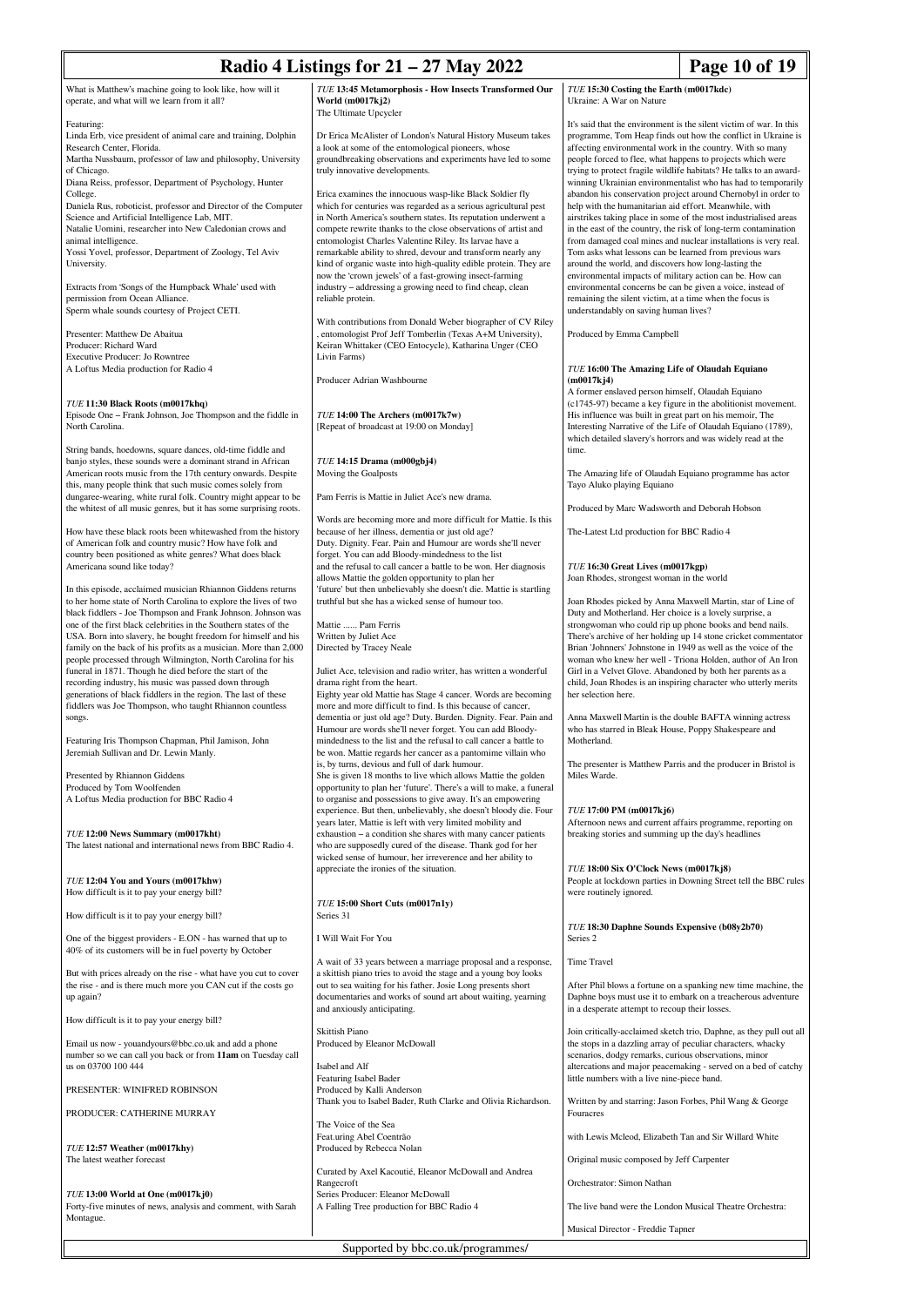| Radio 4 Listings for $21 - 27$ May 2022<br>Page 10 of 19                                                                                                                                                                                                                                                                                                                                                                                                                                                                                                                                                                                                                                                                  |                                                                                                                                                                                                                                                                                                                                                                                                                                                                                                                                                                                                                                                                                                                                                                            |                                                                                                                                                                                                                                                                                                                                                                                                                                                                                                                                                                                                                                                                                                                                                                                                                                                                                                                           |                                                                                                                                                                                                                                                                                                                                 |
|---------------------------------------------------------------------------------------------------------------------------------------------------------------------------------------------------------------------------------------------------------------------------------------------------------------------------------------------------------------------------------------------------------------------------------------------------------------------------------------------------------------------------------------------------------------------------------------------------------------------------------------------------------------------------------------------------------------------------|----------------------------------------------------------------------------------------------------------------------------------------------------------------------------------------------------------------------------------------------------------------------------------------------------------------------------------------------------------------------------------------------------------------------------------------------------------------------------------------------------------------------------------------------------------------------------------------------------------------------------------------------------------------------------------------------------------------------------------------------------------------------------|---------------------------------------------------------------------------------------------------------------------------------------------------------------------------------------------------------------------------------------------------------------------------------------------------------------------------------------------------------------------------------------------------------------------------------------------------------------------------------------------------------------------------------------------------------------------------------------------------------------------------------------------------------------------------------------------------------------------------------------------------------------------------------------------------------------------------------------------------------------------------------------------------------------------------|---------------------------------------------------------------------------------------------------------------------------------------------------------------------------------------------------------------------------------------------------------------------------------------------------------------------------------|
| What is Matthew's machine going to look like, how will it<br>operate, and what will we learn from it all?                                                                                                                                                                                                                                                                                                                                                                                                                                                                                                                                                                                                                 | TUE 13:45 Metamorphosis - How Insects Transformed Our<br>World $(m0017k12)$                                                                                                                                                                                                                                                                                                                                                                                                                                                                                                                                                                                                                                                                                                | TUE 15:30 Costing the Earth (m0017kdc)<br>Ukraine: A War on Nature                                                                                                                                                                                                                                                                                                                                                                                                                                                                                                                                                                                                                                                                                                                                                                                                                                                        |                                                                                                                                                                                                                                                                                                                                 |
| Featuring:<br>Linda Erb, vice president of animal care and training, Dolphin<br>Research Center, Florida.<br>Martha Nussbaum, professor of law and philosophy, University<br>of Chicago.<br>Diana Reiss, professor, Department of Psychology, Hunter<br>College.<br>Daniela Rus, roboticist, professor and Director of the Computer<br>Science and Artificial Intelligence Lab, MIT.<br>Natalie Uomini, researcher into New Caledonian crows and<br>animal intelligence.<br>Yossi Yovel, professor, Department of Zoology, Tel Aviv<br>University.                                                                                                                                                                        | The Ultimate Upcycler<br>Dr Erica McAlister of London's Natural History Museum takes<br>a look at some of the entomological pioneers, whose<br>groundbreaking observations and experiments have led to some<br>truly innovative developments.<br>Erica examines the innocuous wasp-like Black Soldier fly<br>which for centuries was regarded as a serious agricultural pest<br>in North America's southern states. Its reputation underwent a<br>compete rewrite thanks to the close observations of artist and<br>entomologist Charles Valentine Riley. Its larvae have a<br>remarkable ability to shred, devour and transform nearly any<br>kind of organic waste into high-quality edible protein. They are<br>now the 'crown jewels' of a fast-growing insect-farming | It's said that the environment is the silent victim of war. In this<br>programme, Tom Heap finds out how the conflict in Ukraine is<br>affecting environmental work in the country. With so many<br>people forced to flee, what happens to projects which were<br>trying to protect fragile wildlife habitats? He talks to an award-<br>winning Ukrainian environmentalist who has had to temporarily<br>abandon his conservation project around Chernobyl in order to<br>help with the humanitarian aid effort. Meanwhile, with<br>airstrikes taking place in some of the most industrialised areas<br>in the east of the country, the risk of long-term contamination<br>from damaged coal mines and nuclear installations is very real.<br>Tom asks what lessons can be learned from previous wars<br>around the world, and discovers how long-lasting the<br>environmental impacts of military action can be. How can |                                                                                                                                                                                                                                                                                                                                 |
| Extracts from 'Songs of the Humpback Whale' used with<br>permission from Ocean Alliance.<br>Sperm whale sounds courtesy of Project CETI.                                                                                                                                                                                                                                                                                                                                                                                                                                                                                                                                                                                  | industry – addressing a growing need to find cheap, clean<br>reliable protein.<br>With contributions from Donald Weber biographer of CV Riley                                                                                                                                                                                                                                                                                                                                                                                                                                                                                                                                                                                                                              | environmental concerns be can be given a voice, instead of<br>remaining the silent victim, at a time when the focus is<br>understandably on saving human lives?                                                                                                                                                                                                                                                                                                                                                                                                                                                                                                                                                                                                                                                                                                                                                           |                                                                                                                                                                                                                                                                                                                                 |
| Presenter: Matthew De Abaitua<br>Producer: Richard Ward<br>Executive Producer: Jo Rowntree<br>A Loftus Media production for Radio 4                                                                                                                                                                                                                                                                                                                                                                                                                                                                                                                                                                                       | , entomologist Prof Jeff Tomberlin (Texas A+M University),<br>Keiran Whittaker (CEO Entocycle), Katharina Unger (CEO<br>Livin Farms)<br>Producer Adrian Washbourne                                                                                                                                                                                                                                                                                                                                                                                                                                                                                                                                                                                                         | Produced by Emma Campbell<br>TUE 16:00 The Amazing Life of Olaudah Equiano<br>(m0017kj4)                                                                                                                                                                                                                                                                                                                                                                                                                                                                                                                                                                                                                                                                                                                                                                                                                                  |                                                                                                                                                                                                                                                                                                                                 |
| TUE 11:30 Black Roots (m0017khq)<br>Episode One - Frank Johnson, Joe Thompson and the fiddle in<br>North Carolina.                                                                                                                                                                                                                                                                                                                                                                                                                                                                                                                                                                                                        | $TUE$ 14:00 The Archers (m0017k7w)<br>[Repeat of broadcast at 19:00 on Monday]                                                                                                                                                                                                                                                                                                                                                                                                                                                                                                                                                                                                                                                                                             | A former enslaved person himself, Olaudah Equiano<br>His influence was built in great part on his memoir, The<br>Interesting Narrative of the Life of Olaudah Equiano (1789),<br>which detailed slavery's horrors and was widely read at the                                                                                                                                                                                                                                                                                                                                                                                                                                                                                                                                                                                                                                                                              | (c1745-97) became a key figure in the abolitionist movement.                                                                                                                                                                                                                                                                    |
| String bands, hoedowns, square dances, old-time fiddle and<br>banjo styles, these sounds were a dominant strand in African<br>American roots music from the 17th century onwards. Despite<br>this, many people think that such music comes solely from<br>dungaree-wearing, white rural folk. Country might appear to be<br>the whitest of all music genres, but it has some surprising roots.                                                                                                                                                                                                                                                                                                                            | TUE 14:15 Drama (m000gbj4)<br>Moving the Goalposts<br>Pam Ferris is Mattie in Juliet Ace's new drama.                                                                                                                                                                                                                                                                                                                                                                                                                                                                                                                                                                                                                                                                      | time.<br>The Amazing life of Olaudah Equiano programme has actor<br>Tayo Aluko playing Equiano<br>Produced by Marc Wadsworth and Deborah Hobson                                                                                                                                                                                                                                                                                                                                                                                                                                                                                                                                                                                                                                                                                                                                                                           |                                                                                                                                                                                                                                                                                                                                 |
| How have these black roots been whitewashed from the history<br>of American folk and country music? How have folk and<br>country been positioned as white genres? What does black<br>Americana sound like today?                                                                                                                                                                                                                                                                                                                                                                                                                                                                                                          | Words are becoming more and more difficult for Mattie. Is this<br>because of her illness, dementia or just old age?<br>Duty. Dignity. Fear. Pain and Humour are words she'll never<br>forget. You can add Bloody-mindedness to the list<br>and the refusal to call cancer a battle to be won. Her diagnosis                                                                                                                                                                                                                                                                                                                                                                                                                                                                | The-Latest Ltd production for BBC Radio 4<br>TUE 16:30 Great Lives (m0017kgp)                                                                                                                                                                                                                                                                                                                                                                                                                                                                                                                                                                                                                                                                                                                                                                                                                                             |                                                                                                                                                                                                                                                                                                                                 |
| In this episode, acclaimed musician Rhiannon Giddens returns<br>to her home state of North Carolina to explore the lives of two<br>black fiddlers - Joe Thompson and Frank Johnson. Johnson was<br>one of the first black celebrities in the Southern states of the<br>USA. Born into slavery, he bought freedom for himself and his<br>family on the back of his profits as a musician. More than 2,000<br>people processed through Wilmington, North Carolina for his<br>funeral in 1871. Though he died before the start of the<br>recording industry, his music was passed down through<br>generations of black fiddlers in the region. The last of these<br>fiddlers was Joe Thompson, who taught Rhiannon countless | allows Mattie the golden opportunity to plan her<br>'future' but then unbelievably she doesn't die. Mattie is startling<br>truthful but she has a wicked sense of humour too.<br>Mattie  Pam Ferris<br>Written by Juliet Ace<br>Directed by Tracey Neale<br>Juliet Ace, television and radio writer, has written a wonderful<br>drama right from the heart.<br>Eighty year old Mattie has Stage 4 cancer. Words are becoming<br>more and more difficult to find. Is this because of cancer,                                                                                                                                                                                                                                                                                | Joan Rhodes, strongest woman in the world<br>Duty and Motherland. Her choice is a lovely surprise, a<br>strongwoman who could rip up phone books and bend nails.<br>Girl in a Velvet Glove. Abandoned by both her parents as a<br>her selection here.                                                                                                                                                                                                                                                                                                                                                                                                                                                                                                                                                                                                                                                                     | Joan Rhodes picked by Anna Maxwell Martin, star of Line of<br>There's archive of her holding up 14 stone cricket commentator<br>Brian 'Johnners' Johnstone in 1949 as well as the voice of the<br>woman who knew her well - Triona Holden, author of An Iron<br>child, Joan Rhodes is an inspiring character who utterly merits |
| songs.<br>Featuring Iris Thompson Chapman, Phil Jamison, John<br>Jeremiah Sullivan and Dr. Lewin Manly.                                                                                                                                                                                                                                                                                                                                                                                                                                                                                                                                                                                                                   | dementia or just old age? Duty. Burden. Dignity. Fear. Pain and<br>Humour are words she'll never forget. You can add Bloody-<br>mindedness to the list and the refusal to call cancer a battle to<br>be won. Mattie regards her cancer as a pantomime villain who<br>is, by turns, devious and full of dark humour.                                                                                                                                                                                                                                                                                                                                                                                                                                                        | Anna Maxwell Martin is the double BAFTA winning actress<br>who has starred in Bleak House, Poppy Shakespeare and<br>Motherland.                                                                                                                                                                                                                                                                                                                                                                                                                                                                                                                                                                                                                                                                                                                                                                                           | The presenter is Matthew Parris and the producer in Bristol is                                                                                                                                                                                                                                                                  |
| Presented by Rhiannon Giddens<br>Produced by Tom Woolfenden<br>A Loftus Media production for BBC Radio 4                                                                                                                                                                                                                                                                                                                                                                                                                                                                                                                                                                                                                  | She is given 18 months to live which allows Mattie the golden<br>opportunity to plan her 'future'. There's a will to make, a funeral<br>to organise and possessions to give away. It's an empowering<br>experience. But then, unbelievably, she doesn't bloody die. Four                                                                                                                                                                                                                                                                                                                                                                                                                                                                                                   | Miles Warde.<br>TUE 17:00 PM (m0017kj6)                                                                                                                                                                                                                                                                                                                                                                                                                                                                                                                                                                                                                                                                                                                                                                                                                                                                                   |                                                                                                                                                                                                                                                                                                                                 |
| TUE 12:00 News Summary (m0017kht)<br>The latest national and international news from BBC Radio 4.                                                                                                                                                                                                                                                                                                                                                                                                                                                                                                                                                                                                                         | years later, Mattie is left with very limited mobility and<br>exhaustion - a condition she shares with many cancer patients<br>who are supposedly cured of the disease. Thank god for her<br>wicked sense of humour, her irreverence and her ability to<br>appreciate the ironies of the situation.                                                                                                                                                                                                                                                                                                                                                                                                                                                                        | Afternoon news and current affairs programme, reporting on<br>breaking stories and summing up the day's headlines<br>TUE 18:00 Six O'Clock News (m0017kj8)                                                                                                                                                                                                                                                                                                                                                                                                                                                                                                                                                                                                                                                                                                                                                                |                                                                                                                                                                                                                                                                                                                                 |
| TUE 12:04 You and Yours (m0017khw)<br>How difficult is it to pay your energy bill?                                                                                                                                                                                                                                                                                                                                                                                                                                                                                                                                                                                                                                        | TUE 15:00 Short Cuts (m0017n1y)                                                                                                                                                                                                                                                                                                                                                                                                                                                                                                                                                                                                                                                                                                                                            | were routinely ignored.                                                                                                                                                                                                                                                                                                                                                                                                                                                                                                                                                                                                                                                                                                                                                                                                                                                                                                   | People at lockdown parties in Downing Street tell the BBC rules                                                                                                                                                                                                                                                                 |
| How difficult is it to pay your energy bill?<br>One of the biggest providers - E.ON - has warned that up to<br>40% of its customers will be in fuel poverty by October                                                                                                                                                                                                                                                                                                                                                                                                                                                                                                                                                    | Series 31<br>I Will Wait For You                                                                                                                                                                                                                                                                                                                                                                                                                                                                                                                                                                                                                                                                                                                                           | TUE 18:30 Daphne Sounds Expensive (b08y2b70)<br>Series <sub>2</sub>                                                                                                                                                                                                                                                                                                                                                                                                                                                                                                                                                                                                                                                                                                                                                                                                                                                       |                                                                                                                                                                                                                                                                                                                                 |
| But with prices already on the rise - what have you cut to cover<br>the rise - and is there much more you CAN cut if the costs go<br>up again?                                                                                                                                                                                                                                                                                                                                                                                                                                                                                                                                                                            | A wait of 33 years between a marriage proposal and a response,<br>a skittish piano tries to avoid the stage and a young boy looks<br>out to sea waiting for his father. Josie Long presents short<br>documentaries and works of sound art about waiting, yearning<br>and anxiously anticipating.                                                                                                                                                                                                                                                                                                                                                                                                                                                                           | <b>Time Travel</b><br>in a desperate attempt to recoup their losses.                                                                                                                                                                                                                                                                                                                                                                                                                                                                                                                                                                                                                                                                                                                                                                                                                                                      | After Phil blows a fortune on a spanking new time machine, the<br>Daphne boys must use it to embark on a treacherous adventure                                                                                                                                                                                                  |
| How difficult is it to pay your energy bill?                                                                                                                                                                                                                                                                                                                                                                                                                                                                                                                                                                                                                                                                              | <b>Skittish Piano</b>                                                                                                                                                                                                                                                                                                                                                                                                                                                                                                                                                                                                                                                                                                                                                      |                                                                                                                                                                                                                                                                                                                                                                                                                                                                                                                                                                                                                                                                                                                                                                                                                                                                                                                           | Join critically-acclaimed sketch trio, Daphne, as they pull out all                                                                                                                                                                                                                                                             |
| Email us now - youandyours@bbc.co.uk and add a phone<br>number so we can call you back or from 11am on Tuesday call<br>us on 03700 100 444                                                                                                                                                                                                                                                                                                                                                                                                                                                                                                                                                                                | Produced by Eleanor McDowall<br>Isabel and Alf<br>Featuring Isabel Bader                                                                                                                                                                                                                                                                                                                                                                                                                                                                                                                                                                                                                                                                                                   | the stops in a dazzling array of peculiar characters, whacky<br>scenarios, dodgy remarks, curious observations, minor<br>little numbers with a live nine-piece band.                                                                                                                                                                                                                                                                                                                                                                                                                                                                                                                                                                                                                                                                                                                                                      | altercations and major peacemaking - served on a bed of catchy                                                                                                                                                                                                                                                                  |
| PRESENTER: WINIFRED ROBINSON                                                                                                                                                                                                                                                                                                                                                                                                                                                                                                                                                                                                                                                                                              | Produced by Kalli Anderson<br>Thank you to Isabel Bader, Ruth Clarke and Olivia Richardson.                                                                                                                                                                                                                                                                                                                                                                                                                                                                                                                                                                                                                                                                                | Written by and starring: Jason Forbes, Phil Wang & George                                                                                                                                                                                                                                                                                                                                                                                                                                                                                                                                                                                                                                                                                                                                                                                                                                                                 |                                                                                                                                                                                                                                                                                                                                 |
| PRODUCER: CATHERINE MURRAY                                                                                                                                                                                                                                                                                                                                                                                                                                                                                                                                                                                                                                                                                                | The Voice of the Sea<br>Feat.uring Abel Coentrão                                                                                                                                                                                                                                                                                                                                                                                                                                                                                                                                                                                                                                                                                                                           | Fouracres<br>with Lewis Mcleod, Elizabeth Tan and Sir Willard White                                                                                                                                                                                                                                                                                                                                                                                                                                                                                                                                                                                                                                                                                                                                                                                                                                                       |                                                                                                                                                                                                                                                                                                                                 |
| TUE 12:57 Weather (m0017khy)<br>The latest weather forecast                                                                                                                                                                                                                                                                                                                                                                                                                                                                                                                                                                                                                                                               | Produced by Rebecca Nolan<br>Curated by Axel Kacoutié, Eleanor McDowall and Andrea                                                                                                                                                                                                                                                                                                                                                                                                                                                                                                                                                                                                                                                                                         | Original music composed by Jeff Carpenter<br>Orchestrator: Simon Nathan                                                                                                                                                                                                                                                                                                                                                                                                                                                                                                                                                                                                                                                                                                                                                                                                                                                   |                                                                                                                                                                                                                                                                                                                                 |
| TUE 13:00 World at One (m0017kj0)<br>Forty-five minutes of news, analysis and comment, with Sarah<br>Montague.                                                                                                                                                                                                                                                                                                                                                                                                                                                                                                                                                                                                            | Rangecroft<br>Series Producer: Eleanor McDowall<br>A Falling Tree production for BBC Radio 4                                                                                                                                                                                                                                                                                                                                                                                                                                                                                                                                                                                                                                                                               | The live band were the London Musical Theatre Orchestra:<br>Musical Director - Freddie Tapner                                                                                                                                                                                                                                                                                                                                                                                                                                                                                                                                                                                                                                                                                                                                                                                                                             |                                                                                                                                                                                                                                                                                                                                 |
|                                                                                                                                                                                                                                                                                                                                                                                                                                                                                                                                                                                                                                                                                                                           | Supported by bbc.co.uk/programmes/                                                                                                                                                                                                                                                                                                                                                                                                                                                                                                                                                                                                                                                                                                                                         |                                                                                                                                                                                                                                                                                                                                                                                                                                                                                                                                                                                                                                                                                                                                                                                                                                                                                                                           |                                                                                                                                                                                                                                                                                                                                 |
|                                                                                                                                                                                                                                                                                                                                                                                                                                                                                                                                                                                                                                                                                                                           |                                                                                                                                                                                                                                                                                                                                                                                                                                                                                                                                                                                                                                                                                                                                                                            |                                                                                                                                                                                                                                                                                                                                                                                                                                                                                                                                                                                                                                                                                                                                                                                                                                                                                                                           |                                                                                                                                                                                                                                                                                                                                 |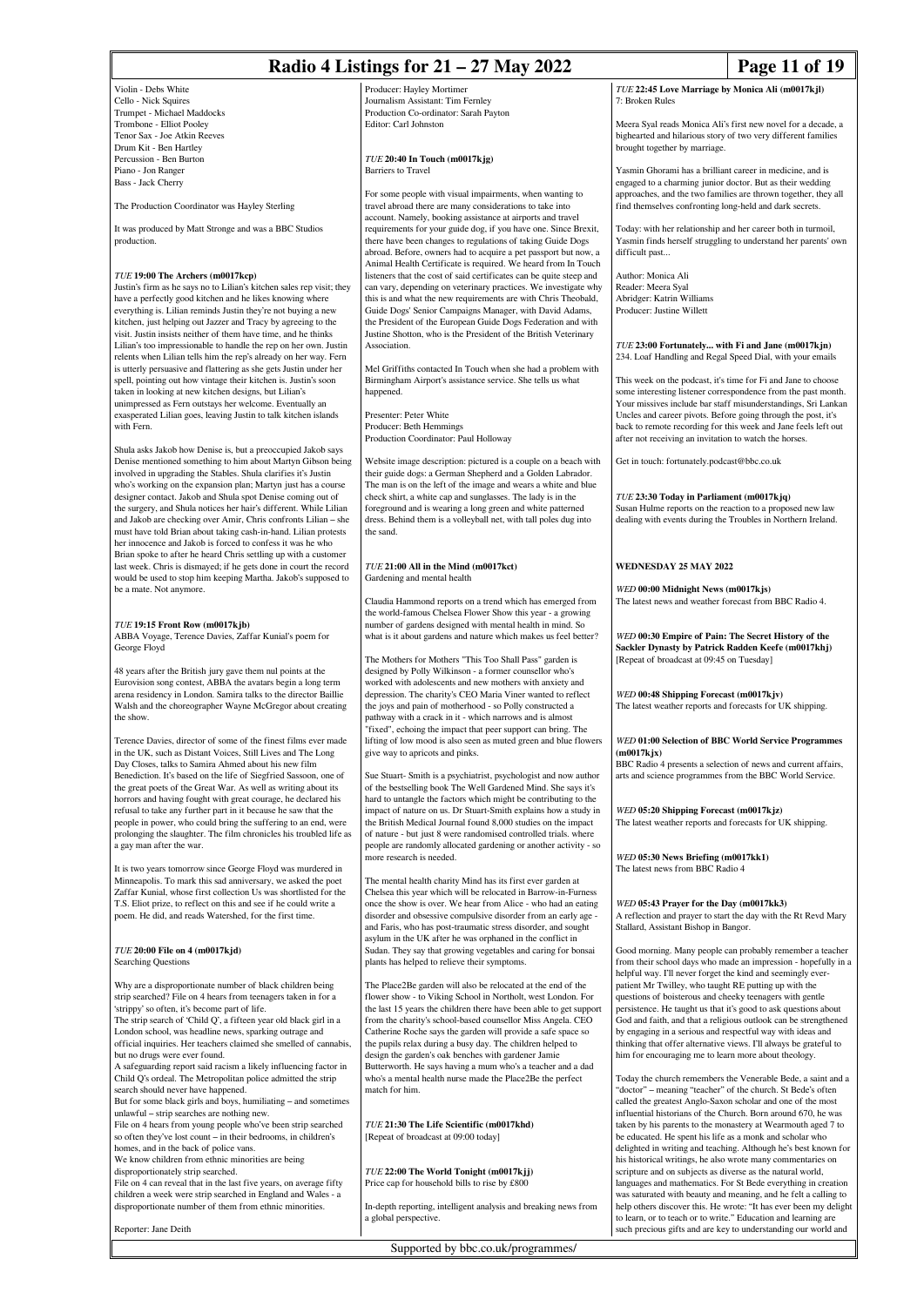# **Radio 4 Listings for 21 – 27 May 2022** Page 11 of 19

Violin - Debs White Cello - Nick Squires Trumpet - Michael Maddocks Trombone - Elliot Pooley Tenor Sax - Joe Atkin Reeves Drum Kit - Ben Hartley Percussion - Ben Burton Piano - Jon Ranger Bass - Jack Cherry

The Production Coordinator was Hayley Sterling

It was produced by Matt Stronge and was a BBC Studios production.

#### *TUE* **19:00 The Archers (m0017kcp)**

Justin's firm as he says no to Lilian's kitchen sales rep visit; they have a perfectly good kitchen and he likes knowing where everything is. Lilian reminds Justin they're not buying a new kitchen, just helping out Jazzer and Tracy by agreeing to the visit. Justin insists neither of them have time, and he thinks Lilian's too impressionable to handle the rep on her own. Justin relents when Lilian tells him the rep's already on her way. Fern is utterly persuasive and flattering as she gets Justin under her spell, pointing out how vintage their kitchen is. Justin's soon taken in looking at new kitchen designs, but Lilian's unimpressed as Fern outstays her welcome. Eventually an exasperated Lilian goes, leaving Justin to talk kitchen islands with Fern.

Shula asks Jakob how Denise is, but a preoccupied Jakob says Denise mentioned something to him about Martyn Gibson being involved in upgrading the Stables. Shula clarifies it's Justin who's working on the expansion plan; Martyn just has a course designer contact. Jakob and Shula spot Denise coming out of the surgery, and Shula notices her hair's different. While Lilian and Jakob are checking over Amir, Chris confronts Lilian – she must have told Brian about taking cash-in-hand. Lilian protests her innocence and Jakob is forced to confess it was he who Brian spoke to after he heard Chris settling up with a customer last week. Chris is dismayed; if he gets done in court the record would be used to stop him keeping Martha. Jakob's supposed to be a mate. Not anymore.

#### *TUE* **19:15 Front Row (m0017kjb)** ABBA Voyage, Terence Davies, Zaffar Kunial's poem for

George Floyd

48 years after the British jury gave them nul points at the Eurovision song contest, ABBA the avatars begin a long term arena residency in London. Samira talks to the director Baillie Walsh and the choreographer Wayne McGregor about creating the show.

Terence Davies, director of some of the finest films ever made in the UK, such as Distant Voices, Still Lives and The Long Day Closes, talks to Samira Ahmed about his new film Benediction. It's based on the life of Siegfried Sassoon, one of the great poets of the Great War. As well as writing about its horrors and having fought with great courage, he declared his refusal to take any further part in it because he saw that the people in power, who could bring the suffering to an end, were prolonging the slaughter. The film chronicles his troubled life as a gay man after the war.

It is two years tomorrow since George Floyd was murdered in Minneapolis. To mark this sad anniversary, we asked the poet Zaffar Kunial, whose first collection Us was shortlisted for the T.S. Eliot prize, to reflect on this and see if he could write a poem. He did, and reads Watershed, for the first time.

#### *TUE* **20:00 File on 4 (m0017kjd)** Searching Questions

Why are a disproportionate number of black children being strip searched? File on 4 hears from teenagers taken in for a 'strippy' so often, it's become part of life. The strip search of 'Child Q', a fifteen year old black girl in a London school, was headline news, sparking outrage and official inquiries. Her teachers claimed she smelled of cannabis, but no drugs were ever found. A safeguarding report said racism a likely influencing factor in Child Q's ordeal. The Metropolitan police admitted the strip search should never have happened. But for some black girls and boys, humiliating – and sometimes unlawful – strip searches are nothing new. File on 4 hears from young people who've been strip searched so often they've lost count – in their bedrooms, in children's omes, and in the back of police vans. We know children from ethnic minorities are being disproportionately strip searched. File on  $\frac{1}{4}$  can reveal that in the last five years, on average fifty children a week were strip searched in England and Wales disproportionate number of them from ethnic minorities.

Reporter: Jane Deith

Producer: Hayley Mortimer Journalism Assistant: Tim Fernley Production Co-ordinator: Sarah Payton Editor: Carl Johnston

*TUE* **20:40 In Touch (m0017kjg)** Barriers to Travel

For some people with visual impairments, when wanting to travel abroad there are many considerations to take into account. Namely, booking assistance at airports and travel requirements for your guide dog, if you have one. Since Brexit, there have been changes to regulations of taking Guide Dogs abroad. Before, owners had to acquire a pet passport but now, a Animal Health Certificate is required. We heard from In Touch listeners that the cost of said certificates can be quite steep and can vary, depending on veterinary practices. We investigate why this is and what the new requirements are with Chris Theobald, Guide Dogs' Senior Campaigns Manager, with David Adams, the President of the European Guide Dogs Federation and with Justine Shotton, who is the President of the British Veterinary Association.

Mel Griffiths contacted In Touch when she had a problem with Birmingham Airport's assistance service. She tells us what happened

Presenter: Peter White Producer: Beth Hemmings Production Coordinator: Paul Holloway

Website image description: pictured is a couple on a beach with their guide dogs: a German Shepherd and a Golden Labrador. The man is on the left of the image and wears a white and blue check shirt, a white cap and sunglasses. The lady is in the foreground and is wearing a long green and white patterned dress. Behind them is a volleyball net, with tall poles dug into the sand.

#### *TUE* **21:00 All in the Mind (m0017kct)** Gardening and mental health

Claudia Hammond reports on a trend which has emerged from the world-famous Chelsea Flower Show this year - a growing number of gardens designed with mental health in mind. So what is it about gardens and nature which makes us feel better?

The Mothers for Mothers "This Too Shall Pass" garden is designed by Polly Wilkinson - a former counsellor who's worked with adolescents and new mothers with anxiety and depression. The charity's CEO Maria Viner wanted to reflect the joys and pain of motherhood - so Polly constructed a pathway with a crack in it - which narrows and is almost "fixed", echoing the impact that peer support can bring. The lifting of low mood is also seen as muted green and blue flowers give way to apricots and pinks.

Sue Stuart- Smith is a psychiatrist, psychologist and now author of the bestselling book The Well Gardened Mind. She says it's hard to untangle the factors which might be contributing to the impact of nature on us. Dr Stuart-Smith explains how a study in the British Medical Journal found 8,000 studies on the impact of nature - but just 8 were randomised controlled trials. where people are randomly allocated gardening or another activity - so more research is needed.

The mental health charity Mind has its first ever garden at Chelsea this year which will be relocated in Barrow-in-Furness once the show is over. We hear from Alice - who had an eating disorder and obsessive compulsive disorder from an early age and Faris, who has post-traumatic stress disorder, and sought asylum in the UK after he was orphaned in the conflict in Sudan. They say that growing vegetables and caring for bonsai plants has helped to relieve their symptoms.

The Place2Be garden will also be relocated at the end of the flower show - to Viking School in Northolt, west London. For the last 15 years the children there have been able to get support from the charity's school-based counsellor Miss Angela. CEO Catherine Roche says the garden will provide a safe space so the pupils relax during a busy day. The children helped to design the garden's oak benches with gardener Jamie Butterworth. He says having a mum who's a teacher and a dad who's a mental health nurse made the Place2Be the perfect match for him.

*TUE* **21:30 The Life Scientific (m0017khd)** [Repeat of broadcast at 09:00 today]

*TUE* **22:00 The World Tonight (m0017kjj)** Price cap for household bills to rise by £800

In-depth reporting, intelligent analysis and breaking news from a global perspective.

*TUE* **22:45 Love Marriage by Monica Ali (m0017kjl)** 7: Broken Rules

Meera Syal reads Monica Ali's first new novel for a decade, a bighearted and hilarious story of two very different families brought together by marriage.

Yasmin Ghorami has a brilliant career in medicine, and is engaged to a charming junior doctor. But as their wedding approaches, and the two families are thrown together, they all find themselves confronting long-held and dark secrets.

Today: with her relationship and her career both in turmoil, Yasmin finds herself struggling to understand her parents' own difficult past.

Author: Monica Ali Reader: Meera Syal Abridger: Katrin Williams Producer: Justine Willett

*TUE* **23:00 Fortunately... with Fi and Jane (m0017kjn)** 234. Loaf Handling and Regal Speed Dial, with your emails

This week on the podcast, it's time for Fi and Jane to choose some interesting listener correspondence from the past month. Your missives include bar staff misunderstandings, Sri Lankan Uncles and career pivots. Before going through the post, it's back to remote recording for this week and Jane feels left out after not receiving an invitation to watch the horses.

Get in touch: fortunately.podcast@bbc.co.uk

### *TUE* **23:30 Today in Parliament (m0017kjq)**

Susan Hulme reports on the reaction to a proposed new law dealing with events during the Troubles in Northern Ireland.

# **WEDNESDAY 25 MAY 2022**

*WED* **00:00 Midnight News (m0017kjs)**

The latest news and weather forecast from BBC Radio 4.

*WED* **00:30 Empire of Pain: The Secret History of the Sackler Dynasty by Patrick Radden Keefe (m0017khj)** [Repeat of broadcast at 09:45 on Tuesday]

*WED* **00:48 Shipping Forecast (m0017kjv)** The latest weather reports and forecasts for UK shipping.

#### *WED* **01:00 Selection of BBC World Service Programmes (m0017kjx)**

BBC Radio 4 presents a selection of news and current affairs arts and science programmes from the BBC World Service.

*WED* **05:20 Shipping Forecast (m0017kjz)** The latest weather reports and forecasts for UK shipping.

*WED* **05:30 News Briefing (m0017kk1)** The latest news from BBC Radio 4

*WED* **05:43 Prayer for the Day (m0017kk3)** A reflection and prayer to start the day with the Rt Revd Mary Stallard, Assistant Bishop in Bangor.

Good morning. Many people can probably remember a teacher from their school days who made an impression - hopefully in a helpful way. I'll never forget the kind and seemingly everpatient Mr Twilley, who taught RE putting up with the questions of boisterous and cheeky teenagers with gentle persistence. He taught us that it's good to ask questions about God and faith, and that a religious outlook can be strengthened by engaging in a serious and respectful way with ideas and thinking that offer alternative views. I'll always be grateful to him for encouraging me to learn more about theology.

Today the church remembers the Venerable Bede, a saint and a "doctor" – meaning "teacher" of the church. St Bede's often called the greatest Anglo-Saxon scholar and one of the most influential historians of the Church. Born around 670, he was taken by his parents to the monastery at Wearmouth aged 7 to be educated. He spent his life as a monk and scholar who delighted in writing and teaching. Although he's best known for his historical writings, he also wrote many commentaries on scripture and on subjects as diverse as the natural world, languages and mathematics. For St Bede everything in creation was saturated with beauty and meaning, and he felt a calling to help others discover this. He wrote: "It has ever been my delight to learn, or to teach or to write." Education and learning are such precious gifts and are key to understanding our world and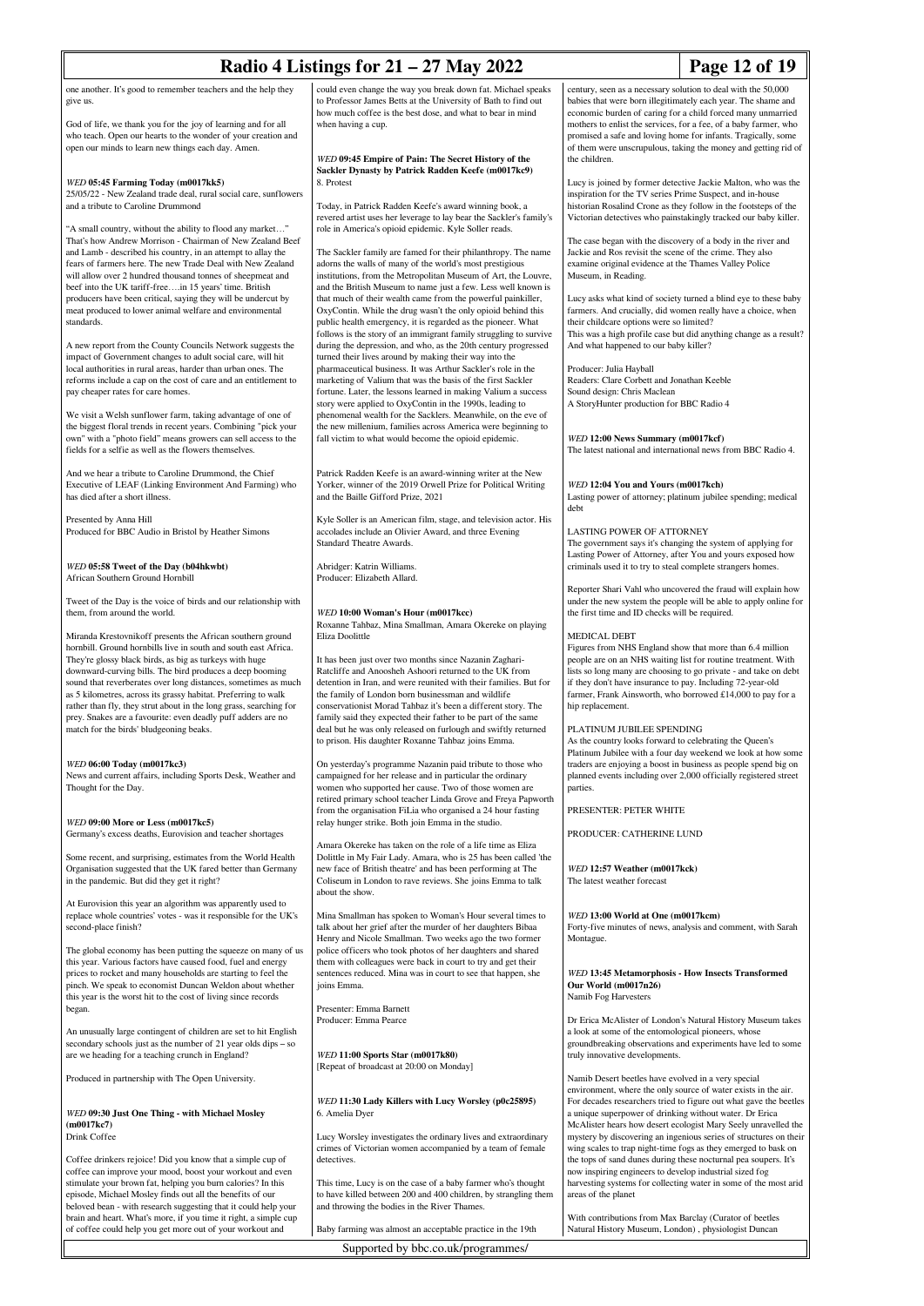|                                                                                                                                                                                                                                                                                                                                                                                                                                                                                                                                | Radio 4 Listings for 21 - 27 May 2022                                                                                                                                                                                                                                                                                                                                                             |                                                                                                                                                                                                                                                                                     | Page 12 of 19                                                                                                                                                                                            |
|--------------------------------------------------------------------------------------------------------------------------------------------------------------------------------------------------------------------------------------------------------------------------------------------------------------------------------------------------------------------------------------------------------------------------------------------------------------------------------------------------------------------------------|---------------------------------------------------------------------------------------------------------------------------------------------------------------------------------------------------------------------------------------------------------------------------------------------------------------------------------------------------------------------------------------------------|-------------------------------------------------------------------------------------------------------------------------------------------------------------------------------------------------------------------------------------------------------------------------------------|----------------------------------------------------------------------------------------------------------------------------------------------------------------------------------------------------------|
| one another. It's good to remember teachers and the help they<br>give us.                                                                                                                                                                                                                                                                                                                                                                                                                                                      | could even change the way you break down fat. Michael speaks<br>to Professor James Betts at the University of Bath to find out<br>how much coffee is the best dose, and what to bear in mind                                                                                                                                                                                                      | century, seen as a necessary solution to deal with the 50,000                                                                                                                                                                                                                       | babies that were born illegitimately each year. The shame and                                                                                                                                            |
| God of life, we thank you for the joy of learning and for all<br>who teach. Open our hearts to the wonder of your creation and<br>open our minds to learn new things each day. Amen.                                                                                                                                                                                                                                                                                                                                           | when having a cup.<br>WED 09:45 Empire of Pain: The Secret History of the                                                                                                                                                                                                                                                                                                                         | economic burden of caring for a child forced many unmarried<br>mothers to enlist the services, for a fee, of a baby farmer, who<br>promised a safe and loving home for infants. Tragically, some<br>of them were unscrupulous, taking the money and getting rid of<br>the children. |                                                                                                                                                                                                          |
| WED 05:45 Farming Today (m0017kk5)<br>25/05/22 - New Zealand trade deal, rural social care, sunflowers<br>and a tribute to Caroline Drummond                                                                                                                                                                                                                                                                                                                                                                                   | Sackler Dynasty by Patrick Radden Keefe (m0017kc9)<br>8. Protest<br>Today, in Patrick Radden Keefe's award winning book, a                                                                                                                                                                                                                                                                        | Lucy is joined by former detective Jackie Malton, who was the<br>inspiration for the TV series Prime Suspect, and in-house<br>historian Rosalind Crone as they follow in the footsteps of the<br>Victorian detectives who painstakingly tracked our baby killer.                    |                                                                                                                                                                                                          |
| "A small country, without the ability to flood any market"<br>That's how Andrew Morrison - Chairman of New Zealand Beef<br>and Lamb - described his country, in an attempt to allay the<br>fears of farmers here. The new Trade Deal with New Zealand<br>will allow over 2 hundred thousand tonnes of sheepmeat and<br>beef into the UK tariff-freein 15 years' time. British                                                                                                                                                  | revered artist uses her leverage to lay bear the Sackler's family's<br>role in America's opioid epidemic. Kyle Soller reads.<br>The Sackler family are famed for their philanthropy. The name<br>adorns the walls of many of the world's most prestigious<br>institutions, from the Metropolitan Museum of Art, the Louvre,<br>and the British Museum to name just a few. Less well known is      | The case began with the discovery of a body in the river and<br>Jackie and Ros revisit the scene of the crime. They also<br>examine original evidence at the Thames Valley Police<br>Museum, in Reading.                                                                            |                                                                                                                                                                                                          |
| producers have been critical, saying they will be undercut by<br>meat produced to lower animal welfare and environmental<br>standards.<br>A new report from the County Councils Network suggests the                                                                                                                                                                                                                                                                                                                           | that much of their wealth came from the powerful painkiller,<br>OxyContin. While the drug wasn't the only opioid behind this<br>public health emergency, it is regarded as the pioneer. What<br>follows is the story of an immigrant family struggling to survive<br>during the depression, and who, as the 20th century progressed                                                               | their childcare options were so limited?<br>And what happened to our baby killer?                                                                                                                                                                                                   | Lucy asks what kind of society turned a blind eye to these baby<br>farmers. And crucially, did women really have a choice, when<br>This was a high profile case but did anything change as a result?     |
| impact of Government changes to adult social care, will hit<br>local authorities in rural areas, harder than urban ones. The<br>reforms include a cap on the cost of care and an entitlement to<br>pay cheaper rates for care homes.                                                                                                                                                                                                                                                                                           | turned their lives around by making their way into the<br>pharmaceutical business. It was Arthur Sackler's role in the<br>marketing of Valium that was the basis of the first Sackler<br>fortune. Later, the lessons learned in making Valium a success                                                                                                                                           | Producer: Julia Hayball<br>Readers: Clare Corbett and Jonathan Keeble<br>Sound design: Chris Maclean                                                                                                                                                                                |                                                                                                                                                                                                          |
| We visit a Welsh sunflower farm, taking advantage of one of<br>the biggest floral trends in recent years. Combining "pick your<br>own" with a "photo field" means growers can sell access to the<br>fields for a selfie as well as the flowers themselves.                                                                                                                                                                                                                                                                     | story were applied to OxyContin in the 1990s, leading to<br>phenomenal wealth for the Sacklers. Meanwhile, on the eve of<br>the new millenium, families across America were beginning to<br>fall victim to what would become the opioid epidemic.                                                                                                                                                 | A StoryHunter production for BBC Radio 4<br>WED 12:00 News Summary (m0017kcf)                                                                                                                                                                                                       | The latest national and international news from BBC Radio 4.                                                                                                                                             |
| And we hear a tribute to Caroline Drummond, the Chief<br>Executive of LEAF (Linking Environment And Farming) who<br>has died after a short illness.                                                                                                                                                                                                                                                                                                                                                                            | Patrick Radden Keefe is an award-winning writer at the New<br>Yorker, winner of the 2019 Orwell Prize for Political Writing<br>and the Baille Gifford Prize, 2021                                                                                                                                                                                                                                 | WED 12:04 You and Yours (m0017kch)<br>debt                                                                                                                                                                                                                                          | Lasting power of attorney; platinum jubilee spending; medical                                                                                                                                            |
| Presented by Anna Hill<br>Produced for BBC Audio in Bristol by Heather Simons                                                                                                                                                                                                                                                                                                                                                                                                                                                  | Kyle Soller is an American film, stage, and television actor. His<br>accolades include an Olivier Award, and three Evening<br>Standard Theatre Awards.                                                                                                                                                                                                                                            | LASTING POWER OF ATTORNEY                                                                                                                                                                                                                                                           | The government says it's changing the system of applying for<br>Lasting Power of Attorney, after You and yours exposed how                                                                               |
| WED 05:58 Tweet of the Day (b04hkwbt)<br>African Southern Ground Hornbill                                                                                                                                                                                                                                                                                                                                                                                                                                                      | Abridger: Katrin Williams.<br>Producer: Elizabeth Allard.                                                                                                                                                                                                                                                                                                                                         | criminals used it to try to steal complete strangers homes.                                                                                                                                                                                                                         | Reporter Shari Vahl who uncovered the fraud will explain how                                                                                                                                             |
| Tweet of the Day is the voice of birds and our relationship with<br>them, from around the world.                                                                                                                                                                                                                                                                                                                                                                                                                               | WED 10:00 Woman's Hour (m0017kcc)<br>Roxanne Tahbaz, Mina Smallman, Amara Okereke on playing                                                                                                                                                                                                                                                                                                      | the first time and ID checks will be required.                                                                                                                                                                                                                                      | under the new system the people will be able to apply online for                                                                                                                                         |
| Miranda Krestovnikoff presents the African southern ground<br>hornbill. Ground hornbills live in south and south east Africa.<br>They're glossy black birds, as big as turkeys with huge<br>downward-curving bills. The bird produces a deep booming<br>sound that reverberates over long distances, sometimes as much<br>as 5 kilometres, across its grassy habitat. Preferring to walk<br>rather than fly, they strut about in the long grass, searching for<br>prey. Snakes are a favourite: even deadly puff adders are no | Eliza Doolittle<br>It has been just over two months since Nazanin Zaghari-<br>Ratcliffe and Anoosheh Ashoori returned to the UK from<br>detention in Iran, and were reunited with their families. But for<br>the family of London born businessman and wildlife<br>conservationist Morad Tahbaz it's been a different story. The<br>family said they expected their father to be part of the same | <b>MEDICAL DEBT</b><br>Figures from NHS England show that more than 6.4 million<br>if they don't have insurance to pay. Including 72-year-old<br>hip replacement.                                                                                                                   | people are on an NHS waiting list for routine treatment. With<br>lists so long many are choosing to go private - and take on debt<br>farmer, Frank Ainsworth, who borrowed £14,000 to pay for a          |
| match for the birds' bludgeoning beaks.<br>WED 06:00 Today (m0017kc3)<br>News and current affairs, including Sports Desk, Weather and                                                                                                                                                                                                                                                                                                                                                                                          | deal but he was only released on furlough and swiftly returned<br>to prison. His daughter Roxanne Tahbaz joins Emma.<br>On yesterday's programme Nazanin paid tribute to those who<br>campaigned for her release and in particular the ordinary                                                                                                                                                   | PLATINUM JUBILEE SPENDING<br>As the country looks forward to celebrating the Queen's                                                                                                                                                                                                | Platinum Jubilee with a four day weekend we look at how some<br>traders are enjoying a boost in business as people spend big on<br>planned events including over 2,000 officially registered street      |
| Thought for the Day.<br>WED 09:00 More or Less (m0017kc5)                                                                                                                                                                                                                                                                                                                                                                                                                                                                      | women who supported her cause. Two of those women are<br>retired primary school teacher Linda Grove and Freya Papworth<br>from the organisation FiLia who organised a 24 hour fasting<br>relay hunger strike. Both join Emma in the studio.                                                                                                                                                       | parties.<br>PRESENTER: PETER WHITE                                                                                                                                                                                                                                                  |                                                                                                                                                                                                          |
| Germany's excess deaths, Eurovision and teacher shortages                                                                                                                                                                                                                                                                                                                                                                                                                                                                      | Amara Okereke has taken on the role of a life time as Eliza                                                                                                                                                                                                                                                                                                                                       | PRODUCER: CATHERINE LUND                                                                                                                                                                                                                                                            |                                                                                                                                                                                                          |
| Some recent, and surprising, estimates from the World Health<br>Organisation suggested that the UK fared better than Germany<br>in the pandemic. But did they get it right?                                                                                                                                                                                                                                                                                                                                                    | Dolittle in My Fair Lady. Amara, who is 25 has been called 'the<br>new face of British theatre' and has been performing at The<br>Coliseum in London to rave reviews. She joins Emma to talk<br>about the show.                                                                                                                                                                                   | WED 12:57 Weather (m0017kck)<br>The latest weather forecast                                                                                                                                                                                                                         |                                                                                                                                                                                                          |
| At Eurovision this year an algorithm was apparently used to<br>replace whole countries' votes - was it responsible for the UK's<br>second-place finish?                                                                                                                                                                                                                                                                                                                                                                        | Mina Smallman has spoken to Woman's Hour several times to<br>talk about her grief after the murder of her daughters Bibaa<br>Henry and Nicole Smallman. Two weeks ago the two former                                                                                                                                                                                                              | WED 13:00 World at One (m0017kcm)<br>Montague.                                                                                                                                                                                                                                      | Forty-five minutes of news, analysis and comment, with Sarah                                                                                                                                             |
| The global economy has been putting the squeeze on many of us<br>this year. Various factors have caused food, fuel and energy<br>prices to rocket and many households are starting to feel the<br>pinch. We speak to economist Duncan Weldon about whether<br>this year is the worst hit to the cost of living since records<br>began.                                                                                                                                                                                         | police officers who took photos of her daughters and shared<br>them with colleagues were back in court to try and get their<br>sentences reduced. Mina was in court to see that happen, she<br>joins Emma.<br>Presenter: Emma Barnett                                                                                                                                                             | <b>WED 13:45 Metamorphosis - How Insects Transformed</b><br>Our World (m0017n26)<br>Namib Fog Harvesters                                                                                                                                                                            |                                                                                                                                                                                                          |
| An unusually large contingent of children are set to hit English<br>secondary schools just as the number of 21 year olds dips – so<br>are we heading for a teaching crunch in England?                                                                                                                                                                                                                                                                                                                                         | Producer: Emma Pearce<br>WED 11:00 Sports Star (m0017k80)                                                                                                                                                                                                                                                                                                                                         | a look at some of the entomological pioneers, whose<br>truly innovative developments.                                                                                                                                                                                               | Dr Erica McAlister of London's Natural History Museum takes<br>groundbreaking observations and experiments have led to some                                                                              |
| Produced in partnership with The Open University.                                                                                                                                                                                                                                                                                                                                                                                                                                                                              | [Repeat of broadcast at 20:00 on Monday]                                                                                                                                                                                                                                                                                                                                                          | Namib Desert beetles have evolved in a very special                                                                                                                                                                                                                                 | environment, where the only source of water exists in the air.                                                                                                                                           |
| WED 09:30 Just One Thing - with Michael Mosley<br>(m0017kc7)<br>Drink Coffee                                                                                                                                                                                                                                                                                                                                                                                                                                                   | WED 11:30 Lady Killers with Lucy Worsley (p0c25895)<br>6. Amelia Dyer<br>Lucy Worsley investigates the ordinary lives and extraordinary                                                                                                                                                                                                                                                           | a unique superpower of drinking without water. Dr Erica                                                                                                                                                                                                                             | For decades researchers tried to figure out what gave the beetles<br>McAlister hears how desert ecologist Mary Seely unravelled the<br>mystery by discovering an ingenious series of structures on their |
| Coffee drinkers rejoice! Did you know that a simple cup of<br>coffee can improve your mood, boost your workout and even<br>stimulate your brown fat, helping you burn calories? In this<br>episode, Michael Mosley finds out all the benefits of our<br>beloved bean - with research suggesting that it could help your                                                                                                                                                                                                        | crimes of Victorian women accompanied by a team of female<br>detectives.<br>This time, Lucy is on the case of a baby farmer who's thought<br>to have killed between 200 and 400 children, by strangling them<br>and throwing the bodies in the River Thames.                                                                                                                                      | now inspiring engineers to develop industrial sized fog<br>areas of the planet                                                                                                                                                                                                      | wing scales to trap night-time fogs as they emerged to bask on<br>the tops of sand dunes during these nocturnal pea soupers. It's<br>harvesting systems for collecting water in some of the most arid    |
| brain and heart. What's more, if you time it right, a simple cup<br>of coffee could help you get more out of your workout and                                                                                                                                                                                                                                                                                                                                                                                                  | Baby farming was almost an acceptable practice in the 19th                                                                                                                                                                                                                                                                                                                                        | With contributions from Max Barclay (Curator of beetles<br>Natural History Museum, London), physiologist Duncan                                                                                                                                                                     |                                                                                                                                                                                                          |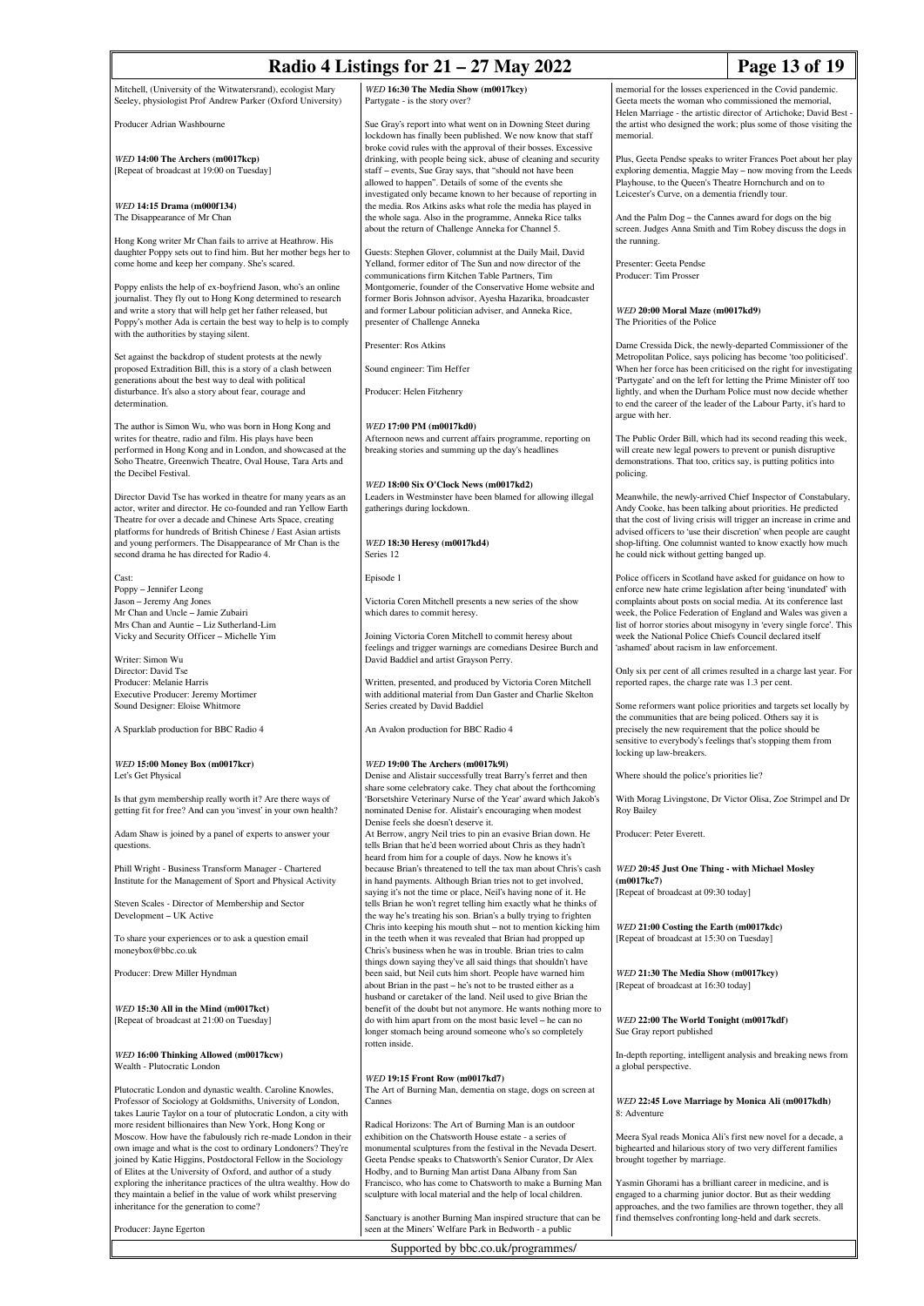|                                                                                                                                                                                                                                                                                                                          | Radio 4 Listings for $21 - 27$ May 2022                                                                                                                                                                                                                                                                                   | Page 13 of 19                                                                                                                                                                                                                                          |  |  |
|--------------------------------------------------------------------------------------------------------------------------------------------------------------------------------------------------------------------------------------------------------------------------------------------------------------------------|---------------------------------------------------------------------------------------------------------------------------------------------------------------------------------------------------------------------------------------------------------------------------------------------------------------------------|--------------------------------------------------------------------------------------------------------------------------------------------------------------------------------------------------------------------------------------------------------|--|--|
| Mitchell, (University of the Witwatersrand), ecologist Mary<br>Seeley, physiologist Prof Andrew Parker (Oxford University)                                                                                                                                                                                               | WED 16:30 The Media Show (m0017kcy)<br>Partygate - is the story over?                                                                                                                                                                                                                                                     | memorial for the losses experienced in the Covid pandemic.<br>Geeta meets the woman who commissioned the memorial,                                                                                                                                     |  |  |
| Producer Adrian Washbourne                                                                                                                                                                                                                                                                                               | Sue Gray's report into what went on in Downing Steet during<br>lockdown has finally been published. We now know that staff                                                                                                                                                                                                | Helen Marriage - the artistic director of Artichoke; David Best -<br>the artist who designed the work; plus some of those visiting the<br>memorial.                                                                                                    |  |  |
| WED 14:00 The Archers (m0017kcp)<br>[Repeat of broadcast at 19:00 on Tuesday]                                                                                                                                                                                                                                            | broke covid rules with the approval of their bosses. Excessive<br>drinking, with people being sick, abuse of cleaning and security<br>staff - events, Sue Gray says, that "should not have been<br>allowed to happen". Details of some of the events she<br>investigated only became known to her because of reporting in | Plus, Geeta Pendse speaks to writer Frances Poet about her play<br>exploring dementia, Maggie May - now moving from the Leeds<br>Playhouse, to the Queen's Theatre Hornchurch and on to                                                                |  |  |
| WED 14:15 Drama (m000f134)<br>The Disappearance of Mr Chan                                                                                                                                                                                                                                                               | the media. Ros Atkins asks what role the media has played in<br>the whole saga. Also in the programme, Anneka Rice talks<br>about the return of Challenge Anneka for Channel 5.                                                                                                                                           | Leicester's Curve, on a dementia friendly tour.<br>And the Palm Dog - the Cannes award for dogs on the big<br>screen. Judges Anna Smith and Tim Robey discuss the dogs in                                                                              |  |  |
| Hong Kong writer Mr Chan fails to arrive at Heathrow. His<br>daughter Poppy sets out to find him. But her mother begs her to<br>come home and keep her company. She's scared.                                                                                                                                            | Guests: Stephen Glover, columnist at the Daily Mail, David<br>Yelland, former editor of The Sun and now director of the                                                                                                                                                                                                   | the running.<br>Presenter: Geeta Pendse                                                                                                                                                                                                                |  |  |
| Poppy enlists the help of ex-boyfriend Jason, who's an online<br>journalist. They fly out to Hong Kong determined to research<br>and write a story that will help get her father released, but<br>Poppy's mother Ada is certain the best way to help is to comply<br>with the authorities by staying silent.             | communications firm Kitchen Table Partners, Tim<br>Montgomerie, founder of the Conservative Home website and<br>former Boris Johnson advisor, Ayesha Hazarika, broadcaster<br>and former Labour politician adviser, and Anneka Rice,<br>presenter of Challenge Anneka                                                     | Producer: Tim Prosser<br>WED 20:00 Moral Maze (m0017kd9)<br>The Priorities of the Police                                                                                                                                                               |  |  |
|                                                                                                                                                                                                                                                                                                                          | Presenter: Ros Atkins                                                                                                                                                                                                                                                                                                     | Dame Cressida Dick, the newly-departed Commissioner of the                                                                                                                                                                                             |  |  |
| Set against the backdrop of student protests at the newly<br>proposed Extradition Bill, this is a story of a clash between                                                                                                                                                                                               | Sound engineer: Tim Heffer                                                                                                                                                                                                                                                                                                | Metropolitan Police, says policing has become 'too politicised'.<br>When her force has been criticised on the right for investigating                                                                                                                  |  |  |
| generations about the best way to deal with political<br>disturbance. It's also a story about fear, courage and<br>determination.                                                                                                                                                                                        | Producer: Helen Fitzhenry                                                                                                                                                                                                                                                                                                 | 'Partygate' and on the left for letting the Prime Minister off too<br>lightly, and when the Durham Police must now decide whether<br>to end the career of the leader of the Labour Party, it's hard to                                                 |  |  |
| The author is Simon Wu, who was born in Hong Kong and                                                                                                                                                                                                                                                                    | WED 17:00 PM (m0017kd0)                                                                                                                                                                                                                                                                                                   | argue with her.                                                                                                                                                                                                                                        |  |  |
| writes for theatre, radio and film. His plays have been<br>performed in Hong Kong and in London, and showcased at the<br>Soho Theatre, Greenwich Theatre, Oval House, Tara Arts and<br>the Decibel Festival.                                                                                                             | Afternoon news and current affairs programme, reporting on<br>breaking stories and summing up the day's headlines                                                                                                                                                                                                         | The Public Order Bill, which had its second reading this week,<br>will create new legal powers to prevent or punish disruptive<br>demonstrations. That too, critics say, is putting politics into<br>policing.                                         |  |  |
| Director David Tse has worked in theatre for many years as an<br>actor, writer and director. He co-founded and ran Yellow Earth<br>Theatre for over a decade and Chinese Arts Space, creating                                                                                                                            | WED 18:00 Six O'Clock News (m0017kd2)<br>Leaders in Westminster have been blamed for allowing illegal<br>gatherings during lockdown.                                                                                                                                                                                      | Meanwhile, the newly-arrived Chief Inspector of Constabulary,<br>Andy Cooke, has been talking about priorities. He predicted<br>that the cost of living crisis will trigger an increase in crime and                                                   |  |  |
| platforms for hundreds of British Chinese / East Asian artists<br>and young performers. The Disappearance of Mr Chan is the<br>second drama he has directed for Radio 4.                                                                                                                                                 | WED 18:30 Heresy (m0017kd4)<br>Series 12                                                                                                                                                                                                                                                                                  | advised officers to 'use their discretion' when people are caught<br>shop-lifting. One columnist wanted to know exactly how much<br>he could nick without getting banged up.                                                                           |  |  |
| Cast:                                                                                                                                                                                                                                                                                                                    | Episode 1                                                                                                                                                                                                                                                                                                                 | Police officers in Scotland have asked for guidance on how to                                                                                                                                                                                          |  |  |
| Poppy - Jennifer Leong<br>Jason - Jeremy Ang Jones                                                                                                                                                                                                                                                                       | Victoria Coren Mitchell presents a new series of the show                                                                                                                                                                                                                                                                 | enforce new hate crime legislation after being 'inundated' with<br>complaints about posts on social media. At its conference last                                                                                                                      |  |  |
| Mr Chan and Uncle - Jamie Zubairi<br>Mrs Chan and Auntie - Liz Sutherland-Lim                                                                                                                                                                                                                                            | which dares to commit heresy.                                                                                                                                                                                                                                                                                             | week, the Police Federation of England and Wales was given a<br>list of horror stories about misogyny in 'every single force'. This                                                                                                                    |  |  |
| Vicky and Security Officer - Michelle Yim                                                                                                                                                                                                                                                                                | Joining Victoria Coren Mitchell to commit heresy about<br>feelings and trigger warnings are comedians Desiree Burch and                                                                                                                                                                                                   | week the National Police Chiefs Council declared itself<br>'ashamed' about racism in law enforcement.                                                                                                                                                  |  |  |
| Writer: Simon Wu<br>Director: David Tse                                                                                                                                                                                                                                                                                  | David Baddiel and artist Grayson Perry.                                                                                                                                                                                                                                                                                   | Only six per cent of all crimes resulted in a charge last year. For                                                                                                                                                                                    |  |  |
| Producer: Melanie Harris<br>Executive Producer: Jeremy Mortimer                                                                                                                                                                                                                                                          | Written, presented, and produced by Victoria Coren Mitchell<br>with additional material from Dan Gaster and Charlie Skelton                                                                                                                                                                                               | reported rapes, the charge rate was 1.3 per cent.                                                                                                                                                                                                      |  |  |
| Sound Designer: Eloise Whitmore<br>A Sparklab production for BBC Radio 4                                                                                                                                                                                                                                                 | Series created by David Baddiel<br>An Avalon production for BBC Radio 4                                                                                                                                                                                                                                                   | Some reformers want police priorities and targets set locally by<br>the communities that are being policed. Others say it is<br>precisely the new requirement that the police should be<br>sensitive to everybody's feelings that's stopping them from |  |  |
| WED 15:00 Money Box (m0017kcr)                                                                                                                                                                                                                                                                                           | WED 19:00 The Archers (m0017k9l)                                                                                                                                                                                                                                                                                          | locking up law-breakers.                                                                                                                                                                                                                               |  |  |
| Let's Get Physical                                                                                                                                                                                                                                                                                                       | Denise and Alistair successfully treat Barry's ferret and then<br>share some celebratory cake. They chat about the forthcoming                                                                                                                                                                                            | Where should the police's priorities lie?                                                                                                                                                                                                              |  |  |
| Is that gym membership really worth it? Are there ways of<br>getting fit for free? And can you 'invest' in your own health?                                                                                                                                                                                              | 'Borsetshire Veterinary Nurse of the Year' award which Jakob's<br>nominated Denise for. Alistair's encouraging when modest<br>Denise feels she doesn't deserve it.                                                                                                                                                        | With Morag Livingstone, Dr Victor Olisa, Zoe Strimpel and Dr<br>Roy Bailey                                                                                                                                                                             |  |  |
| Adam Shaw is joined by a panel of experts to answer your<br>questions.                                                                                                                                                                                                                                                   | At Berrow, angry Neil tries to pin an evasive Brian down. He<br>tells Brian that he'd been worried about Chris as they hadn't                                                                                                                                                                                             | Producer: Peter Everett.                                                                                                                                                                                                                               |  |  |
| Phill Wright - Business Transform Manager - Chartered<br>Institute for the Management of Sport and Physical Activity                                                                                                                                                                                                     | heard from him for a couple of days. Now he knows it's<br>because Brian's threatened to tell the tax man about Chris's cash<br>in hand payments. Although Brian tries not to get involved,                                                                                                                                | WED 20:45 Just One Thing - with Michael Mosley<br>(m0017kc7)                                                                                                                                                                                           |  |  |
| Steven Scales - Director of Membership and Sector<br>Development - UK Active                                                                                                                                                                                                                                             | saying it's not the time or place, Neil's having none of it. He<br>tells Brian he won't regret telling him exactly what he thinks of<br>the way he's treating his son. Brian's a bully trying to frighten                                                                                                                 | [Repeat of broadcast at 09:30 today]                                                                                                                                                                                                                   |  |  |
| To share your experiences or to ask a question email<br>moneybox@bbc.co.uk                                                                                                                                                                                                                                               | Chris into keeping his mouth shut – not to mention kicking him<br>in the teeth when it was revealed that Brian had propped up<br>Chris's business when he was in trouble. Brian tries to calm                                                                                                                             | WED 21:00 Costing the Earth (m0017kdc)<br>[Repeat of broadcast at 15:30 on Tuesday]                                                                                                                                                                    |  |  |
| Producer: Drew Miller Hyndman                                                                                                                                                                                                                                                                                            | things down saying they've all said things that shouldn't have<br>been said, but Neil cuts him short. People have warned him<br>about Brian in the past – he's not to be trusted either as a                                                                                                                              | WED 21:30 The Media Show (m0017kcy)<br>[Repeat of broadcast at 16:30 today]                                                                                                                                                                            |  |  |
| WED 15:30 All in the Mind (m0017kct)<br>[Repeat of broadcast at 21:00 on Tuesday]                                                                                                                                                                                                                                        | husband or caretaker of the land. Neil used to give Brian the<br>benefit of the doubt but not anymore. He wants nothing more to<br>do with him apart from on the most basic level – he can no<br>longer stomach being around someone who's so completely<br>rotten inside.                                                | WED 22:00 The World Tonight (m0017kdf)<br>Sue Gray report published                                                                                                                                                                                    |  |  |
| WED 16:00 Thinking Allowed (m0017kcw)<br>Wealth - Plutocratic London                                                                                                                                                                                                                                                     | WED 19:15 Front Row (m0017kd7)                                                                                                                                                                                                                                                                                            | In-depth reporting, intelligent analysis and breaking news from<br>a global perspective.                                                                                                                                                               |  |  |
| Plutocratic London and dynastic wealth. Caroline Knowles,<br>Professor of Sociology at Goldsmiths, University of London,<br>takes Laurie Taylor on a tour of plutocratic London, a city with                                                                                                                             | The Art of Burning Man, dementia on stage, dogs on screen at<br>Cannes                                                                                                                                                                                                                                                    | WED 22:45 Love Marriage by Monica Ali (m0017kdh)<br>8: Adventure                                                                                                                                                                                       |  |  |
| more resident billionaires than New York, Hong Kong or<br>Moscow. How have the fabulously rich re-made London in their<br>own image and what is the cost to ordinary Londoners? They're<br>joined by Katie Higgins, Postdoctoral Fellow in the Sociology<br>of Elites at the University of Oxford, and author of a study | Radical Horizons: The Art of Burning Man is an outdoor<br>exhibition on the Chatsworth House estate - a series of<br>monumental sculptures from the festival in the Nevada Desert.<br>Geeta Pendse speaks to Chatsworth's Senior Curator, Dr Alex<br>Hodby, and to Burning Man artist Dana Albany from San                | Meera Syal reads Monica Ali's first new novel for a decade, a<br>bighearted and hilarious story of two very different families<br>brought together by marriage.                                                                                        |  |  |
| exploring the inheritance practices of the ultra wealthy. How do<br>they maintain a belief in the value of work whilst preserving<br>inheritance for the generation to come?                                                                                                                                             | Francisco, who has come to Chatsworth to make a Burning Man<br>sculpture with local material and the help of local children.<br>Sanctuary is another Burning Man inspired structure that can be                                                                                                                           | Yasmin Ghorami has a brilliant career in medicine, and is<br>engaged to a charming junior doctor. But as their wedding<br>approaches, and the two families are thrown together, they all<br>find themselves confronting long-held and dark secrets.    |  |  |

Sanctuary is another Burning Man inspired structure that can be seen at the Miners' Welfare Park in Bedworth - a public

Supported by bbc.co.uk/programmes/

Producer: Jayne Egerton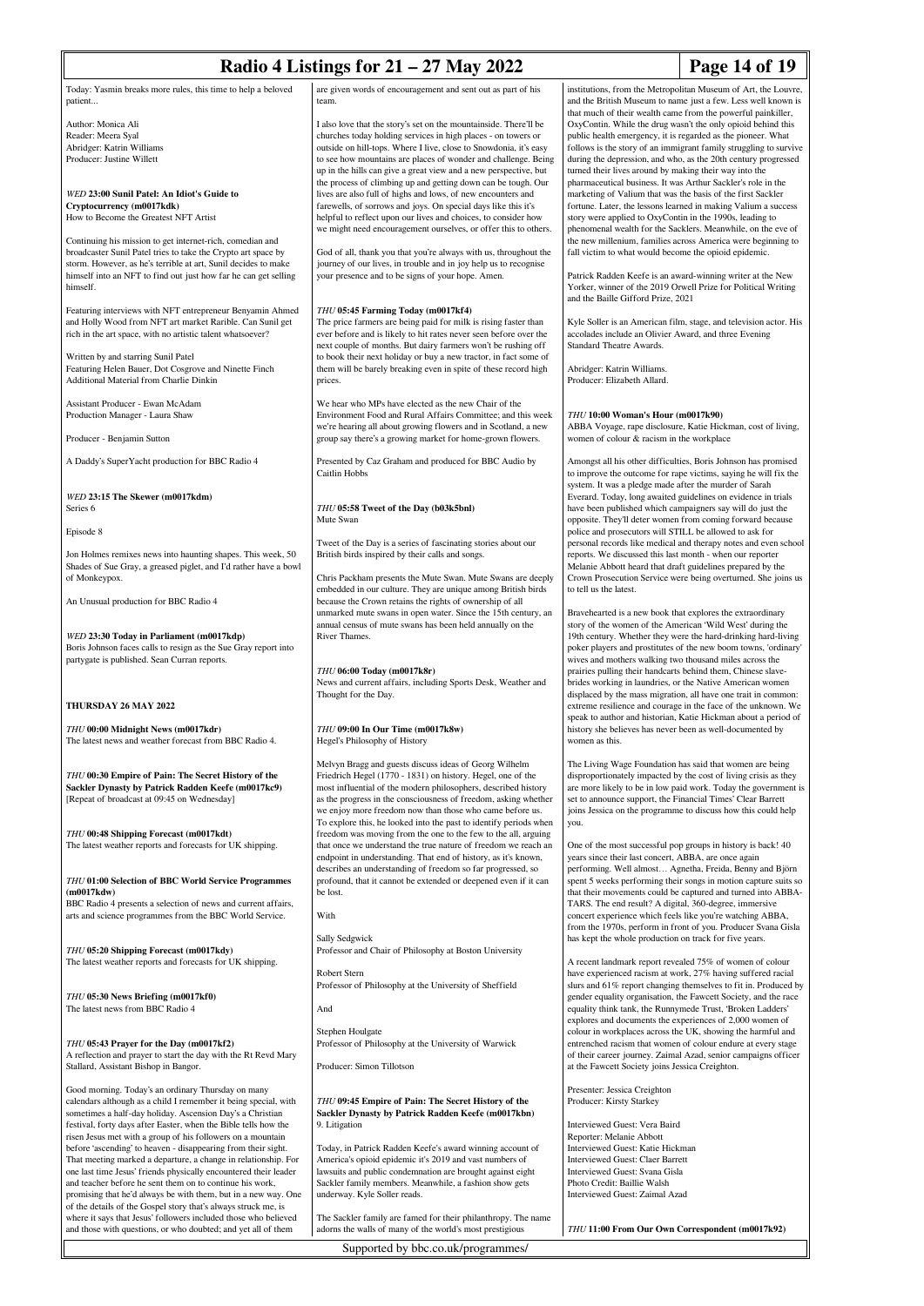|                                                                                                                                                                                                                                                       | Radio 4 Listings for 21 - 27 May 2022                                                                                                                                                                                                                                                                                                         |                                                                                                                                                                                         | Page 14 of 19                                                                                                                                                                                                                                                                                                               |
|-------------------------------------------------------------------------------------------------------------------------------------------------------------------------------------------------------------------------------------------------------|-----------------------------------------------------------------------------------------------------------------------------------------------------------------------------------------------------------------------------------------------------------------------------------------------------------------------------------------------|-----------------------------------------------------------------------------------------------------------------------------------------------------------------------------------------|-----------------------------------------------------------------------------------------------------------------------------------------------------------------------------------------------------------------------------------------------------------------------------------------------------------------------------|
| Today: Yasmin breaks more rules, this time to help a beloved<br>patient                                                                                                                                                                               | are given words of encouragement and sent out as part of his<br>team.                                                                                                                                                                                                                                                                         |                                                                                                                                                                                         | institutions, from the Metropolitan Museum of Art, the Louvre,<br>and the British Museum to name just a few. Less well known is<br>that much of their wealth came from the powerful painkiller,                                                                                                                             |
| Author: Monica Ali<br>Reader: Meera Syal<br>Abridger: Katrin Williams<br>Producer: Justine Willett                                                                                                                                                    | I also love that the story's set on the mountainside. There'll be<br>churches today holding services in high places - on towers or<br>outside on hill-tops. Where I live, close to Snowdonia, it's easy<br>to see how mountains are places of wonder and challenge. Being<br>up in the hills can give a great view and a new perspective, but | turned their lives around by making their way into the                                                                                                                                  | OxyContin. While the drug wasn't the only opioid behind this<br>public health emergency, it is regarded as the pioneer. What<br>follows is the story of an immigrant family struggling to survive<br>during the depression, and who, as the 20th century progressed                                                         |
| WED 23:00 Sunil Patel: An Idiot's Guide to<br>Cryptocurrency (m0017kdk)<br>How to Become the Greatest NFT Artist<br>Continuing his mission to get internet-rich, comedian and                                                                         | the process of climbing up and getting down can be tough. Our<br>lives are also full of highs and lows, of new encounters and<br>farewells, of sorrows and joys. On special days like this it's<br>helpful to reflect upon our lives and choices, to consider how<br>we might need encouragement ourselves, or offer this to others.          | pharmaceutical business. It was Arthur Sackler's role in the<br>marketing of Valium that was the basis of the first Sackler<br>story were applied to OxyContin in the 1990s, leading to | fortune. Later, the lessons learned in making Valium a success<br>phenomenal wealth for the Sacklers. Meanwhile, on the eve of<br>the new millenium, families across America were beginning to                                                                                                                              |
| broadcaster Sunil Patel tries to take the Crypto art space by<br>storm. However, as he's terrible at art, Sunil decides to make<br>himself into an NFT to find out just how far he can get selling<br>himself.                                        | God of all, thank you that you're always with us, throughout the<br>journey of our lives, in trouble and in joy help us to recognise<br>your presence and to be signs of your hope. Amen.                                                                                                                                                     | fall victim to what would become the opioid epidemic.                                                                                                                                   | Patrick Radden Keefe is an award-winning writer at the New<br>Yorker, winner of the 2019 Orwell Prize for Political Writing                                                                                                                                                                                                 |
| Featuring interviews with NFT entrepreneur Benyamin Ahmed<br>and Holly Wood from NFT art market Rarible. Can Sunil get<br>rich in the art space, with no artistic talent whatsoever?                                                                  | THU 05:45 Farming Today (m0017kf4)<br>The price farmers are being paid for milk is rising faster than<br>ever before and is likely to hit rates never seen before over the<br>next couple of months. But dairy farmers won't be rushing off                                                                                                   | and the Baille Gifford Prize, 2021<br>accolades include an Olivier Award, and three Evening<br>Standard Theatre Awards.                                                                 | Kyle Soller is an American film, stage, and television actor. His                                                                                                                                                                                                                                                           |
| Written by and starring Sunil Patel<br>Featuring Helen Bauer, Dot Cosgrove and Ninette Finch<br>Additional Material from Charlie Dinkin                                                                                                               | to book their next holiday or buy a new tractor, in fact some of<br>them will be barely breaking even in spite of these record high<br>prices.                                                                                                                                                                                                | Abridger: Katrin Williams.<br>Producer: Elizabeth Allard.                                                                                                                               |                                                                                                                                                                                                                                                                                                                             |
| Assistant Producer - Ewan McAdam<br>Production Manager - Laura Shaw<br>Producer - Benjamin Sutton                                                                                                                                                     | We hear who MPs have elected as the new Chair of the<br>Environment Food and Rural Affairs Committee; and this week<br>we're hearing all about growing flowers and in Scotland, a new<br>group say there's a growing market for home-grown flowers.                                                                                           | THU 10:00 Woman's Hour (m0017k90)<br>women of colour & racism in the workplace                                                                                                          | ABBA Voyage, rape disclosure, Katie Hickman, cost of living,                                                                                                                                                                                                                                                                |
| A Daddy's SuperYacht production for BBC Radio 4                                                                                                                                                                                                       | Presented by Caz Graham and produced for BBC Audio by<br>Caitlin Hobbs                                                                                                                                                                                                                                                                        |                                                                                                                                                                                         | Amongst all his other difficulties, Boris Johnson has promised<br>to improve the outcome for rape victims, saying he will fix the                                                                                                                                                                                           |
| WED 23:15 The Skewer (m0017kdm)<br>Series <sub>6</sub><br>Episode 8                                                                                                                                                                                   | THU 05:58 Tweet of the Day (b03k5bnl)<br>Mute Swan                                                                                                                                                                                                                                                                                            | system. It was a pledge made after the murder of Sarah<br>police and prosecutors will STILL be allowed to ask for                                                                       | Everard. Today, long awaited guidelines on evidence in trials<br>have been published which campaigners say will do just the<br>opposite. They'll deter women from coming forward because                                                                                                                                    |
| Jon Holmes remixes news into haunting shapes. This week, 50<br>Shades of Sue Gray, a greased piglet, and I'd rather have a bowl<br>of Monkeypox.                                                                                                      | Tweet of the Day is a series of fascinating stories about our<br>British birds inspired by their calls and songs.<br>Chris Packham presents the Mute Swan. Mute Swans are deeply                                                                                                                                                              | reports. We discussed this last month - when our reporter<br>Melanie Abbott heard that draft guidelines prepared by the                                                                 | personal records like medical and therapy notes and even school<br>Crown Prosecution Service were being overturned. She joins us                                                                                                                                                                                            |
| An Unusual production for BBC Radio 4                                                                                                                                                                                                                 | embedded in our culture. They are unique among British birds<br>because the Crown retains the rights of ownership of all<br>unmarked mute swans in open water. Since the 15th century, an                                                                                                                                                     | to tell us the latest.<br>Bravehearted is a new book that explores the extraordinary                                                                                                    |                                                                                                                                                                                                                                                                                                                             |
| WED 23:30 Today in Parliament (m0017kdp)<br>Boris Johnson faces calls to resign as the Sue Gray report into<br>partygate is published. Sean Curran reports.                                                                                           | annual census of mute swans has been held annually on the<br>River Thames.<br>THU 06:00 Today (m0017k8r)<br>News and current affairs, including Sports Desk, Weather and                                                                                                                                                                      | wives and mothers walking two thousand miles across the<br>prairies pulling their handcarts behind them, Chinese slave-                                                                 | story of the women of the American 'Wild West' during the<br>19th century. Whether they were the hard-drinking hard-living<br>poker players and prostitutes of the new boom towns, 'ordinary'<br>brides working in laundries, or the Native American women                                                                  |
| <b>THURSDAY 26 MAY 2022</b><br>THU 00:00 Midnight News (m0017kdr)                                                                                                                                                                                     | Thought for the Day.<br>THU 09:00 In Our Time (m0017k8w)                                                                                                                                                                                                                                                                                      | history she believes has never been as well-documented by                                                                                                                               | displaced by the mass migration, all have one trait in common:<br>extreme resilience and courage in the face of the unknown. We<br>speak to author and historian, Katie Hickman about a period of                                                                                                                           |
| The latest news and weather forecast from BBC Radio 4.                                                                                                                                                                                                | Hegel's Philosophy of History<br>Melvyn Bragg and guests discuss ideas of Georg Wilhelm                                                                                                                                                                                                                                                       | women as this.                                                                                                                                                                          | The Living Wage Foundation has said that women are being                                                                                                                                                                                                                                                                    |
| THU 00:30 Empire of Pain: The Secret History of the<br>Sackler Dynasty by Patrick Radden Keefe (m0017kc9)<br>[Repeat of broadcast at 09:45 on Wednesday]                                                                                              | Friedrich Hegel (1770 - 1831) on history. Hegel, one of the<br>most influential of the modern philosophers, described history<br>as the progress in the consciousness of freedom, asking whether<br>we enjoy more freedom now than those who came before us.<br>To explore this, he looked into the past to identify periods when             | set to announce support, the Financial Times' Clear Barrett<br>you.                                                                                                                     | disproportionately impacted by the cost of living crisis as they<br>are more likely to be in low paid work. Today the government is<br>joins Jessica on the programme to discuss how this could help                                                                                                                        |
| THU 00:48 Shipping Forecast (m0017kdt)<br>The latest weather reports and forecasts for UK shipping.                                                                                                                                                   | freedom was moving from the one to the few to the all, arguing<br>that once we understand the true nature of freedom we reach an<br>endpoint in understanding. That end of history, as it's known,<br>describes an understanding of freedom so far progressed, so                                                                             | years since their last concert, ABBA, are once again                                                                                                                                    | One of the most successful pop groups in history is back! 40<br>performing. Well almost Agnetha, Freida, Benny and Björn                                                                                                                                                                                                    |
| <b>THU 01:00 Selection of BBC World Service Programmes</b><br>(m0017kdw)<br>BBC Radio 4 presents a selection of news and current affairs,<br>arts and science programmes from the BBC World Service.                                                  | profound, that it cannot be extended or deepened even if it can<br>be lost.<br>With                                                                                                                                                                                                                                                           | TARS. The end result? A digital, 360-degree, immersive                                                                                                                                  | spent 5 weeks performing their songs in motion capture suits so<br>that their movements could be captured and turned into ABBA-<br>concert experience which feels like you're watching ABBA,                                                                                                                                |
| THU 05:20 Shipping Forecast (m0017kdy)<br>The latest weather reports and forecasts for UK shipping.                                                                                                                                                   | Sally Sedgwick<br>Professor and Chair of Philosophy at Boston University                                                                                                                                                                                                                                                                      | has kept the whole production on track for five years.                                                                                                                                  | from the 1970s, perform in front of you. Producer Svana Gisla<br>A recent landmark report revealed 75% of women of colour                                                                                                                                                                                                   |
| THU 05:30 News Briefing (m0017kf0)<br>The latest news from BBC Radio 4                                                                                                                                                                                | Robert Stern<br>Professor of Philosophy at the University of Sheffield<br>And                                                                                                                                                                                                                                                                 |                                                                                                                                                                                         | have experienced racism at work, 27% having suffered racial<br>slurs and 61% report changing themselves to fit in. Produced by<br>gender equality organisation, the Fawcett Society, and the race<br>equality think tank, the Runnymede Trust, 'Broken Ladders'<br>explores and documents the experiences of 2,000 women of |
| THU 05:43 Prayer for the Day (m0017kf2)<br>A reflection and prayer to start the day with the Rt Revd Mary<br>Stallard, Assistant Bishop in Bangor.                                                                                                    | Stephen Houlgate<br>Professor of Philosophy at the University of Warwick<br>Producer: Simon Tillotson                                                                                                                                                                                                                                         | at the Fawcett Society joins Jessica Creighton.                                                                                                                                         | colour in workplaces across the UK, showing the harmful and<br>entrenched racism that women of colour endure at every stage<br>of their career journey. Zaimal Azad, senior campaigns officer                                                                                                                               |
| Good morning. Today's an ordinary Thursday on many<br>calendars although as a child I remember it being special, with<br>sometimes a half-day holiday. Ascension Day's a Christian<br>festival, forty days after Easter, when the Bible tells how the | THU 09:45 Empire of Pain: The Secret History of the<br>Sackler Dynasty by Patrick Radden Keefe (m0017kbn)<br>9. Litigation                                                                                                                                                                                                                    | Presenter: Jessica Creighton<br>Producer: Kirsty Starkey<br>Interviewed Guest: Vera Baird                                                                                               |                                                                                                                                                                                                                                                                                                                             |
| risen Jesus met with a group of his followers on a mountain<br>before 'ascending' to heaven - disappearing from their sight.<br>That meeting marked a departure, a change in relationship. For                                                        | Today, in Patrick Radden Keefe's award winning account of<br>America's opioid epidemic it's 2019 and vast numbers of                                                                                                                                                                                                                          | Reporter: Melanie Abbott<br>Interviewed Guest: Katie Hickman<br><b>Interviewed Guest: Claer Barrett</b>                                                                                 |                                                                                                                                                                                                                                                                                                                             |
| one last time Jesus' friends physically encountered their leader<br>and teacher before he sent them on to continue his work,<br>promising that he'd always be with them, but in a new way. One                                                        | lawsuits and public condemnation are brought against eight<br>Sackler family members. Meanwhile, a fashion show gets<br>underway. Kyle Soller reads.                                                                                                                                                                                          | Interviewed Guest: Svana Gisla<br>Photo Credit: Baillie Walsh<br>Interviewed Guest: Zaimal Azad                                                                                         |                                                                                                                                                                                                                                                                                                                             |

That meeting marked a departure, a change in relationship. For one last time Jesus' friends physically encountered their leader and teacher before he sent them on to continue his work, promising that he'd always be with them, but in a new way. One of the details of the Gospel story that's always struck me, is where it says that Jesus' followers included those who believed and those with questions, or who doubted; and yet all of them

The Sackler family are famed for their philanthropy. The name adorns the walls of many of the world's most prestigious

*THU* **11:00 From Our Own Correspondent (m0017k92)**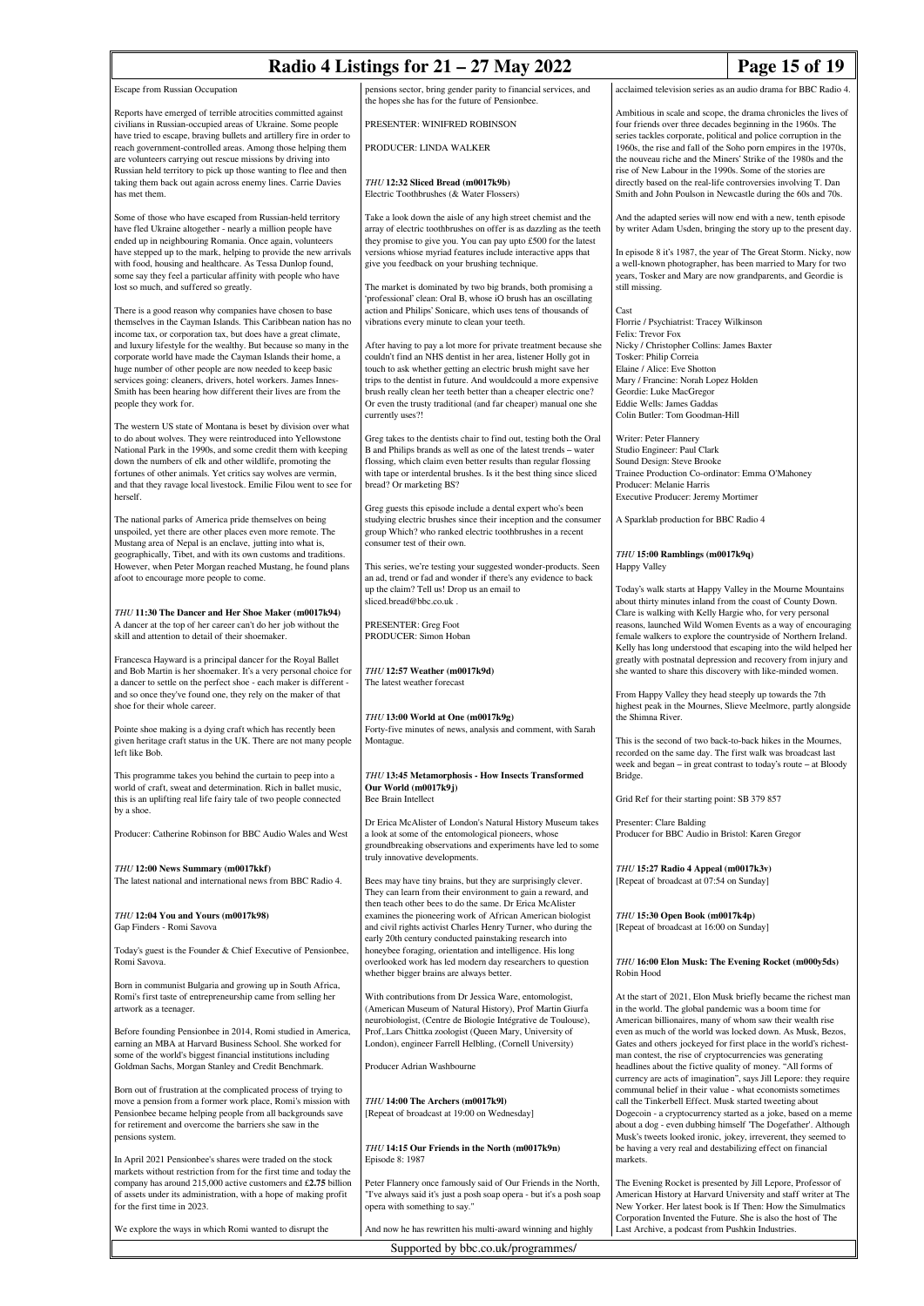| Radio 4 Listings for $21 - 27$ May 2022<br>Page 15 of 19                                                                                                                                                                                                                                                                                                                                                                                                                                                                                               |                                                                                                                                                                                                                                                                                                                                                                                                                                                                                                                                                     |                                                                                                                                                                                                                                                                                                                                                                                                                                                                                                                                     |                                                                                                                                                                                                                                                                        |  |
|--------------------------------------------------------------------------------------------------------------------------------------------------------------------------------------------------------------------------------------------------------------------------------------------------------------------------------------------------------------------------------------------------------------------------------------------------------------------------------------------------------------------------------------------------------|-----------------------------------------------------------------------------------------------------------------------------------------------------------------------------------------------------------------------------------------------------------------------------------------------------------------------------------------------------------------------------------------------------------------------------------------------------------------------------------------------------------------------------------------------------|-------------------------------------------------------------------------------------------------------------------------------------------------------------------------------------------------------------------------------------------------------------------------------------------------------------------------------------------------------------------------------------------------------------------------------------------------------------------------------------------------------------------------------------|------------------------------------------------------------------------------------------------------------------------------------------------------------------------------------------------------------------------------------------------------------------------|--|
| <b>Escape from Russian Occupation</b>                                                                                                                                                                                                                                                                                                                                                                                                                                                                                                                  | pensions sector, bring gender parity to financial services, and<br>the hopes she has for the future of Pensionbee.                                                                                                                                                                                                                                                                                                                                                                                                                                  | acclaimed television series as an audio drama for BBC Radio 4.                                                                                                                                                                                                                                                                                                                                                                                                                                                                      |                                                                                                                                                                                                                                                                        |  |
| Reports have emerged of terrible atrocities committed against<br>civilians in Russian-occupied areas of Ukraine. Some people<br>have tried to escape, braving bullets and artillery fire in order to<br>reach government-controlled areas. Among those helping them<br>are volunteers carrying out rescue missions by driving into<br>Russian held territory to pick up those wanting to flee and then<br>taking them back out again across enemy lines. Carrie Davies<br>has met them.                                                                | PRESENTER: WINIFRED ROBINSON<br>PRODUCER: LINDA WALKER<br>THU 12:32 Sliced Bread (m0017k9b)<br>Electric Toothbrushes (& Water Flossers)                                                                                                                                                                                                                                                                                                                                                                                                             | Ambitious in scale and scope, the drama chronicles the lives of<br>four friends over three decades beginning in the 1960s. The<br>series tackles corporate, political and police corruption in the<br>1960s, the rise and fall of the Soho porn empires in the 1970s,<br>the nouveau riche and the Miners' Strike of the 1980s and the<br>rise of New Labour in the 1990s. Some of the stories are<br>directly based on the real-life controversies involving T. Dan<br>Smith and John Poulson in Newcastle during the 60s and 70s. |                                                                                                                                                                                                                                                                        |  |
| Some of those who have escaped from Russian-held territory<br>have fled Ukraine altogether - nearly a million people have<br>ended up in neighbouring Romania. Once again, volunteers<br>have stepped up to the mark, helping to provide the new arrivals<br>with food, housing and healthcare. As Tessa Dunlop found,<br>some say they feel a particular affinity with people who have<br>lost so much, and suffered so greatly.                                                                                                                      | Take a look down the aisle of any high street chemist and the<br>array of electric toothbrushes on offer is as dazzling as the teeth<br>they promise to give you. You can pay upto £500 for the latest<br>versions whiose myriad features include interactive apps that<br>give you feedback on your brushing technique.<br>The market is dominated by two big brands, both promising a<br>'professional' clean: Oral B, whose iO brush has an oscillating                                                                                          | And the adapted series will now end with a new, tenth episode<br>by writer Adam Usden, bringing the story up to the present day.<br>In episode 8 it's 1987, the year of The Great Storm. Nicky, now<br>a well-known photographer, has been married to Mary for two<br>years, Tosker and Mary are now grandparents, and Geordie is<br>still missing.                                                                                                                                                                                 |                                                                                                                                                                                                                                                                        |  |
| There is a good reason why companies have chosen to base<br>themselves in the Cayman Islands. This Caribbean nation has no<br>income tax, or corporation tax, but does have a great climate,<br>and luxury lifestyle for the wealthy. But because so many in the<br>corporate world have made the Cayman Islands their home, a<br>huge number of other people are now needed to keep basic<br>services going: cleaners, drivers, hotel workers. James Innes-<br>Smith has been hearing how different their lives are from the<br>people they work for. | action and Philips' Sonicare, which uses tens of thousands of<br>vibrations every minute to clean your teeth.<br>After having to pay a lot more for private treatment because she<br>couldn't find an NHS dentist in her area, listener Holly got in<br>touch to ask whether getting an electric brush might save her<br>trips to the dentist in future. And wouldcould a more expensive<br>brush really clean her teeth better than a cheaper electric one?<br>Or even the trusty traditional (and far cheaper) manual one she<br>currently uses?! | Cast<br>Florrie / Psychiatrist: Tracey Wilkinson<br>Felix: Trevor Fox<br>Nicky / Christopher Collins: James Baxter<br>Tosker: Philip Correia<br>Elaine / Alice: Eve Shotton<br>Mary / Francine: Norah Lopez Holden<br>Geordie: Luke MacGregor<br>Eddie Wells: James Gaddas<br>Colin Butler: Tom Goodman-Hill                                                                                                                                                                                                                        |                                                                                                                                                                                                                                                                        |  |
| The western US state of Montana is beset by division over what<br>to do about wolves. They were reintroduced into Yellowstone<br>National Park in the 1990s, and some credit them with keeping<br>down the numbers of elk and other wildlife, promoting the<br>fortunes of other animals. Yet critics say wolves are vermin,<br>and that they ravage local livestock. Emilie Filou went to see for<br>herself.                                                                                                                                         | Greg takes to the dentists chair to find out, testing both the Oral<br>B and Philips brands as well as one of the latest trends - water<br>flossing, which claim even better results than regular flossing<br>with tape or interdental brushes. Is it the best thing since sliced<br>bread? Or marketing BS?<br>Greg guests this episode include a dental expert who's been                                                                                                                                                                         | Writer: Peter Flannery<br>Studio Engineer: Paul Clark<br>Sound Design: Steve Brooke<br>Trainee Production Co-ordinator: Emma O'Mahoney<br>Producer: Melanie Harris<br>Executive Producer: Jeremy Mortimer                                                                                                                                                                                                                                                                                                                           |                                                                                                                                                                                                                                                                        |  |
| The national parks of America pride themselves on being<br>unspoiled, yet there are other places even more remote. The<br>Mustang area of Nepal is an enclave, jutting into what is,<br>geographically, Tibet, and with its own customs and traditions.<br>However, when Peter Morgan reached Mustang, he found plans<br>afoot to encourage more people to come.                                                                                                                                                                                       | studying electric brushes since their inception and the consumer<br>group Which? who ranked electric toothbrushes in a recent<br>consumer test of their own.<br>This series, we're testing your suggested wonder-products. Seen<br>an ad, trend or fad and wonder if there's any evidence to back                                                                                                                                                                                                                                                   | A Sparklab production for BBC Radio 4<br>THU 15:00 Ramblings (m0017k9q)<br><b>Happy Valley</b>                                                                                                                                                                                                                                                                                                                                                                                                                                      |                                                                                                                                                                                                                                                                        |  |
| THU 11:30 The Dancer and Her Shoe Maker (m0017k94)<br>A dancer at the top of her career can't do her job without the<br>skill and attention to detail of their shoemaker.                                                                                                                                                                                                                                                                                                                                                                              | up the claim? Tell us! Drop us an email to<br>sliced.bread@bbc.co.uk.<br>PRESENTER: Greg Foot<br>PRODUCER: Simon Hoban                                                                                                                                                                                                                                                                                                                                                                                                                              | about thirty minutes inland from the coast of County Down.<br>Clare is walking with Kelly Hargie who, for very personal                                                                                                                                                                                                                                                                                                                                                                                                             | Today's walk starts at Happy Valley in the Mourne Mountains<br>reasons, launched Wild Women Events as a way of encouraging<br>female walkers to explore the countryside of Northern Ireland.<br>Kelly has long understood that escaping into the wild helped her       |  |
| Francesca Hayward is a principal dancer for the Royal Ballet<br>and Bob Martin is her shoemaker. It's a very personal choice for<br>a dancer to settle on the perfect shoe - each maker is different -<br>and so once they've found one, they rely on the maker of that<br>shoe for their whole career.                                                                                                                                                                                                                                                | THU 12:57 Weather (m0017k9d)<br>The latest weather forecast                                                                                                                                                                                                                                                                                                                                                                                                                                                                                         | she wanted to share this discovery with like-minded women.<br>From Happy Valley they head steeply up towards the 7th                                                                                                                                                                                                                                                                                                                                                                                                                | greatly with postnatal depression and recovery from injury and<br>highest peak in the Mournes, Slieve Meelmore, partly alongside                                                                                                                                       |  |
| Pointe shoe making is a dying craft which has recently been<br>given heritage craft status in the UK. There are not many people<br>left like Bob.                                                                                                                                                                                                                                                                                                                                                                                                      | THU 13:00 World at One (m0017k9g)<br>Forty-five minutes of news, analysis and comment, with Sarah<br>Montague.                                                                                                                                                                                                                                                                                                                                                                                                                                      | the Shimna River.<br>This is the second of two back-to-back hikes in the Mournes,<br>recorded on the same day. The first walk was broadcast last<br>week and began - in great contrast to today's route - at Bloody                                                                                                                                                                                                                                                                                                                 |                                                                                                                                                                                                                                                                        |  |
| This programme takes you behind the curtain to peep into a<br>world of craft, sweat and determination. Rich in ballet music,<br>this is an uplifting real life fairy tale of two people connected<br>by a shoe.                                                                                                                                                                                                                                                                                                                                        | THU 13:45 Metamorphosis - How Insects Transformed<br>Our World (m0017k9j)<br>Bee Brain Intellect                                                                                                                                                                                                                                                                                                                                                                                                                                                    | Bridge.<br>Grid Ref for their starting point: SB 379 857                                                                                                                                                                                                                                                                                                                                                                                                                                                                            |                                                                                                                                                                                                                                                                        |  |
| Producer: Catherine Robinson for BBC Audio Wales and West                                                                                                                                                                                                                                                                                                                                                                                                                                                                                              | Dr Erica McAlister of London's Natural History Museum takes<br>a look at some of the entomological pioneers, whose<br>groundbreaking observations and experiments have led to some                                                                                                                                                                                                                                                                                                                                                                  | Presenter: Clare Balding<br>Producer for BBC Audio in Bristol: Karen Gregor                                                                                                                                                                                                                                                                                                                                                                                                                                                         |                                                                                                                                                                                                                                                                        |  |
| THU 12:00 News Summary (m0017kkf)<br>The latest national and international news from BBC Radio 4.                                                                                                                                                                                                                                                                                                                                                                                                                                                      | truly innovative developments.<br>Bees may have tiny brains, but they are surprisingly clever.<br>They can learn from their environment to gain a reward, and<br>then teach other bees to do the same. Dr Erica McAlister                                                                                                                                                                                                                                                                                                                           | THU 15:27 Radio 4 Appeal (m0017k3v)<br>[Repeat of broadcast at 07:54 on Sunday]                                                                                                                                                                                                                                                                                                                                                                                                                                                     |                                                                                                                                                                                                                                                                        |  |
| THU 12:04 You and Yours (m0017k98)<br>Gap Finders - Romi Savova<br>Today's guest is the Founder & Chief Executive of Pensionbee,                                                                                                                                                                                                                                                                                                                                                                                                                       | examines the pioneering work of African American biologist<br>and civil rights activist Charles Henry Turner, who during the<br>early 20th century conducted painstaking research into<br>honeybee foraging, orientation and intelligence. His long                                                                                                                                                                                                                                                                                                 | THU 15:30 Open Book (m0017k4p)<br>[Repeat of broadcast at 16:00 on Sunday]                                                                                                                                                                                                                                                                                                                                                                                                                                                          |                                                                                                                                                                                                                                                                        |  |
| Romi Savova.<br>Born in communist Bulgaria and growing up in South Africa,<br>Romi's first taste of entrepreneurship came from selling her                                                                                                                                                                                                                                                                                                                                                                                                             | overlooked work has led modern day researchers to question<br>whether bigger brains are always better.<br>With contributions from Dr Jessica Ware, entomologist,                                                                                                                                                                                                                                                                                                                                                                                    | THU 16:00 Elon Musk: The Evening Rocket (m000y5ds)<br>Robin Hood                                                                                                                                                                                                                                                                                                                                                                                                                                                                    | At the start of 2021, Elon Musk briefly became the richest man                                                                                                                                                                                                         |  |
| artwork as a teenager.<br>Before founding Pensionbee in 2014, Romi studied in America,<br>earning an MBA at Harvard Business School. She worked for<br>some of the world's biggest financial institutions including<br>Goldman Sachs, Morgan Stanley and Credit Benchmark.                                                                                                                                                                                                                                                                             | (American Museum of Natural History), Prof Martin Giurfa<br>neurobiologist, (Centre de Biologie Intégrative de Toulouse),<br>Prof, Lars Chittka zoologist (Queen Mary, University of<br>London), engineer Farrell Helbling, (Cornell University)<br>Producer Adrian Washbourne                                                                                                                                                                                                                                                                      | in the world. The global pandemic was a boom time for<br>American billionaires, many of whom saw their wealth rise<br>man contest, the rise of cryptocurrencies was generating<br>headlines about the fictive quality of money. "All forms of                                                                                                                                                                                                                                                                                       | even as much of the world was locked down. As Musk, Bezos,<br>Gates and others jockeyed for first place in the world's richest-                                                                                                                                        |  |
| Born out of frustration at the complicated process of trying to<br>move a pension from a former work place, Romi's mission with<br>Pensionbee became helping people from all backgrounds save<br>for retirement and overcome the barriers she saw in the<br>pensions system.                                                                                                                                                                                                                                                                           | THU 14:00 The Archers (m0017k9l)<br>[Repeat of broadcast at 19:00 on Wednesday]                                                                                                                                                                                                                                                                                                                                                                                                                                                                     | communal belief in their value - what economists sometimes<br>call the Tinkerbell Effect. Musk started tweeting about                                                                                                                                                                                                                                                                                                                                                                                                               | currency are acts of imagination", says Jill Lepore: they require<br>Dogecoin - a cryptocurrency started as a joke, based on a meme<br>about a dog - even dubbing himself 'The Dogefather'. Although<br>Musk's tweets looked ironic, jokey, irreverent, they seemed to |  |
| In April 2021 Pensionbee's shares were traded on the stock<br>markets without restriction from for the first time and today the<br>company has around 215,000 active customers and £2.75 billion<br>of assets under its administration, with a hope of making profit<br>for the first time in 2023.                                                                                                                                                                                                                                                    | THU 14:15 Our Friends in the North (m0017k9n)<br>Episode 8: 1987<br>Peter Flannery once famously said of Our Friends in the North,<br>"I've always said it's just a posh soap opera - but it's a posh soap<br>opera with something to say."                                                                                                                                                                                                                                                                                                         | be having a very real and destabilizing effect on financial<br>markets.<br>The Evening Rocket is presented by Jill Lepore, Professor of                                                                                                                                                                                                                                                                                                                                                                                             | American History at Harvard University and staff writer at The<br>New Yorker. Her latest book is If Then: How the Simulmatics                                                                                                                                          |  |
| We explore the ways in which Romi wanted to disrupt the                                                                                                                                                                                                                                                                                                                                                                                                                                                                                                | And now he has rewritten his multi-award winning and highly                                                                                                                                                                                                                                                                                                                                                                                                                                                                                         | Corporation Invented the Future. She is also the host of The<br>Last Archive, a podcast from Pushkin Industries.                                                                                                                                                                                                                                                                                                                                                                                                                    |                                                                                                                                                                                                                                                                        |  |
| Supported by bbc.co.uk/programmes/                                                                                                                                                                                                                                                                                                                                                                                                                                                                                                                     |                                                                                                                                                                                                                                                                                                                                                                                                                                                                                                                                                     |                                                                                                                                                                                                                                                                                                                                                                                                                                                                                                                                     |                                                                                                                                                                                                                                                                        |  |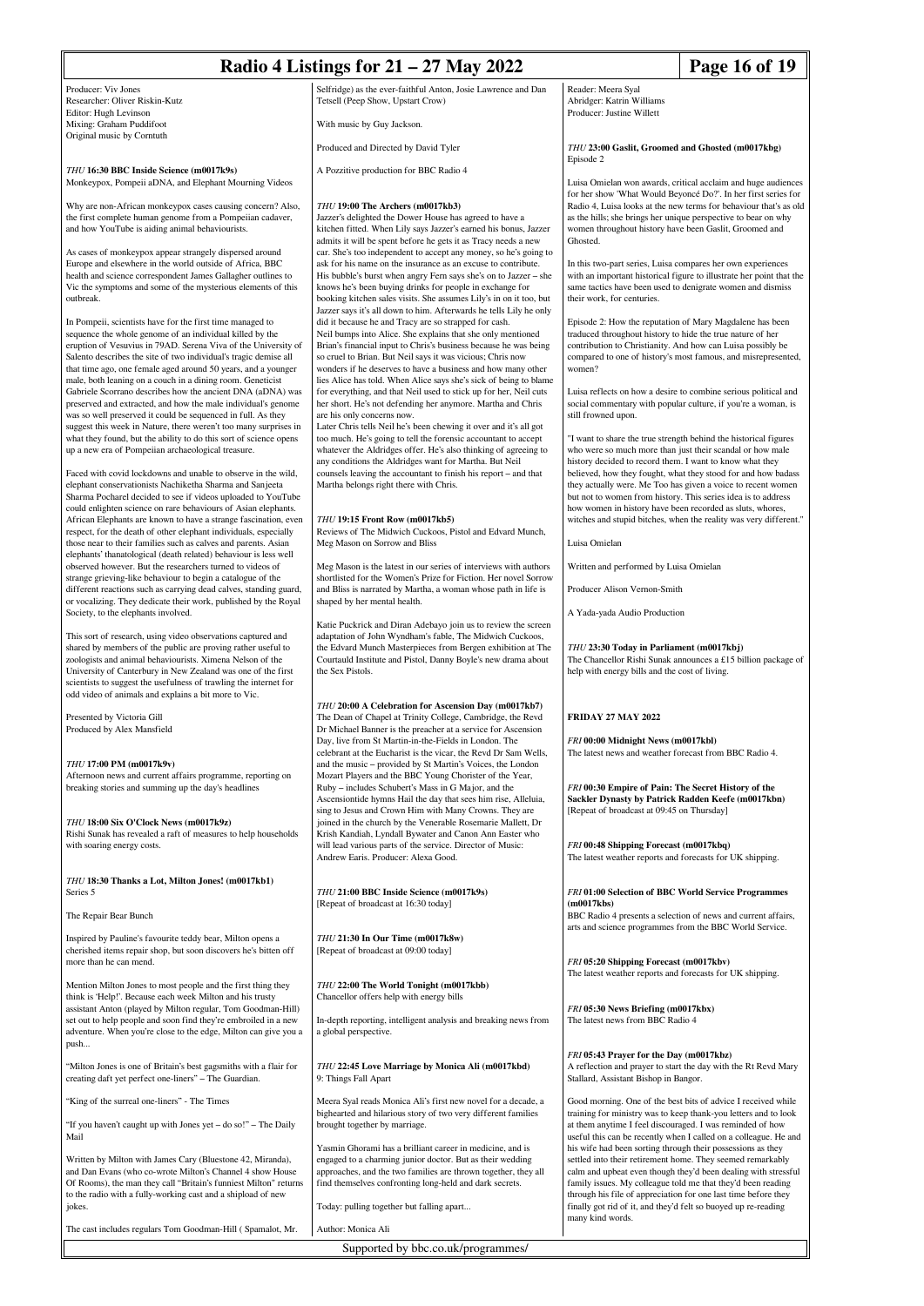# **Radio 4 Listings for 21 – 27 May 2022 Page 16 of 19**

Producer: Viv Jones Researcher: Oliver Riskin-Kutz Editor: Hugh Levinson Mixing: Graham Puddifoot Original music by Corntuth

*THU* **16:30 BBC Inside Science (m0017k9s)** Monkeypox, Pompeii aDNA, and Elephant Mourning Video

Why are non-African monkeypox cases causing concern? Also, the first complete human genome from a Pompeiian cadaver, and how YouTube is aiding animal behaviourists.

As cases of monkeypox appear strangely dispersed around Europe and elsewhere in the world outside of Africa, BBC health and science correspondent James Gallagher outlines to Vic the symptoms and some of the mysterious elements of this outbreak.

In Pompeii, scientists have for the first time managed to sequence the whole genome of an individual killed by the eruption of Vesuvius in 79AD. Serena Viva of the University of Salento describes the site of two individual's tragic demise all that time ago, one female aged around 50 years, and a younger male, both leaning on a couch in a dining room. Geneticist Gabriele Scorrano describes how the ancient DNA (aDNA) was preserved and extracted, and how the male individual's genome was so well preserved it could be sequenced in full. As they suggest this week in Nature, there weren't too many surprises in what they found, but the ability to do this sort of science opens up a new era of Pompeiian archaeological treasure.

Faced with covid lockdowns and unable to observe in the wild, elephant conservationists Nachiketha Sharma and Sanjeeta Sharma Pocharel decided to see if videos uploaded to YouTube could enlighten science on rare behaviours of Asian elephants. African Elephants are known to have a strange fascination, even respect, for the death of other elephant individuals, especially those near to their families such as calves and parents. Asian elephants' thanatological (death related) behaviour is less well observed however. But the researchers turned to videos of strange grieving-like behaviour to begin a catalogue of the different reactions such as carrying dead calves, standing guard, or vocalizing. They dedicate their work, published by the Royal Society, to the elephants involved.

This sort of research, using video observations captured and shared by members of the public are proving rather useful to zoologists and animal behaviourists. Ximena Nelson of the University of Canterbury in New Zealand was one of the first scientists to suggest the usefulness of trawling the internet for odd video of animals and explains a bit more to Vic.

Presented by Victoria Gill Produced by Alex Mansfield

*THU* **17:00 PM (m0017k9v)** Afternoon news and current affairs programme, reporting on breaking stories and summing up the day's headlines

*THU* **18:00 Six O'Clock News (m0017k9z)** Rishi Sunak has revealed a raft of measures to help households with soaring energy costs.

*THU* **18:30 Thanks a Lot, Milton Jones! (m0017kb1)** Series 5

The Repair Bear Bunch

Inspired by Pauline's favourite teddy bear, Milton opens a cherished items repair shop, but soon discovers he's bitten off more than he can mend.

Mention Milton Jones to most people and the first thing they think is 'Help!'. Because each week Milton and his trusty assistant Anton (played by Milton regular, Tom Goodman-Hill) set out to help people and soon find they're embroiled in a new adventure. When you're close to the edge, Milton can give you a push...

"Milton Jones is one of Britain's best gagsmiths with a flair for creating daft yet perfect one-liners" – The Guardian.

"King of the surreal one-liners" - The Times

"If you haven't caught up with Jones yet – do so!" – The Daily Mail

Written by Milton with James Cary (Bluestone 42, Miranda), and Dan Evans (who co-wrote Milton's Channel 4 show House Of Rooms), the man they call "Britain's funniest Milton" returns to the radio with a fully-working cast and a shipload of new iokes

The cast includes regulars Tom Goodman-Hill ( Spamalot, Mr.

Selfridge) as the ever-faithful Anton, Josie Lawrence and Dan Tetsell (Peep Show, Upstart Crow)

With music by Guy Jackson.

Produced and Directed by David Tyler

A Pozzitive production for BBC Radio 4

### *THU* **19:00 The Archers (m0017kb3)**

Jazzer's delighted the Dower House has agreed to have a kitchen fitted. When Lily says Jazzer's earned his bonus, Jazzer admits it will be spent before he gets it as Tracy needs a new car. She's too independent to accept any money, so he's going to ask for his name on the insurance as an excuse to contribute. His bubble's burst when angry Fern says she's on to Jazzer – she knows he's been buying drinks for people in exchange for booking kitchen sales visits. She assumes Lily's in on it too, but booking kitchen sales visits. She ass Jazzer says it's all down to him. Afterwards he tells Lily he only did it because he and Tracy are so strapped for cash. Neil bumps into Alice. She explains that she only mentioned Brian's financial input to Chris's business because he was being so cruel to Brian. But Neil says it was vicious; Chris now wonders if he deserves to have a business and how many other lies Alice has told. When Alice says she's sick of being to blame for everything, and that Neil used to stick up for her, Neil cuts her short. He's not defending her anymore. Martha and Chris are his only concerns now.

Later Chris tells Neil he's been chewing it over and it's all got too much. He's going to tell the forensic accountant to accept whatever the Aldridges offer. He's also thinking of agreeing to any conditions the Aldridges want for Martha. But Neil counsels leaving the accountant to finish his report – and that Martha belongs right there with Chris.

#### *THU* **19:15 Front Row (m0017kb5)**

Reviews of The Midwich Cuckoos, Pistol and Edvard Munch, Meg Mason on Sorrow and Bliss

Meg Mason is the latest in our series of interviews with authors shortlisted for the Women's Prize for Fiction. Her novel Sorrow and Bliss is narrated by Martha, a woman whose path in life is shaped by her mental health.

Katie Puckrick and Diran Adebayo join us to review the screen adaptation of John Wyndham's fable, The Midwich Cuckoos, the Edvard Munch Masterpieces from Bergen exhibition at The Courtauld Institute and Pistol, Danny Boyle's new drama about the Sex Pistols.

# *THU* **20:00 A Celebration for Ascension Day (m0017kb7)**

The Dean of Chapel at Trinity College, Cambridge, the Revd Dr Michael Banner is the preacher at a service for Ascension Day, live from St Martin-in-the-Fields in London. The celebrant at the Eucharist is the vicar, the Revd Dr Sam Wells, and the music – provided by St Martin's Voices, the London Mozart Players and the BBC Young Chorister of the Year, Ruby – includes Schubert's Mass in G Major, and the Ascensiontide hymns Hail the day that sees him rise, Alleluia, sing to Jesus and Crown Him with Many Crowns. They are joined in the church by the Venerable Rosemarie Mallett, Dr Krish Kandiah, Lyndall Bywater and Canon Ann Easter who will lead various parts of the service. Director of Music: Andrew Earis. Producer: Alexa Good.

*THU* **21:00 BBC Inside Science (m0017k9s)** [Repeat of broadcast at 16:30 today]

*THU* **21:30 In Our Time (m0017k8w)** [Repeat of broadcast at 09:00 today]

*THU* **22:00 The World Tonight (m0017kbb)** Chancellor offers help with energy bills

In-depth reporting, intelligent analysis and breaking news from a global perspective.

*THU* **22:45 Love Marriage by Monica Ali (m0017kbd)** 9: Things Fall Apart

Meera Syal reads Monica Ali's first new novel for a decade, a bighearted and hilarious story of two very different families brought together by marriage.

Yasmin Ghorami has a brilliant career in medicine, and is engaged to a charming junior doctor. But as their wedding approaches, and the two families are thrown together, they all find themselves confronting long-held and dark secrets.

Today: pulling together but falling apart...

Author: Monica Ali

Reader: Meera Syal Abridger: Katrin Williams Producer: Justine Willett

*THU* **23:00 Gaslit, Groomed and Ghosted (m0017kbg)** Episode 2

Luisa Omielan won awards, critical acclaim and huge audiences for her show 'What Would Beyoncé Do?'. In her first series for Radio 4, Luisa looks at the new terms for behaviour that's as old as the hills; she brings her unique perspective to bear on why women throughout history have been Gaslit, Groomed and **Ghosted** 

In this two-part series, Luisa compares her own experiences with an important historical figure to illustrate her point that the same tactics have been used to denigrate women and dismis their work, for centuries.

Episode 2: How the reputation of Mary Magdalene has been traduced throughout history to hide the true nature of her contribution to Christianity. And how can Luisa possibly be compared to one of history's most famous, and misreprese women?

Luisa reflects on how a desire to combine serious political and social commentary with popular culture, if you're a woman, is still frowned upon.

"I want to share the true strength behind the historical figures who were so much more than just their scandal or how male history decided to record them. I want to know what they believed, how they fought, what they stood for and how badass they actually were. Me Too has given a voice to recent women but not to women from history. This series idea is to address how women in history have been recorded as sluts, whores witches and stupid bitches, when the reality was very different.

Luisa Omielan

Written and performed by Luisa Omielan

Producer Alison Vernon-Smith

A Yada-yada Audio Production

*THU* **23:30 Today in Parliament (m0017kbj)** The Chancellor Rishi Sunak announces a £15 billion package of help with energy bills and the cost of living.

# **FRIDAY 27 MAY 2022**

*FRI* **00:00 Midnight News (m0017kbl)** The latest news and weather forecast from BBC Radio 4.

*FRI* **00:30 Empire of Pain: The Secret History of the Sackler Dynasty by Patrick Radden Keefe (m0017kbn)** [Repeat of broadcast at 09:45 on Thursday]

*FRI* **00:48 Shipping Forecast (m0017kbq)** The latest weather reports and forecasts for UK shipping.

*FRI* **01:00 Selection of BBC World Service Programmes (m0017kbs)**

BBC Radio 4 presents a selection of news and current affairs. arts and science programmes from the BBC World Service.

*FRI* **05:20 Shipping Forecast (m0017kbv)** The latest weather reports and forecasts for UK shipping.

*FRI* **05:30 News Briefing (m0017kbx)** The latest news from BBC Radio 4

*FRI* **05:43 Prayer for the Day (m0017kbz)** A reflection and prayer to start the day with the Rt Revd Mary Stallard, Assistant Bishop in Bangor.

Good morning. One of the best bits of advice I received while training for ministry was to keep thank-you letters and to look at them anytime I feel discouraged. I was reminded of how useful this can be recently when I called on a colleague. He and his wife had been sorting through their possessions as they settled into their retirement home. They seemed remarkably calm and upbeat even though they'd been dealing with stressful family issues. My colleague told me that they'd been reading through his file of appreciation for one last time before they finally got rid of it, and they'd felt so buoyed up re-reading many kind words.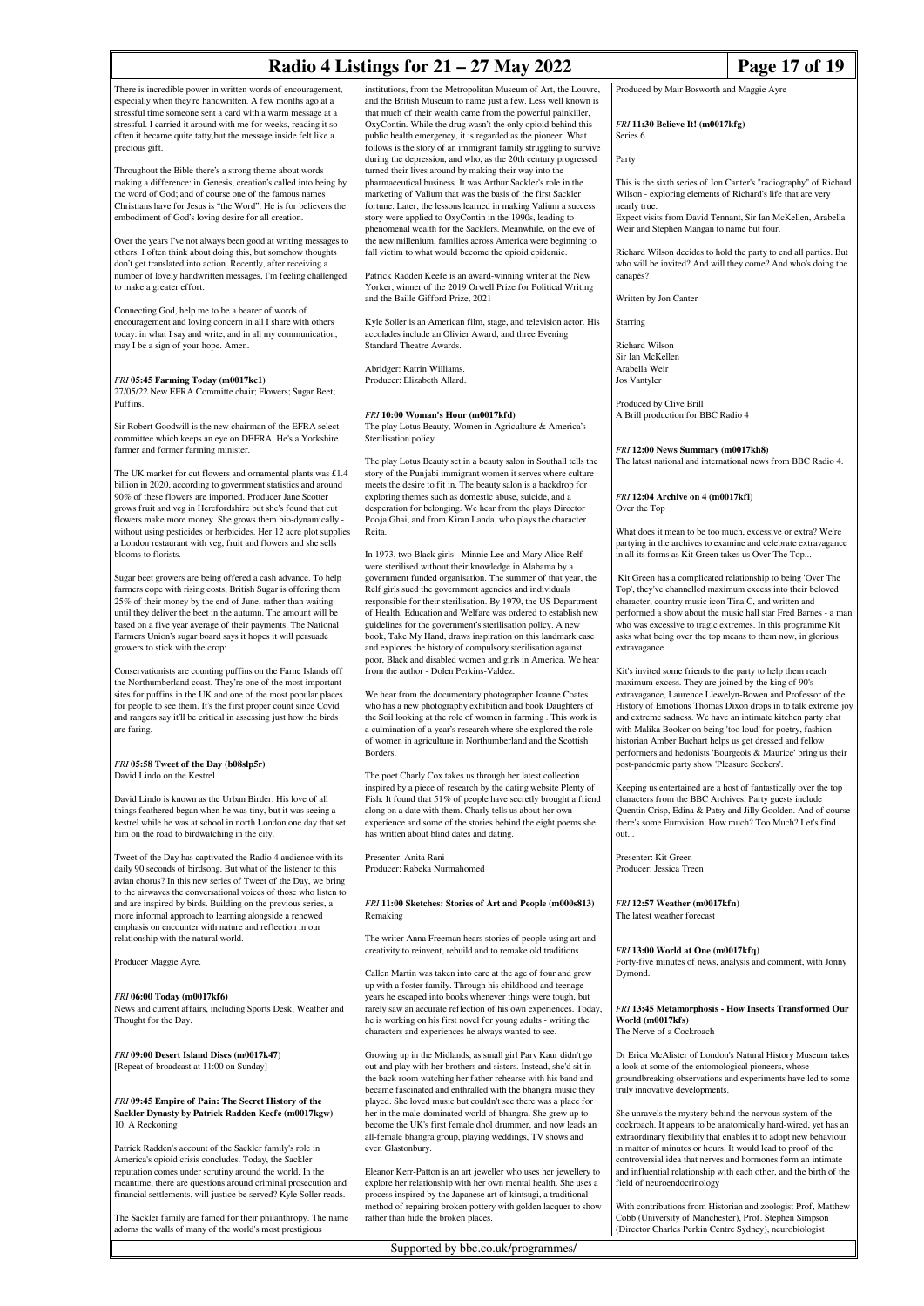# **Radio 4 Listings for 21 – 27 May 2022** Page 17 of 19

There is incredible power in written words of encouragement, especially when they're handwritten. A few months ago at a stressful time someone sent a card with a warm message at a stressful. I carried it around with me for weeks, reading it so often it became quite tatty,but the message inside felt like a precious gift.

Throughout the Bible there's a strong theme about words making a difference: in Genesis, creation's called into being by the word of God; and of course one of the famous names Christians have for Jesus is "the Word". He is for believers the ent of God's loving desire for all creation.

Over the years I've not always been good at writing messages to others. I often think about doing this, but somehow thoughts don't get translated into action. Recently, after receiving a number of lovely handwritten messages, I'm feeling challenged to make a greater effort.

Connecting God, help me to be a bearer of words of encouragement and loving concern in all I share with others today: in what I say and write, and in all my communication, may I be a sign of your hope. Amen.

#### *FRI* **05:45 Farming Today (m0017kc1)**

27/05/22 New EFRA Committe chair; Flowers; Sugar Beet; Puffins.

Sir Robert Goodwill is the new chairman of the EFRA select committee which keeps an eye on DEFRA. He's a Yorkshire farmer and former farming minister.

The UK market for cut flowers and ornamental plants was £1.4 billion in 2020, according to government statistics and around 90% of these flowers are imported. Producer Jane Scotter grows fruit and veg in Herefordshire but she's found that cut flowers make more money. She grows them bio-dynamically without using pesticides or herbicides. Her 12 acre plot supplies a London restaurant with veg, fruit and flowers and she sells blooms to florists.

Sugar beet growers are being offered a cash advance. To help farmers cope with rising costs, British Sugar is offering them 25% of their money by the end of June, rather than waiting until they deliver the beet in the autumn. The amount will be based on a five year average of their payments. The National Farmers Union's sugar board says it hopes it will persuade growers to stick with the crop:

Conservationists are counting puffins on the Farne Islands off the Northumberland coast. They're one of the most important sites for puffins in the UK and one of the most popular places for people to see them. It's the first proper count since Covid and rangers say it'll be critical in assessing just how the birds are faring.

#### *FRI* **05:58 Tweet of the Day (b08slp5r)** David Lindo on the Kestrel

David Lindo is known as the Urban Birder. His love of all things feathered began when he was tiny, but it was seeing a kestrel while he was at school in north London one day that set him on the road to birdwatching in the city.

Tweet of the Day has captivated the Radio 4 audience with its daily 90 seconds of birdsong. But what of the listener to this avian chorus? In this new series of Tweet of the Day, we bring to the airwaves the conversational voices of those who listen to and are inspired by birds. Building on the previous series, a more informal approach to learning alongside a renewed emphasis on encounter with nature and reflection in our relationship with the natural world.

Producer Maggie Ayre.

*FRI* **06:00 Today (m0017kf6)** News and current affairs, including Sports Desk, Weather and Thought for the Day.

*FRI* **09:00 Desert Island Discs (m0017k47)** [Repeat of broadcast at 11:00 on Sunday]

*FRI* **09:45 Empire of Pain: The Secret History of the Sackler Dynasty by Patrick Radden Keefe (m0017kgw)** 10. A Reckoning

Patrick Radden's account of the Sackler family's role in America's opioid crisis concludes. Today, the Sackler reputation comes under scrutiny around the world. In the eantime, there are questions around criminal prosecution and financial settlements, will justice be served? Kyle Soller reads.

The Sackler family are famed for their philanthropy. The na adorns the walls of many of the world's most prestigious

institutions, from the Metropolitan Museum of Art, the Louvre, and the British Museum to name just a few. Less well known is that much of their wealth came from the powerful painkiller, OxyContin. While the drug wasn't the only opioid behind this public health emergency, it is regarded as the pioneer. What follows is the story of an immigrant family struggling to survive during the depression, and who, as the 20th century progressed turned their lives around by making their way into the pharmaceutical business. It was Arthur Sackler's role in the marketing of Valium that was the basis of the first Sackler fortune. Later, the lessons learned in making Valium a success story were applied to OxyContin in the 1990s, leading to phenomenal wealth for the Sacklers. Meanwhile, on the eve of the new millenium, families across America were beginning to fall victim to what would become the opioid epidem

Patrick Radden Keefe is an award-winning writer at the New Yorker, winner of the 2019 Orwell Prize for Political Writing and the Baille Gifford Prize, 2021

Kyle Soller is an American film, stage, and television actor. His accolades include an Olivier Award, and three Evening Standard Theatre Awards.

Abridger: Katrin Williams. Producer: Elizabeth Allard.

Reita.

#### *FRI* **10:00 Woman's Hour (m0017kfd)** The play Lotus Beauty, Women in Agriculture & America's

Sterilisation policy The play Lotus Beauty set in a beauty salon in Southall tells the story of the Punjabi immigrant women it serves where culture meets the desire to fit in. The beauty salon is a backdrop for exploring themes such as domestic abuse, suicide, and a desperation for belonging. We hear from the plays Director

Pooja Ghai, and from Kiran Landa, who plays the character

In 1973, two Black girls - Minnie Lee and Mary Alice Relf were sterilised without their knowledge in Alabama by a government funded organisation. The summer of that year, the Relf girls sued the government agencies and individuals responsible for their sterilisation. By 1979, the US Department of Health, Education and Welfare was ordered to establish new guidelines for the government's sterilisation policy. A new book, Take My Hand, draws inspiration on this landmark case and explores the history of compulsory sterilisation again poor, Black and disabled women and girls in America. We hear from the author - Dolen Perkins-Valdez.

We hear from the documentary photographer Joanne Coates who has a new photography exhibition and book Daughters of the Soil looking at the role of women in farming . This work is a culmination of a year's research where she explored the role of women in agriculture in Northumberland and the Scottish Borders.

The poet Charly Cox takes us through her latest collection inspired by a piece of research by the dating website Plenty of Fish. It found that 51% of people have secretly brought a friend along on a date with them. Charly tells us about her own experience and some of the stories behind the eight poems she has written about blind dates and dating.

Presenter: Anita Rani Producer: Rabeka Nurmahomed

#### *FRI* **11:00 Sketches: Stories of Art and People (m000s813)** Remaking

The writer Anna Freeman hears stories of people using art and creativity to reinvent, rebuild and to remake old traditions.

Callen Martin was taken into care at the age of four and grew up with a foster family. Through his childhood and teenage years he escaped into books whenever things were tough, but rarely saw an accurate reflection of his own experiences. Today, he is working on his first novel for young adults - writing the characters and experiences he always wanted to see.

Growing up in the Midlands, as small girl Parv Kaur didn't go out and play with her brothers and sisters. Instead, she'd sit in the back room watching her father rehearse with his band and became fascinated and enthralled with the bhangra music they played. She loved music but couldn't see there was a place for her in the male-dominated world of bhangra. She grew up to become the UK's first female dhol drummer, and now leads an all-female bhangra group, playing weddings, TV shows and even Glastonbury.

Eleanor Kerr-Patton is an art jeweller who uses her jewellery to explore her relationship with her own mental health. She uses process inspired by the Japanese art of kintsugi, a traditional method of repairing broken pottery with golden lacquer to show rather than hide the broken places.

Supported by bbc.co.uk/programmes/

Produced by Mair Bosworth and Maggie Ayre

*FRI* **11:30 Believe It! (m0017kfg)** Series 6

Party

This is the sixth series of Jon Canter's "radiography" of Richard Wilson - exploring elements of Richard's life that are very nearly true.

Expect visits from David Tennant, Sir Ian McKellen, Arabella Weir and Stephen Mangan to name but four.

Richard Wilson decides to hold the party to end all parties. But who will be invited? And will they come? And who's doing the canapés?

Written by Jon Canter

Starring

Richard Wilson Sir Ian McKellen Arabella Weir Jos Vantyler

Produced by Clive Brill A Brill production for BBC Radio 4

*FRI* **12:00 News Summary (m0017kh8)** The latest national and international news from BBC Radio 4.

*FRI* **12:04 Archive on 4 (m0017kfl)** Over the Top

What does it mean to be too much, excessive or extra? We're partying in the archives to examine and celebrate extravagance in all its forms as Kit Green takes us Over The Top...

 Kit Green has a complicated relationship to being 'Over The Top', they've channelled maximum excess into their beloved character, country music icon Tina C, and written and performed a show about the music hall star Fred Barnes - a man who was excessive to tragic extremes. In this programme Kit asks what being over the top means to them now, in glorious extravagance.

Kit's invited some friends to the party to help them reach maximum excess. They are joined by the king of 90's extravagance, Laurence Llewelyn-Bowen and Professor of the History of Emotions Thomas Dixon drops in to talk extreme joy and extreme sadness. We have an intimate kitchen party chat with Malika Booker on being 'too loud' for poetry, fashion historian Amber Buchart helps us get dressed and fellow performers and hedonists 'Bourgeois & Maurice' bring us their post-pandemic party show 'Pleasure Seekers'.

Keeping us entertained are a host of fantastically over the top characters from the BBC Archives. Party guests include Quentin Crisp, Edina & Patsy and Jilly Goolden. And of course there's some Eurovision. How much? Too Much? Let's find out...

Presenter: Kit Green Producer: Jessica Treen

*FRI* **12:57 Weather (m0017kfn)** The latest weather forecast

*FRI* **13:00 World at One (m0017kfq)**

Forty-five minutes of news, analysis and comment, with Jonny Dymond.

*FRI* **13:45 Metamorphosis - How Insects Transformed Our World (m0017kfs)** The Nerve of a Cockroach

Dr Erica McAlister of London's Natural History Museum takes a look at some of the entomological pioneers, whose groundbreaking observations and experiments have led to some truly innovative developments.

She unravels the mystery behind the nervous system of the cockroach. It appears to be anatomically hard-wired, yet has an extraordinary flexibility that enables it to adopt new behaviour in matter of minutes or hours, It would lead to proof of the controversial idea that nerves and hormones form an intimate and influential relationship with each other, and the birth of the field of neuroendocrinology

With contributions from Historian and zoologist Prof, Matthew Cobb (University of Manchester), Prof. Stephen Simpson (Director Charles Perkin Centre Sydney), neurobiologist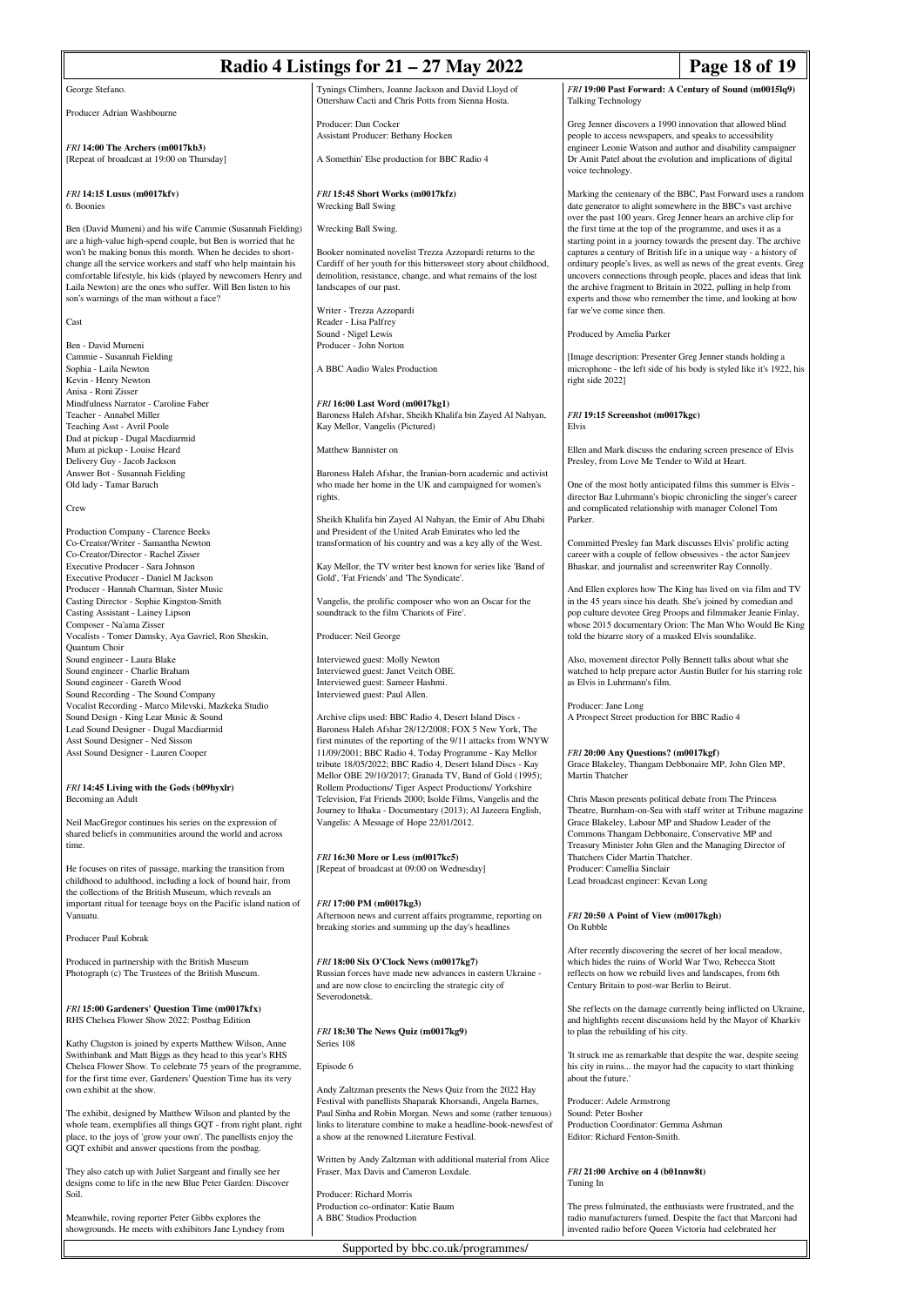| Radio 4 Listings for $21 - 27$ May 2022<br>Page 18 of 19                                                                                                                                                                                                                                                                                                                                                                                      |                                                                                                                                                                                                                                                  |                                                                                                                                                                                                                                                                                                                                                                                                                                                                                                                                                                                                                                                                                  |                                                                                                                                                                                         |  |  |  |
|-----------------------------------------------------------------------------------------------------------------------------------------------------------------------------------------------------------------------------------------------------------------------------------------------------------------------------------------------------------------------------------------------------------------------------------------------|--------------------------------------------------------------------------------------------------------------------------------------------------------------------------------------------------------------------------------------------------|----------------------------------------------------------------------------------------------------------------------------------------------------------------------------------------------------------------------------------------------------------------------------------------------------------------------------------------------------------------------------------------------------------------------------------------------------------------------------------------------------------------------------------------------------------------------------------------------------------------------------------------------------------------------------------|-----------------------------------------------------------------------------------------------------------------------------------------------------------------------------------------|--|--|--|
| George Stefano.                                                                                                                                                                                                                                                                                                                                                                                                                               | Tynings Climbers, Joanne Jackson and David Lloyd of<br>Ottershaw Cacti and Chris Potts from Sienna Hosta.                                                                                                                                        | <b>Talking Technology</b>                                                                                                                                                                                                                                                                                                                                                                                                                                                                                                                                                                                                                                                        | FRI 19:00 Past Forward: A Century of Sound (m0015lq9)                                                                                                                                   |  |  |  |
| Producer Adrian Washbourne                                                                                                                                                                                                                                                                                                                                                                                                                    | Producer: Dan Cocker                                                                                                                                                                                                                             | Greg Jenner discovers a 1990 innovation that allowed blind                                                                                                                                                                                                                                                                                                                                                                                                                                                                                                                                                                                                                       |                                                                                                                                                                                         |  |  |  |
| FRI 14:00 The Archers (m0017kb3)<br>[Repeat of broadcast at 19:00 on Thursday]                                                                                                                                                                                                                                                                                                                                                                | Assistant Producer: Bethany Hocken<br>A Somethin' Else production for BBC Radio 4                                                                                                                                                                | people to access newspapers, and speaks to accessibility<br>engineer Leonie Watson and author and disability campaigner<br>Dr Amit Patel about the evolution and implications of digital<br>voice technology.                                                                                                                                                                                                                                                                                                                                                                                                                                                                    |                                                                                                                                                                                         |  |  |  |
| FRI 14:15 Lusus (m0017kfv)<br>6. Boonies                                                                                                                                                                                                                                                                                                                                                                                                      | FRI 15:45 Short Works (m0017kfz)<br>Wrecking Ball Swing                                                                                                                                                                                          | Marking the centenary of the BBC, Past Forward uses a random<br>date generator to alight somewhere in the BBC's vast archive<br>over the past 100 years. Greg Jenner hears an archive clip for<br>the first time at the top of the programme, and uses it as a<br>starting point in a journey towards the present day. The archive<br>captures a century of British life in a unique way - a history of<br>ordinary people's lives, as well as news of the great events. Greg<br>uncovers connections through people, places and ideas that link<br>the archive fragment to Britain in 2022, pulling in help from<br>experts and those who remember the time, and looking at how |                                                                                                                                                                                         |  |  |  |
| Ben (David Mumeni) and his wife Cammie (Susannah Fielding)<br>are a high-value high-spend couple, but Ben is worried that he<br>won't be making bonus this month. When he decides to short-<br>change all the service workers and staff who help maintain his<br>comfortable lifestyle, his kids (played by newcomers Henry and<br>Laila Newton) are the ones who suffer. Will Ben listen to his<br>son's warnings of the man without a face? | Wrecking Ball Swing.<br>Booker nominated novelist Trezza Azzopardi returns to the<br>Cardiff of her youth for this bittersweet story about childhood,<br>demolition, resistance, change, and what remains of the lost<br>landscapes of our past. |                                                                                                                                                                                                                                                                                                                                                                                                                                                                                                                                                                                                                                                                                  |                                                                                                                                                                                         |  |  |  |
| Cast                                                                                                                                                                                                                                                                                                                                                                                                                                          | Writer - Trezza Azzopardi<br>Reader - Lisa Palfrey<br>Sound - Nigel Lewis                                                                                                                                                                        | far we've come since then.<br>Produced by Amelia Parker                                                                                                                                                                                                                                                                                                                                                                                                                                                                                                                                                                                                                          |                                                                                                                                                                                         |  |  |  |
| Ben - David Mumeni<br>Cammie - Susannah Fielding<br>Sophia - Laila Newton<br>Kevin - Henry Newton<br>Anisa - Roni Zisser                                                                                                                                                                                                                                                                                                                      | Producer - John Norton<br>A BBC Audio Wales Production                                                                                                                                                                                           | [Image description: Presenter Greg Jenner stands holding a<br>right side 2022]                                                                                                                                                                                                                                                                                                                                                                                                                                                                                                                                                                                                   | microphone - the left side of his body is styled like it's 1922, his                                                                                                                    |  |  |  |
| Mindfulness Narrator - Caroline Faber<br>Teacher - Annabel Miller<br>Teaching Asst - Avril Poole<br>Dad at pickup - Dugal Macdiarmid                                                                                                                                                                                                                                                                                                          | FRI 16:00 Last Word (m0017kg1)<br>Baroness Haleh Afshar, Sheikh Khalifa bin Zayed Al Nahyan,<br>Kay Mellor, Vangelis (Pictured)                                                                                                                  | FRI 19:15 Screenshot (m0017kgc)<br>Elvis                                                                                                                                                                                                                                                                                                                                                                                                                                                                                                                                                                                                                                         |                                                                                                                                                                                         |  |  |  |
| Mum at pickup - Louise Heard<br>Delivery Guy - Jacob Jackson                                                                                                                                                                                                                                                                                                                                                                                  | Matthew Bannister on                                                                                                                                                                                                                             | Ellen and Mark discuss the enduring screen presence of Elvis<br>Presley, from Love Me Tender to Wild at Heart.                                                                                                                                                                                                                                                                                                                                                                                                                                                                                                                                                                   |                                                                                                                                                                                         |  |  |  |
| Answer Bot - Susannah Fielding<br>Old lady - Tamar Baruch<br>Crew                                                                                                                                                                                                                                                                                                                                                                             | Baroness Haleh Afshar, the Iranian-born academic and activist<br>who made her home in the UK and campaigned for women's<br>rights.<br>Sheikh Khalifa bin Zayed Al Nahyan, the Emir of Abu Dhabi                                                  | and complicated relationship with manager Colonel Tom<br>Parker.                                                                                                                                                                                                                                                                                                                                                                                                                                                                                                                                                                                                                 | One of the most hotly anticipated films this summer is Elvis -<br>director Baz Luhrmann's biopic chronicling the singer's career                                                        |  |  |  |
| Production Company - Clarence Beeks<br>Co-Creator/Writer - Samantha Newton<br>Co-Creator/Director - Rachel Zisser<br>Executive Producer - Sara Johnson<br>Executive Producer - Daniel M Jackson                                                                                                                                                                                                                                               | and President of the United Arab Emirates who led the<br>transformation of his country and was a key ally of the West.<br>Kay Mellor, the TV writer best known for series like 'Band of<br>Gold', 'Fat Friends' and 'The Syndicate'.             | Committed Presley fan Mark discusses Elvis' prolific acting<br>career with a couple of fellow obsessives - the actor Sanjeev<br>Bhaskar, and journalist and screenwriter Ray Connolly.                                                                                                                                                                                                                                                                                                                                                                                                                                                                                           |                                                                                                                                                                                         |  |  |  |
| Producer - Hannah Charman, Sister Music<br>Casting Director - Sophie Kingston-Smith<br>Casting Assistant - Lainey Lipson<br>Composer - Na'ama Zisser<br>Vocalists - Tomer Damsky, Aya Gavriel, Ron Sheskin,                                                                                                                                                                                                                                   | Vangelis, the prolific composer who won an Oscar for the<br>soundtrack to the film 'Chariots of Fire'.<br>Producer: Neil George                                                                                                                  | in the 45 years since his death. She's joined by comedian and<br>told the bizarre story of a masked Elvis soundalike.                                                                                                                                                                                                                                                                                                                                                                                                                                                                                                                                                            | And Ellen explores how The King has lived on via film and TV<br>pop culture devotee Greg Proops and filmmaker Jeanie Finlay,<br>whose 2015 documentary Orion: The Man Who Would Be King |  |  |  |
| Quantum Choir<br>Sound engineer - Laura Blake<br>Sound engineer - Charlie Braham<br>Sound engineer - Gareth Wood<br>Sound Recording - The Sound Company                                                                                                                                                                                                                                                                                       | Interviewed guest: Molly Newton<br>Interviewed guest: Janet Veitch OBE.<br>Interviewed guest: Sameer Hashmi.<br>Interviewed guest: Paul Allen.                                                                                                   | Also, movement director Polly Bennett talks about what she<br>as Elvis in Luhrmann's film.                                                                                                                                                                                                                                                                                                                                                                                                                                                                                                                                                                                       | watched to help prepare actor Austin Butler for his starring role                                                                                                                       |  |  |  |
| Vocalist Recording - Marco Milevski, Mazkeka Studio<br>Sound Design - King Lear Music & Sound<br>Lead Sound Designer - Dugal Macdiarmid<br>Asst Sound Designer - Ned Sisson                                                                                                                                                                                                                                                                   | Archive clips used: BBC Radio 4, Desert Island Discs -<br>Baroness Haleh Afshar 28/12/2008; FOX 5 New York, The<br>first minutes of the reporting of the 9/11 attacks from WNYW                                                                  | Producer: Jane Long<br>A Prospect Street production for BBC Radio 4                                                                                                                                                                                                                                                                                                                                                                                                                                                                                                                                                                                                              |                                                                                                                                                                                         |  |  |  |
| Asst Sound Designer - Lauren Cooper<br>FRI 14:45 Living with the Gods (b09byxlr)                                                                                                                                                                                                                                                                                                                                                              | 11/09/2001; BBC Radio 4, Today Programme - Kay Mellor<br>tribute 18/05/2022; BBC Radio 4, Desert Island Discs - Kay<br>Mellor OBE 29/10/2017; Granada TV, Band of Gold (1995);<br>Rollem Productions/ Tiger Aspect Productions/ Yorkshire        | FRI 20:00 Any Questions? (m0017kgf)<br>Grace Blakeley, Thangam Debbonaire MP, John Glen MP,<br>Martin Thatcher                                                                                                                                                                                                                                                                                                                                                                                                                                                                                                                                                                   |                                                                                                                                                                                         |  |  |  |
| Becoming an Adult<br>Neil MacGregor continues his series on the expression of<br>shared beliefs in communities around the world and across                                                                                                                                                                                                                                                                                                    | Television, Fat Friends 2000; Isolde Films, Vangelis and the<br>Journey to Ithaka - Documentary (2013); Al Jazeera English,<br>Vangelis: A Message of Hope 22/01/2012.                                                                           | Chris Mason presents political debate from The Princess<br>Grace Blakeley, Labour MP and Shadow Leader of the<br>Commons Thangam Debbonaire, Conservative MP and                                                                                                                                                                                                                                                                                                                                                                                                                                                                                                                 | Theatre, Burnham-on-Sea with staff writer at Tribune magazine                                                                                                                           |  |  |  |
| time.<br>He focuses on rites of passage, marking the transition from<br>childhood to adulthood, including a lock of bound hair, from<br>the collections of the British Museum, which reveals an                                                                                                                                                                                                                                               | FRI 16:30 More or Less (m0017kc5)<br>[Repeat of broadcast at 09:00 on Wednesday]                                                                                                                                                                 | Treasury Minister John Glen and the Managing Director of<br>Thatchers Cider Martin Thatcher.<br>Producer: Camellia Sinclair<br>Lead broadcast engineer: Kevan Long                                                                                                                                                                                                                                                                                                                                                                                                                                                                                                               |                                                                                                                                                                                         |  |  |  |
| important ritual for teenage boys on the Pacific island nation of<br>Vanuatu.                                                                                                                                                                                                                                                                                                                                                                 | FRI 17:00 PM (m0017kg3)<br>Afternoon news and current affairs programme, reporting on<br>breaking stories and summing up the day's headlines                                                                                                     | FRI 20:50 A Point of View (m0017kgh)<br>On Rubble                                                                                                                                                                                                                                                                                                                                                                                                                                                                                                                                                                                                                                |                                                                                                                                                                                         |  |  |  |
| Producer Paul Kobrak<br>Produced in partnership with the British Museum<br>Photograph (c) The Trustees of the British Museum.                                                                                                                                                                                                                                                                                                                 | FRI 18:00 Six O'Clock News (m0017kg7)<br>Russian forces have made new advances in eastern Ukraine -<br>and are now close to encircling the strategic city of                                                                                     | After recently discovering the secret of her local meadow,<br>which hides the ruins of World War Two, Rebecca Stott<br>reflects on how we rebuild lives and landscapes, from 6th<br>Century Britain to post-war Berlin to Beirut.                                                                                                                                                                                                                                                                                                                                                                                                                                                |                                                                                                                                                                                         |  |  |  |
| FRI 15:00 Gardeners' Question Time (m0017kfx)<br>RHS Chelsea Flower Show 2022: Postbag Edition                                                                                                                                                                                                                                                                                                                                                | Severodonetsk.                                                                                                                                                                                                                                   |                                                                                                                                                                                                                                                                                                                                                                                                                                                                                                                                                                                                                                                                                  | She reflects on the damage currently being inflicted on Ukraine,<br>and highlights recent discussions held by the Mayor of Kharkiv                                                      |  |  |  |
| Kathy Clugston is joined by experts Matthew Wilson, Anne<br>Swithinbank and Matt Biggs as they head to this year's RHS<br>Chelsea Flower Show. To celebrate 75 years of the programme,<br>for the first time ever, Gardeners' Question Time has its very<br>own exhibit at the show.                                                                                                                                                          | FRI 18:30 The News Quiz (m0017kg9)<br>Series 108<br>Episode 6<br>Andy Zaltzman presents the News Quiz from the 2022 Hay                                                                                                                          | to plan the rebuilding of his city.<br>his city in ruins the mayor had the capacity to start thinking<br>about the future.'                                                                                                                                                                                                                                                                                                                                                                                                                                                                                                                                                      | 'It struck me as remarkable that despite the war, despite seeing                                                                                                                        |  |  |  |
| The exhibit, designed by Matthew Wilson and planted by the<br>whole team, exemplifies all things GQT - from right plant, right<br>place, to the joys of 'grow your own'. The panellists enjoy the<br>GQT exhibit and answer questions from the postbag.                                                                                                                                                                                       | Festival with panellists Shaparak Khorsandi, Angela Barnes,<br>Paul Sinha and Robin Morgan. News and some (rather tenuous)<br>links to literature combine to make a headline-book-newsfest of<br>a show at the renowned Literature Festival.     | Producer: Adele Armstrong<br>Sound: Peter Bosher<br>Production Coordinator: Gemma Ashman<br>Editor: Richard Fenton-Smith.                                                                                                                                                                                                                                                                                                                                                                                                                                                                                                                                                        |                                                                                                                                                                                         |  |  |  |
| They also catch up with Juliet Sargeant and finally see her<br>designs come to life in the new Blue Peter Garden: Discover<br>Soil.                                                                                                                                                                                                                                                                                                           | Written by Andy Zaltzman with additional material from Alice<br>Fraser, Max Davis and Cameron Loxdale.<br>Producer: Richard Morris                                                                                                               | FRI 21:00 Archive on 4 (b01nnw8t)<br>Tuning In                                                                                                                                                                                                                                                                                                                                                                                                                                                                                                                                                                                                                                   |                                                                                                                                                                                         |  |  |  |
| Meanwhile, roving reporter Peter Gibbs explores the<br>showgrounds. He meets with exhibitors Jane Lyndsey from                                                                                                                                                                                                                                                                                                                                | Production co-ordinator: Katie Baum<br>A BBC Studios Production                                                                                                                                                                                  | The press fulminated, the enthusiasts were frustrated, and the<br>radio manufacturers fumed. Despite the fact that Marconi had<br>invented radio before Queen Victoria had celebrated her                                                                                                                                                                                                                                                                                                                                                                                                                                                                                        |                                                                                                                                                                                         |  |  |  |
| Supported by bbc.co.uk/programmes/                                                                                                                                                                                                                                                                                                                                                                                                            |                                                                                                                                                                                                                                                  |                                                                                                                                                                                                                                                                                                                                                                                                                                                                                                                                                                                                                                                                                  |                                                                                                                                                                                         |  |  |  |

7